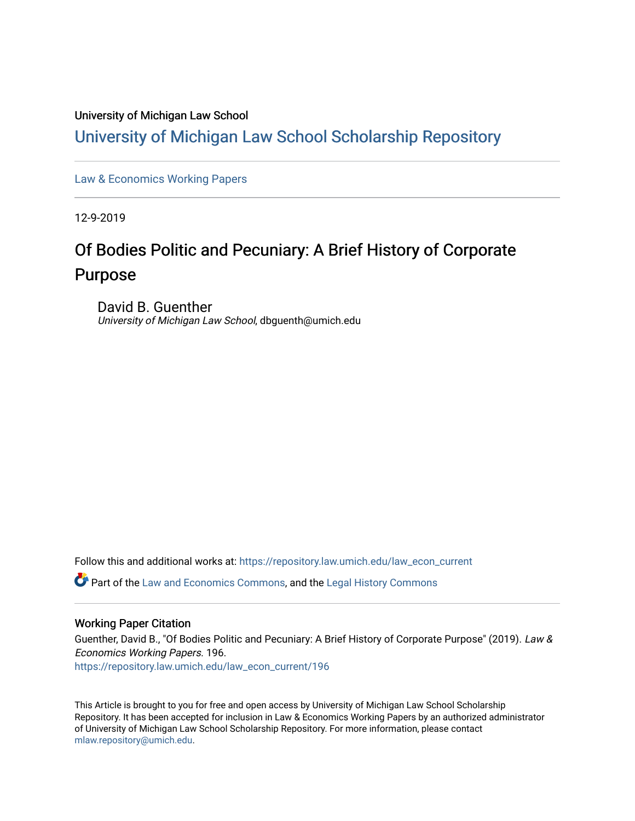### University of Michigan Law School

# [University of Michigan Law School Scholarship Repository](https://repository.law.umich.edu/)

[Law & Economics Working Papers](https://repository.law.umich.edu/law_econ_current)

12-9-2019

# Of Bodies Politic and Pecuniary: A Brief History of Corporate Purpose

David B. Guenther University of Michigan Law School, dbguenth@umich.edu

Follow this and additional works at: [https://repository.law.umich.edu/law\\_econ\\_current](https://repository.law.umich.edu/law_econ_current?utm_source=repository.law.umich.edu%2Flaw_econ_current%2F196&utm_medium=PDF&utm_campaign=PDFCoverPages) 

Part of the [Law and Economics Commons](http://network.bepress.com/hgg/discipline/612?utm_source=repository.law.umich.edu%2Flaw_econ_current%2F196&utm_medium=PDF&utm_campaign=PDFCoverPages), and the [Legal History Commons](http://network.bepress.com/hgg/discipline/904?utm_source=repository.law.umich.edu%2Flaw_econ_current%2F196&utm_medium=PDF&utm_campaign=PDFCoverPages)

### Working Paper Citation

Guenther, David B., "Of Bodies Politic and Pecuniary: A Brief History of Corporate Purpose" (2019). Law & Economics Working Papers. 196. [https://repository.law.umich.edu/law\\_econ\\_current/196](https://repository.law.umich.edu/law_econ_current/196?utm_source=repository.law.umich.edu%2Flaw_econ_current%2F196&utm_medium=PDF&utm_campaign=PDFCoverPages) 

This Article is brought to you for free and open access by University of Michigan Law School Scholarship Repository. It has been accepted for inclusion in Law & Economics Working Papers by an authorized administrator of University of Michigan Law School Scholarship Repository. For more information, please contact [mlaw.repository@umich.edu.](mailto:mlaw.repository@umich.edu)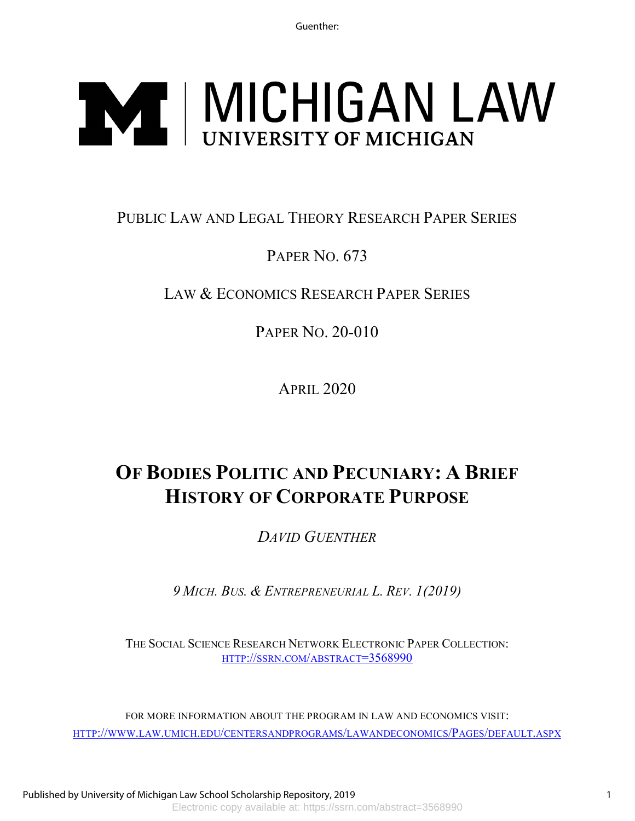Guenther:

# **NAT | MICHIGAN LAW**

# PUBLIC LAW AND LEGAL THEORY RESEARCH PAPER SERIES

# PAPER NO. 673

# LAW & ECONOMICS RESEARCH PAPER SERIES

PAPER NO. 20-010

APRIL 2020

# **OF BODIES POLITIC AND PECUNIARY: A BRIEF HISTORY OF CORPORATE PURPOSE**

*DAVID GUENTHER*

*9 MICH. BUS. & ENTREPRENEURIAL L. REV. 1(2019)*

THE SOCIAL SCIENCE RESEARCH NETWORK ELECTRONIC PAPER COLLECTION: [HTTP://SSRN.COM/ABSTRACT=3568990](http://ssrn.com/abstract=3568990)

FOR MORE INFORMATION ABOUT THE PROGRAM IN LAW AND ECONOMICS VISIT: [HTTP://WWW.LAW.UMICH.EDU/CENTERSANDPROGRAMS/LAWANDECONOMICS/PAGES/DEFAULT.ASPX](http://www.law.umich.edu/centersandprograms/lawandeconomics/Pages/default.aspx)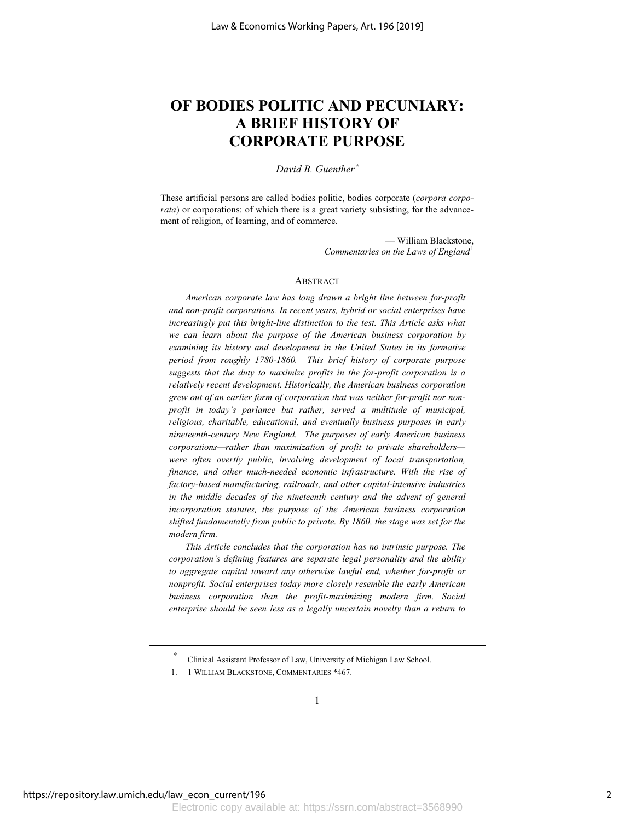## **OF BODIES POLITIC AND PECUNIARY: A BRIEF HISTORY OF CORPORATE PURPOSE**

*David B. Guenther*<sup>∗</sup>

These artificial persons are called bodies politic, bodies corporate (*corpora corporata*) or corporations: of which there is a great variety subsisting, for the advancement of religion, of learning, and of commerce.

> — William Blackstone, *Commentaries on the Laws of England*<sup>1</sup>

### ABSTRACT

*American corporate law has long drawn a bright line between for-profit and non-profit corporations. In recent years, hybrid or social enterprises have increasingly put this bright-line distinction to the test. This Article asks what we can learn about the purpose of the American business corporation by examining its history and development in the United States in its formative period from roughly 1780-1860. This brief history of corporate purpose suggests that the duty to maximize profits in the for-profit corporation is a relatively recent development. Historically, the American business corporation grew out of an earlier form of corporation that was neither for-profit nor nonprofit in today's parlance but rather, served a multitude of municipal, religious, charitable, educational, and eventually business purposes in early nineteenth-century New England. The purposes of early American business corporations—rather than maximization of profit to private shareholders were often overtly public, involving development of local transportation, finance, and other much-needed economic infrastructure. With the rise of factory-based manufacturing, railroads, and other capital-intensive industries*  in the middle decades of the nineteenth century and the advent of general *incorporation statutes, the purpose of the American business corporation shifted fundamentally from public to private. By 1860, the stage was set for the modern firm.*

*This Article concludes that the corporation has no intrinsic purpose. The corporation's defining features are separate legal personality and the ability*  to aggregate capital toward any otherwise lawful end, whether for-profit or *nonprofit. Social enterprises today more closely resemble the early American business corporation than the profit-maximizing modern firm. Social*  enterprise should be seen less as a legally uncertain novelty than a return to

1

Clinical Assistant Professor of Law, University of Michigan Law School.

<sup>1. 1</sup> WILLIAM BLACKSTONE, COMMENTARIES \*467.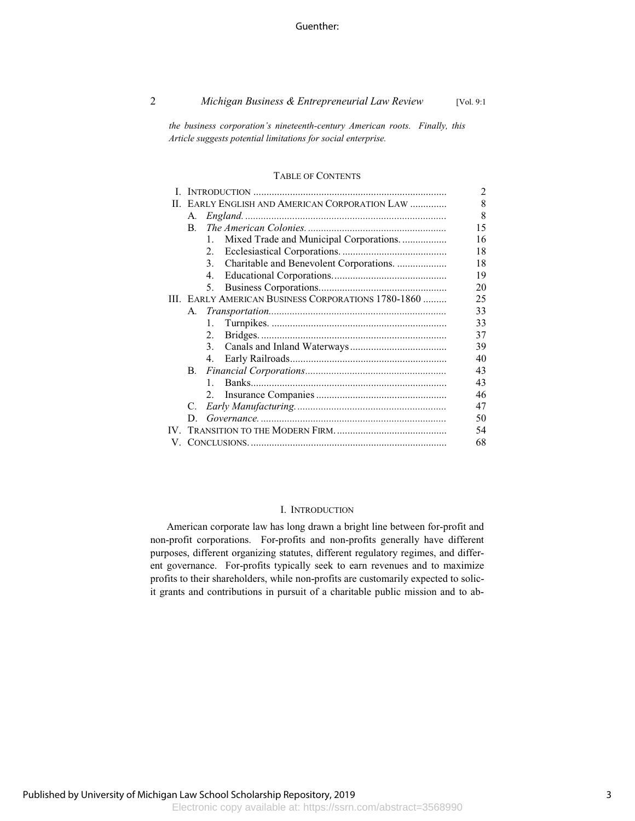2 *Michigan Business & Entrepreneurial Law Review* [Vol. 9:1

*the business corporation's nineteenth-century American roots. Finally, this Article suggests potential limitations for social enterprise.*

### TABLE OF CONTENTS

|    |                                            |                                                     | $\mathfrak{D}$ |
|----|--------------------------------------------|-----------------------------------------------------|----------------|
| П. | EARLY ENGLISH AND AMERICAN CORPORATION LAW |                                                     | 8              |
|    | А.                                         |                                                     | 8              |
|    | $\mathbf{B}$                               |                                                     | 15             |
|    |                                            | Mixed Trade and Municipal Corporations<br>$1_{-}$   | 16             |
|    |                                            | 2.                                                  | 18             |
|    |                                            | Charitable and Benevolent Corporations.<br>3.       | 18             |
|    |                                            | 4.                                                  | 19             |
|    |                                            | 5.                                                  | 20             |
|    |                                            | III. EARLY AMERICAN BUSINESS CORPORATIONS 1780-1860 | 25             |
|    | A.                                         |                                                     | 33             |
|    |                                            | $1_{-}$                                             | 33             |
|    |                                            | 2.                                                  | 37             |
|    |                                            | 3 <sub>1</sub>                                      | 39             |
|    |                                            | 4.                                                  | 40             |
|    | <b>B.</b>                                  |                                                     | 43             |
|    |                                            | $\mathbf{1}$                                        | 43             |
|    |                                            | 2.                                                  | 46             |
|    | C.                                         |                                                     | 47             |
|    | D.                                         |                                                     | 50             |
|    |                                            |                                                     | 54             |
|    | 68                                         |                                                     |                |

### I. INTRODUCTION

American corporate law has long drawn a bright line between for-profit and non-profit corporations. For-profits and non-profits generally have different purposes, different organizing statutes, different regulatory regimes, and different governance. For-profits typically seek to earn revenues and to maximize profits to their shareholders, while non-profits are customarily expected to solicit grants and contributions in pursuit of a charitable public mission and to ab-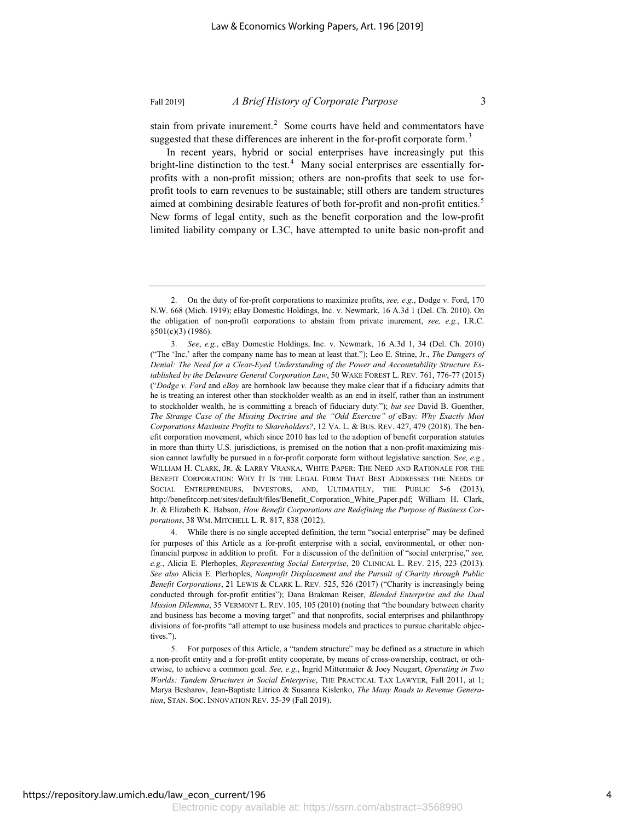stain from private inurement.<sup>2</sup> Some courts have held and commentators have suggested that these differences are inherent in the for-profit corporate form.<sup>3</sup>

In recent years, hybrid or social enterprises have increasingly put this bright-line distinction to the test. $4$  Many social enterprises are essentially forprofits with a non-profit mission; others are non-profits that seek to use forprofit tools to earn revenues to be sustainable; still others are tandem structures aimed at combining desirable features of both for-profit and non-profit entities.<sup>5</sup> New forms of legal entity, such as the benefit corporation and the low-profit limited liability company or L3C, have attempted to unite basic non-profit and

<sup>2.</sup> On the duty of for-profit corporations to maximize profits, *see, e.g.*, Dodge v. Ford, 170 N.W. 668 (Mich. 1919); eBay Domestic Holdings, Inc. v. Newmark, 16 A.3d 1 (Del. Ch. 2010). On the obligation of non-profit corporations to abstain from private inurement, *see, e.g.*, I.R.C. §501(c)(3) (1986).

<sup>3.</sup> *See*, *e.g.*, eBay Domestic Holdings, Inc. v. Newmark, 16 A.3d 1, 34 (Del. Ch. 2010) ("The 'Inc.' after the company name has to mean at least that."); Leo E. Strine, Jr., *The Dangers of Denial: The Need for a Clear-Eyed Understanding of the Power and Accountability Structure Established by the Delaware General Corporation Law*, 50 WAKE FOREST L. REV. 761, 776-77 (2015) ("*Dodge v. Ford* and *eBay* are hornbook law because they make clear that if a fiduciary admits that he is treating an interest other than stockholder wealth as an end in itself, rather than an instrument to stockholder wealth, he is committing a breach of fiduciary duty."); *but see* David B. Guenther, *The Strange Case of the Missing Doctrine and the "Odd Exercise" of* eBay*: Why Exactly Must Corporations Maximize Profits to Shareholders?*, 12 VA. L. & BUS. REV. 427, 479 (2018). The benefit corporation movement, which since 2010 has led to the adoption of benefit corporation statutes in more than thirty U.S. jurisdictions, is premised on the notion that a non-profit-maximizing mission cannot lawfully be pursued in a for-profit corporate form without legislative sanction. S*ee, e.g.*, WILLIAM H. CLARK, JR.&LARRY VRANKA, WHITE PAPER: THE NEED AND RATIONALE FOR THE BENEFIT CORPORATION: WHY IT IS THE LEGAL FORM THAT BEST ADDRESSES THE NEEDS OF SOCIAL ENTREPRENEURS, INVESTORS, AND, ULTIMATELY, THE PUBLIC 5-6 (2013), http://benefitcorp.net/sites/default/files/Benefit\_Corporation\_White\_Paper.pdf; William H. Clark, Jr. & Elizabeth K. Babson, *How Benefit Corporations are Redefining the Purpose of Business Corporations*, 38 WM. MITCHELL L. R. 817, 838 (2012).

<sup>4.</sup> While there is no single accepted definition, the term "social enterprise" may be defined for purposes of this Article as a for-profit enterprise with a social, environmental, or other nonfinancial purpose in addition to profit. For a discussion of the definition of "social enterprise," *see, e.g.*, Alicia E. Plerhoples, *Representing Social Enterprise*, 20 CLINICAL L. REV. 215, 223 (2013). *See also* Alicia E. Plerhoples, *Nonprofit Displacement and the Pursuit of Charity through Public Benefit Corporations*, 21 LEWIS & CLARK L. REV. 525, 526 (2017) ("Charity is increasingly being conducted through for-profit entities"); Dana Brakman Reiser, *Blended Enterprise and the Dual Mission Dilemma*, 35 VERMONT L. REV. 105, 105 (2010) (noting that "the boundary between charity and business has become a moving target" and that nonprofits, social enterprises and philanthropy divisions of for-profits "all attempt to use business models and practices to pursue charitable objectives.").

<sup>5.</sup> For purposes of this Article, a "tandem structure" may be defined as a structure in which a non-profit entity and a for-profit entity cooperate, by means of cross-ownership, contract, or otherwise, to achieve a common goal. *See, e.g.*, Ingrid Mittermaier & Joey Neugart, *Operating in Two Worlds: Tandem Structures in Social Enterprise*, THE PRACTICAL TAX LAWYER, Fall 2011, at 1; Marya Besharov, Jean-Baptiste Litrico & Susanna Kislenko, *The Many Roads to Revenue Generation*, STAN. SOC. INNOVATION REV. 35-39 (Fall 2019).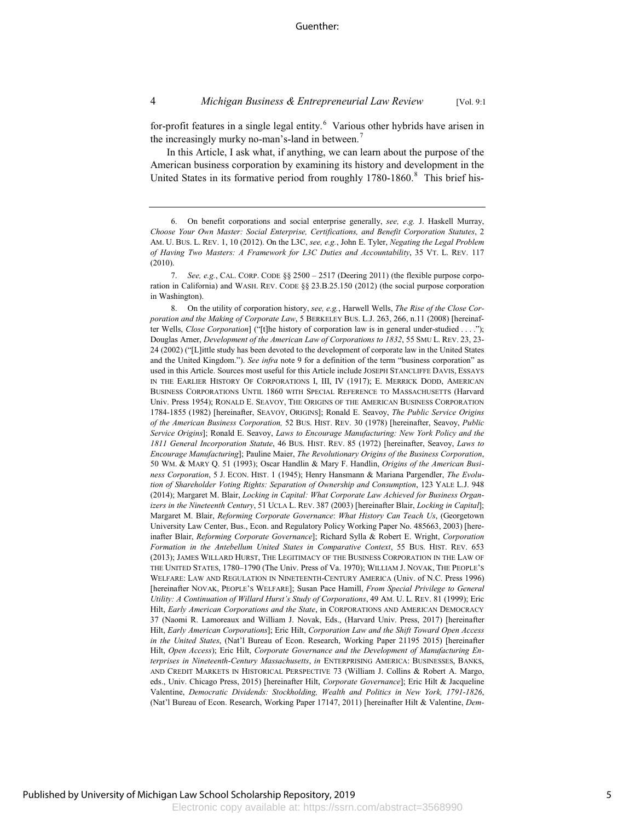for-profit features in a single legal entity. $6$  Various other hybrids have arisen in the increasingly murky no-man's-land in between.<sup>7</sup>

In this Article, I ask what, if anything, we can learn about the purpose of the American business corporation by examining its history and development in the United States in its formative period from roughly 1780-1860.<sup>8</sup> This brief his-

<sup>6.</sup> On benefit corporations and social enterprise generally, *see, e.g.* J. Haskell Murray, *Choose Your Own Master: Social Enterprise, Certifications, and Benefit Corporation Statutes*, 2 AM. U. BUS. L. REV. 1, 10 (2012). On the L3C, *see, e.g.*, John E. Tyler, *Negating the Legal Problem of Having Two Masters: A Framework for L3C Duties and Accountability*, 35 VT. L. REV. 117 (2010).

<sup>7.</sup> *See, e.g.*, CAL. CORP. CODE §§ 2500 – 2517 (Deering 2011) (the flexible purpose corporation in California) and WASH. REV. CODE §§ 23.B.25.150 (2012) (the social purpose corporation in Washington).

<sup>8.</sup> On the utility of corporation history, *see, e.g.*, Harwell Wells, *The Rise of the Close Corporation and the Making of Corporate Law*, 5 BERKELEY BUS. L.J. 263, 266, n.11 (2008) [hereinafter Wells, *Close Corporation*] ("[t]he history of corporation law is in general under-studied . . . ."); Douglas Arner, *Development of the American Law of Corporations to 1832*, 55 SMU L. REV. 23, 23- 24 (2002) ("[L]ittle study has been devoted to the development of corporate law in the United States and the United Kingdom."). *See infra* note 9 for a definition of the term "business corporation" as used in this Article. Sources most useful for this Article include JOSEPH STANCLIFFE DAVIS, ESSAYS IN THE EARLIER HISTORY OF CORPORATIONS I, III, IV (1917); E. MERRICK DODD, AMERICAN BUSINESS CORPORATIONS UNTIL 1860 WITH SPECIAL REFERENCE TO MASSACHUSETTS (Harvard Univ. Press 1954); RONALD E. SEAVOY, THE ORIGINS OF THE AMERICAN BUSINESS CORPORATION 1784-1855 (1982) [hereinafter, SEAVOY, ORIGINS]; Ronald E. Seavoy, *The Public Service Origins of the American Business Corporation,* 52 BUS. HIST. REV. 30 (1978) [hereinafter, Seavoy, *Public Service Origins*]; Ronald E. Seavoy, *Laws to Encourage Manufacturing: New York Policy and the 1811 General Incorporation Statute*, 46 BUS. HIST. REV. 85 (1972) [hereinafter, Seavoy, *Laws to Encourage Manufacturing*]; Pauline Maier, *The Revolutionary Origins of the Business Corporation*, 50 WM.&MARY Q. 51 (1993); Oscar Handlin & Mary F. Handlin, *Origins of the American Business Corporation*, 5 J. ECON. HIST. 1 (1945); Henry Hansmann & Mariana Pargendler, *The Evolution of Shareholder Voting Rights: Separation of Ownership and Consumption*, 123 YALE L.J. 948 (2014); Margaret M. Blair, *Locking in Capital: What Corporate Law Achieved for Business Organizers in the Nineteenth Century*, 51 UCLA L. REV. 387 (2003) [hereinafter Blair, *Locking in Capital*]; Margaret M. Blair, *Reforming Corporate Governance*: *What History Can Teach Us*, (Georgetown University Law Center, Bus., Econ. and Regulatory Policy Working Paper No. 485663, 2003) [hereinafter Blair, *Reforming Corporate Governance*]; Richard Sylla & Robert E. Wright, *Corporation Formation in the Antebellum United States in Comparative Context*, 55 BUS. HIST. REV. 653 (2013); JAMES WILLARD HURST, THE LEGITIMACY OF THE BUSINESS CORPORATION IN THE LAW OF THE UNITED STATES, 1780–1790 (The Univ. Press of Va. 1970); WILLIAM J. NOVAK, THE PEOPLE'S WELFARE: LAW AND REGULATION IN NINETEENTH-CENTURY AMERICA (Univ. of N.C. Press 1996) [hereinafter NOVAK, PEOPLE'S WELFARE]; Susan Pace Hamill, *From Special Privilege to General Utility: A Continuation of Willard Hurst's Study of Corporations*, 49 AM. U. L. REV. 81 (1999); Eric Hilt, *Early American Corporations and the State*, in CORPORATIONS AND AMERICAN DEMOCRACY 37 (Naomi R. Lamoreaux and William J. Novak, Eds., (Harvard Univ. Press, 2017) [hereinafter Hilt, *Early American Corporations*]; Eric Hilt, *Corporation Law and the Shift Toward Open Access in the United States*, (Nat'l Bureau of Econ. Research, Working Paper 21195 2015) [hereinafter Hilt, *Open Access*); Eric Hilt, *Corporate Governance and the Development of Manufacturing Enterprises in Nineteenth-Century Massachusetts*, *in* ENTERPRISING AMERICA: BUSINESSES, BANKS, AND CREDIT MARKETS IN HISTORICAL PERSPECTIVE 73 (William J. Collins & Robert A. Margo, eds., Univ. Chicago Press, 2015) [hereinafter Hilt, *Corporate Governance*]; Eric Hilt & Jacqueline Valentine, *Democratic Dividends: Stockholding, Wealth and Politics in New York, 1791-1826*, (Nat'l Bureau of Econ. Research, Working Paper 17147, 2011) [hereinafter Hilt & Valentine, *Dem-*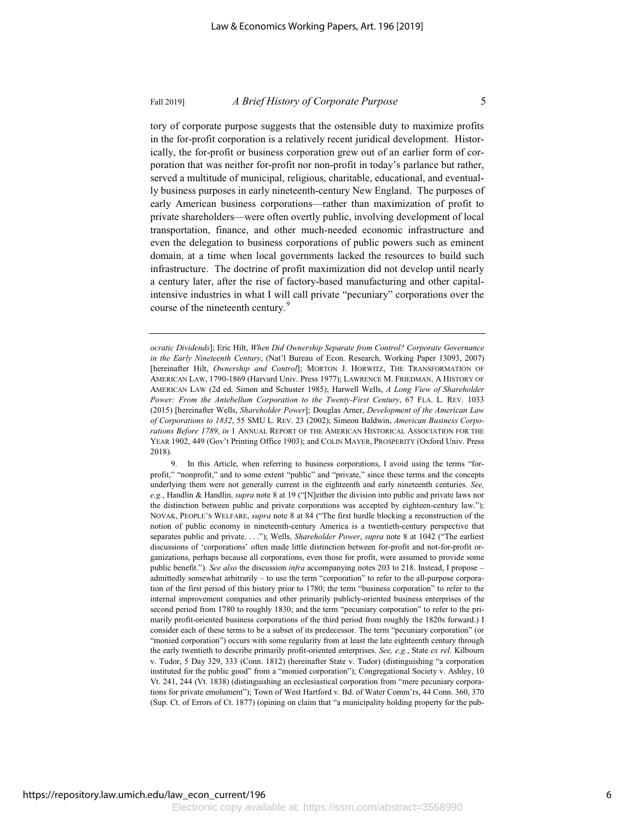tory of corporate purpose suggests that the ostensible duty to maximize profits in the for-profit corporation is a relatively recent juridical development. Historically, the for-profit or business corporation grew out of an earlier form of corporation that was neither for-profit nor non-profit in today's parlance but rather, served a multitude of municipal, religious, charitable, educational, and eventually business purposes in early nineteenth-century New England. The purposes of early American business corporations—rather than maximization of profit to private shareholders—were often overtly public, involving development of local transportation, finance, and other much-needed economic infrastructure and even the delegation to business corporations of public powers such as eminent domain, at a time when local governments lacked the resources to build such infrastructure. The doctrine of profit maximization did not develop until nearly a century later, after the rise of factory-based manufacturing and other capitalintensive industries in what I will call private "pecuniary" corporations over the course of the nineteenth century.<sup>9</sup>

9. In this Article, when referring to business corporations, I avoid using the terms "forprofit," "nonprofit," and to some extent "public" and "private," since these terms and the concepts underlying them were not generally current in the eighteenth and early nineteenth centuries. *See, e.g.*, Handlin & Handlin, *supra* note 8 at 19 ("[N]either the division into public and private laws nor the distinction between public and private corporations was accepted by eighteen-century law."); NOVAK, PEOPLE'S WELFARE, *supra* note 8 at 84 ("The first hurdle blocking a reconstruction of the notion of public economy in nineteenth-century America is a twentieth-century perspective that separates public and private. . . ."); Wells, *Shareholder Power*, *supra* note 8 at 1042 ("The earliest discussions of 'corporations' often made little distinction between for-profit and not-for-profit organizations, perhaps because all corporations, even those for profit, were assumed to provide some public benefit."). *See also* the discussion *infra* accompanying notes 203 to 218. Instead, I propose – admittedly somewhat arbitrarily – to use the term "corporation" to refer to the all-purpose corporation of the first period of this history prior to 1780; the term "business corporation" to refer to the internal improvement companies and other primarily publicly-oriented business enterprises of the second period from 1780 to roughly 1830; and the term "pecuniary corporation" to refer to the primarily profit-oriented business corporations of the third period from roughly the 1820s forward.) I consider each of these terms to be a subset of its predecessor. The term "pecuniary corporation" (or "monied corporation") occurs with some regularity from at least the late eighteenth century through the early twentieth to describe primarily profit-oriented enterprises. *See, e.g.*, State *ex rel.* Kilbourn v. Tudor, 5 Day 329, 333 (Conn. 1812) (hereinafter State v. Tudor) (distinguishing "a corporation instituted for the public good" from a "monied corporation"); Congregational Society v. Ashley, 10 Vt. 241, 244 (Vt. 1838) (distinguishing an ecclesiastical corporation from "mere pecuniary corporations for private emolument"); Town of West Hartford v. Bd. of Water Comm'rs, 44 Conn. 360, 370 (Sup. Ct. of Errors of Ct. 1877) (opining on claim that "a municipality holding property for the pub-

*ocratic Dividends*]; Eric Hilt, *When Did Ownership Separate from Control? Corporate Governance in the Early Nineteenth Century*, (Nat'l Bureau of Econ. Research, Working Paper 13093, 2007) [hereinafter Hilt, *Ownership and Control*]; MORTON J. HORWITZ, THE TRANSFORMATION OF AMERICAN LAW, 1790-1869 (Harvard Univ. Press 1977); LAWRENCE M. FRIEDMAN, A HISTORY OF AMERICAN LAW (2d ed. Simon and Schuster 1985); Harwell Wells, *A Long View of Shareholder Power: From the Antebellum Corporation to the Twenty-First Century*, 67 FLA. L. REV. 1033 (2015) [hereinafter Wells, *Shareholder Power*]; Douglas Arner, *Development of the American Law of Corporations to 1832*, 55 SMU L. REV. 23 (2002); Simeon Baldwin, *American Business Corporations Before 1789*, *in* 1 ANNUAL REPORT OF THE AMERICAN HISTORICAL ASSOCIATION FOR THE YEAR 1902, 449 (Gov't Printing Office 1903); and COLIN MAYER, PROSPERITY (Oxford Univ. Press 2018).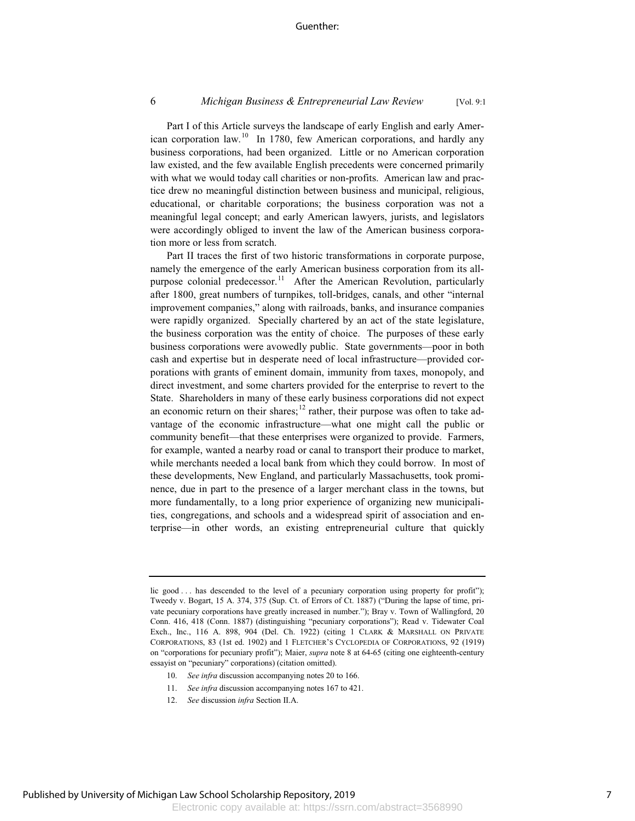Part I of this Article surveys the landscape of early English and early American corporation law.<sup>10</sup> In 1780, few American corporations, and hardly any business corporations, had been organized. Little or no American corporation law existed, and the few available English precedents were concerned primarily with what we would today call charities or non-profits. American law and practice drew no meaningful distinction between business and municipal, religious, educational, or charitable corporations; the business corporation was not a meaningful legal concept; and early American lawyers, jurists, and legislators were accordingly obliged to invent the law of the American business corporation more or less from scratch.

Part II traces the first of two historic transformations in corporate purpose, namely the emergence of the early American business corporation from its allpurpose colonial predecessor.<sup>11</sup> After the American Revolution, particularly after 1800, great numbers of turnpikes, toll-bridges, canals, and other "internal improvement companies," along with railroads, banks, and insurance companies were rapidly organized. Specially chartered by an act of the state legislature, the business corporation was the entity of choice. The purposes of these early business corporations were avowedly public. State governments—poor in both cash and expertise but in desperate need of local infrastructure—provided corporations with grants of eminent domain, immunity from taxes, monopoly, and direct investment, and some charters provided for the enterprise to revert to the State. Shareholders in many of these early business corporations did not expect an economic return on their shares;<sup>12</sup> rather, their purpose was often to take advantage of the economic infrastructure—what one might call the public or community benefit—that these enterprises were organized to provide. Farmers, for example, wanted a nearby road or canal to transport their produce to market, while merchants needed a local bank from which they could borrow. In most of these developments, New England, and particularly Massachusetts, took prominence, due in part to the presence of a larger merchant class in the towns, but more fundamentally, to a long prior experience of organizing new municipalities, congregations, and schools and a widespread spirit of association and enterprise—in other words, an existing entrepreneurial culture that quickly

- 10. *See infra* discussion accompanying notes 20 to 166.
- 11. *See infra* discussion accompanying notes 167 to 421.
- 12. *See* discussion *infra* Section II.A.

lic good . . . has descended to the level of a pecuniary corporation using property for profit"); Tweedy v. Bogart, 15 A. 374, 375 (Sup. Ct. of Errors of Ct. 1887) ("During the lapse of time, private pecuniary corporations have greatly increased in number."); Bray v. Town of Wallingford, 20 Conn. 416, 418 (Conn. 1887) (distinguishing "pecuniary corporations"); Read v. Tidewater Coal Exch., Inc., 116 A. 898, 904 (Del. Ch. 1922) (citing 1 CLARK & MARSHALL ON PRIVATE CORPORATIONS, 83 (1st ed. 1902) and 1 FLETCHER'S CYCLOPEDIA OF CORPORATIONS, 92 (1919) on "corporations for pecuniary profit"); Maier, *supra* note 8 at 64-65 (citing one eighteenth-century essayist on "pecuniary" corporations) (citation omitted).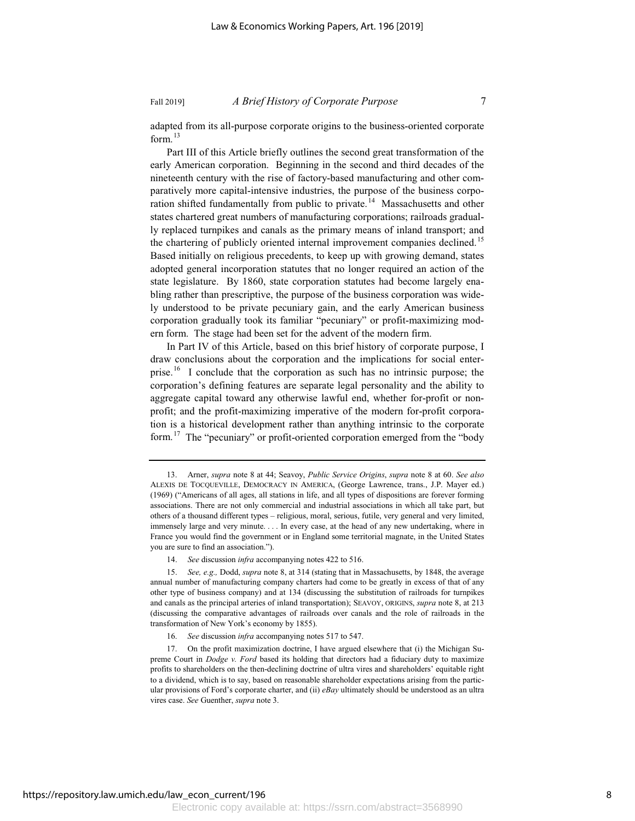adapted from its all-purpose corporate origins to the business-oriented corporate form. $13$ 

Part III of this Article briefly outlines the second great transformation of the early American corporation. Beginning in the second and third decades of the nineteenth century with the rise of factory-based manufacturing and other comparatively more capital-intensive industries, the purpose of the business corporation shifted fundamentally from public to private.<sup>14</sup> Massachusetts and other states chartered great numbers of manufacturing corporations; railroads gradually replaced turnpikes and canals as the primary means of inland transport; and the chartering of publicly oriented internal improvement companies declined.<sup>15</sup> Based initially on religious precedents, to keep up with growing demand, states adopted general incorporation statutes that no longer required an action of the state legislature. By 1860, state corporation statutes had become largely enabling rather than prescriptive, the purpose of the business corporation was widely understood to be private pecuniary gain, and the early American business corporation gradually took its familiar "pecuniary" or profit-maximizing modern form. The stage had been set for the advent of the modern firm.

In Part IV of this Article, based on this brief history of corporate purpose, I draw conclusions about the corporation and the implications for social enterprise.<sup>16</sup> I conclude that the corporation as such has no intrinsic purpose; the corporation's defining features are separate legal personality and the ability to aggregate capital toward any otherwise lawful end, whether for-profit or nonprofit; and the profit-maximizing imperative of the modern for-profit corporation is a historical development rather than anything intrinsic to the corporate form.<sup>17</sup> The "pecuniary" or profit-oriented corporation emerged from the "body

14. *See* discussion *infra* accompanying notes 422 to 516.

<sup>13.</sup> Arner, *supra* note 8 at 44; Seavoy, *Public Service Origins*, *supra* note 8 at 60. *See also* ALEXIS DE TOCQUEVILLE, DEMOCRACY IN AMERICA, (George Lawrence, trans., J.P. Mayer ed.) (1969) ("Americans of all ages, all stations in life, and all types of dispositions are forever forming associations. There are not only commercial and industrial associations in which all take part, but others of a thousand different types – religious, moral, serious, futile, very general and very limited, immensely large and very minute. . . . In every case, at the head of any new undertaking, where in France you would find the government or in England some territorial magnate, in the United States you are sure to find an association.").

<sup>15.</sup> *See, e.g.,* Dodd, *supra* note 8, at 314 (stating that in Massachusetts, by 1848, the average annual number of manufacturing company charters had come to be greatly in excess of that of any other type of business company) and at 134 (discussing the substitution of railroads for turnpikes and canals as the principal arteries of inland transportation); SEAVOY, ORIGINS, *supra* note 8, at 213 (discussing the comparative advantages of railroads over canals and the role of railroads in the transformation of New York's economy by 1855).

<sup>16.</sup> *See* discussion *infra* accompanying notes 517 to 547.

<sup>17.</sup> On the profit maximization doctrine, I have argued elsewhere that (i) the Michigan Supreme Court in *Dodge v. Ford* based its holding that directors had a fiduciary duty to maximize profits to shareholders on the then-declining doctrine of ultra vires and shareholders' equitable right to a dividend, which is to say, based on reasonable shareholder expectations arising from the particular provisions of Ford's corporate charter, and (ii) *eBay* ultimately should be understood as an ultra vires case. *See* Guenther, *supra* note 3.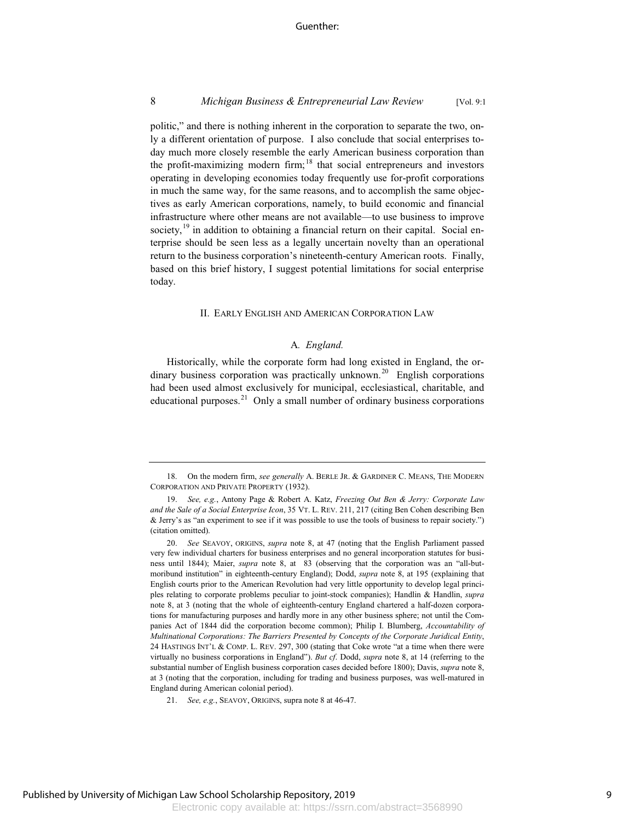### Guenther:

### 8 *Michigan Business & Entrepreneurial Law Review* [Vol. 9:1

politic," and there is nothing inherent in the corporation to separate the two, only a different orientation of purpose. I also conclude that social enterprises today much more closely resemble the early American business corporation than the profit-maximizing modern firm;<sup>18</sup> that social entrepreneurs and investors operating in developing economies today frequently use for-profit corporations in much the same way, for the same reasons, and to accomplish the same objectives as early American corporations, namely, to build economic and financial infrastructure where other means are not available—to use business to improve society, $19$  in addition to obtaining a financial return on their capital. Social enterprise should be seen less as a legally uncertain novelty than an operational return to the business corporation's nineteenth-century American roots. Finally, based on this brief history, I suggest potential limitations for social enterprise today.

### II. EARLY ENGLISH AND AMERICAN CORPORATION LAW

### A*. England.*

Historically, while the corporate form had long existed in England, the ordinary business corporation was practically unknown.<sup>20</sup> English corporations had been used almost exclusively for municipal, ecclesiastical, charitable, and educational purposes.<sup>21</sup> Only a small number of ordinary business corporations

<sup>18.</sup> On the modern firm, *see generally* A. BERLE JR.&GARDINER C. MEANS, THE MODERN CORPORATION AND PRIVATE PROPERTY (1932).

<sup>19.</sup> *See, e.g.*, Antony Page & Robert A. Katz, *Freezing Out Ben & Jerry: Corporate Law and the Sale of a Social Enterprise Icon*, 35 VT. L. REV. 211, 217 (citing Ben Cohen describing Ben & Jerry's as "an experiment to see if it was possible to use the tools of business to repair society.") (citation omitted).

<sup>20.</sup> *See* SEAVOY, ORIGINS, *supra* note 8, at 47 (noting that the English Parliament passed very few individual charters for business enterprises and no general incorporation statutes for business until 1844); Maier, *supra* note 8, at 83 (observing that the corporation was an "all-butmoribund institution" in eighteenth-century England); Dodd, *supra* note 8, at 195 (explaining that English courts prior to the American Revolution had very little opportunity to develop legal principles relating to corporate problems peculiar to joint-stock companies); Handlin & Handlin, *supra* note 8, at 3 (noting that the whole of eighteenth-century England chartered a half-dozen corporations for manufacturing purposes and hardly more in any other business sphere; not until the Companies Act of 1844 did the corporation become common); Philip I. Blumberg, *Accountability of Multinational Corporations: The Barriers Presented by Concepts of the Corporate Juridical Entity*, 24 HASTINGS INT'L & COMP. L. REV. 297, 300 (stating that Coke wrote "at a time when there were virtually no business corporations in England"). *But cf*. Dodd, *supra* note 8, at 14 (referring to the substantial number of English business corporation cases decided before 1800); Davis, *supra* note 8, at 3 (noting that the corporation, including for trading and business purposes, was well-matured in England during American colonial period).

<sup>21.</sup> *See, e.g.*, SEAVOY, ORIGINS, supra note 8 at 46-47.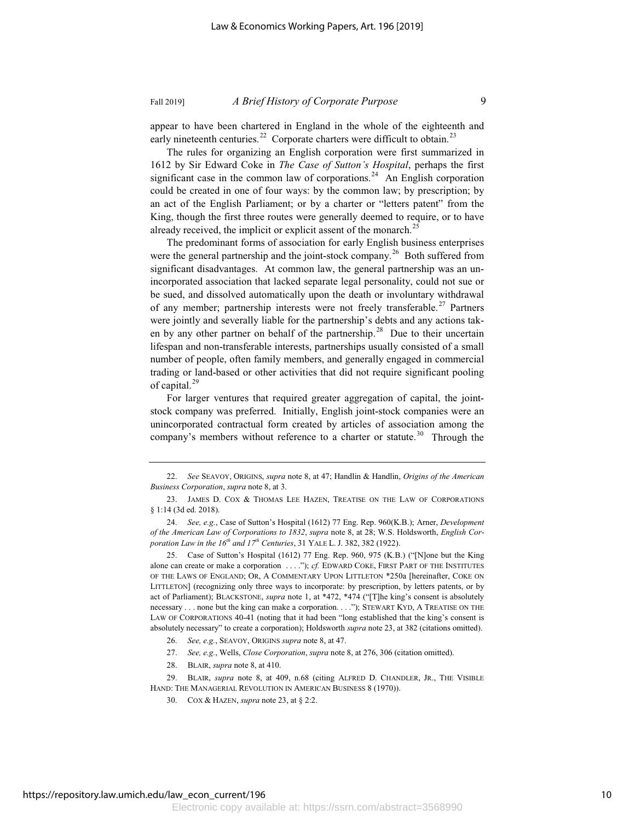appear to have been chartered in England in the whole of the eighteenth and early nineteenth centuries.<sup>22</sup> Corporate charters were difficult to obtain.<sup>23</sup>

The rules for organizing an English corporation were first summarized in 1612 by Sir Edward Coke in *The Case of Sutton's Hospital*, perhaps the first significant case in the common law of corporations.<sup>24</sup> An English corporation could be created in one of four ways: by the common law; by prescription; by an act of the English Parliament; or by a charter or "letters patent" from the King, though the first three routes were generally deemed to require, or to have already received, the implicit or explicit assent of the monarch.<sup>25</sup>

The predominant forms of association for early English business enterprises were the general partnership and the joint-stock company.<sup>26</sup> Both suffered from significant disadvantages. At common law, the general partnership was an unincorporated association that lacked separate legal personality, could not sue or be sued, and dissolved automatically upon the death or involuntary withdrawal of any member; partnership interests were not freely transferable.<sup>27</sup> Partners were jointly and severally liable for the partnership's debts and any actions taken by any other partner on behalf of the partnership.<sup>28</sup> Due to their uncertain lifespan and non-transferable interests, partnerships usually consisted of a small number of people, often family members, and generally engaged in commercial trading or land-based or other activities that did not require significant pooling of capital.<sup>29</sup>

For larger ventures that required greater aggregation of capital, the jointstock company was preferred. Initially, English joint-stock companies were an unincorporated contractual form created by articles of association among the company's members without reference to a charter or statute.<sup>30</sup> Through the

28. BLAIR, *supra* note 8, at 410.

<sup>22.</sup> *See* SEAVOY, ORIGINS, *supra* note 8, at 47; Handlin & Handlin, *Origins of the American Business Corporation*, *supra* note 8, at 3.

<sup>23.</sup> JAMES D. COX & THOMAS LEE HAZEN, TREATISE ON THE LAW OF CORPORATIONS § 1:14 (3d ed. 2018).

<sup>24.</sup> *See, e.g.*, Case of Sutton's Hospital (1612) 77 Eng. Rep. 960(K.B.); Arner, *Development of the American Law of Corporations to 1832*, *supra* note 8, at 28; W.S. Holdsworth, *English Corporation Law in the 16th and 17th Centuries*, 31 YALE L. J. 382, 382 (1922).

<sup>25.</sup> Case of Sutton's Hospital (1612) 77 Eng. Rep. 960, 975 (K.B.) ("[N]one but the King alone can create or make a corporation . . . ."); *cf.* EDWARD COKE, FIRST PART OF THE INSTITUTES OF THE LAWS OF ENGLAND; OR,ACOMMENTARY UPON LITTLETON \*250a [hereinafter, COKE ON LITTLETON] (recognizing only three ways to incorporate: by prescription, by letters patents, or by act of Parliament); BLACKSTONE, *supra* note 1, at \*472, \*474 ("[T]he king's consent is absolutely necessary . . . none but the king can make a corporation. . . ."); STEWART KYD, A TREATISE ON THE LAW OF CORPORATIONS 40-41 (noting that it had been "long established that the king's consent is absolutely necessary" to create a corporation); Holdsworth *supra* note 23, at 382 (citations omitted).

<sup>26.</sup> *See, e.g.*, SEAVOY, ORIGINS *supra* note 8, at 47.

<sup>27.</sup> *See, e.g.*, Wells, *Close Corporation*, *supra* note 8, at 276, 306 (citation omitted).

<sup>29.</sup> BLAIR, *supra* note 8, at 409, n.68 (citing ALFRED D. CHANDLER, JR., THE VISIBLE HAND: THE MANAGERIAL REVOLUTION IN AMERICAN BUSINESS 8 (1970)).

COX & HAZEN, *supra* note 23, at § 2:2.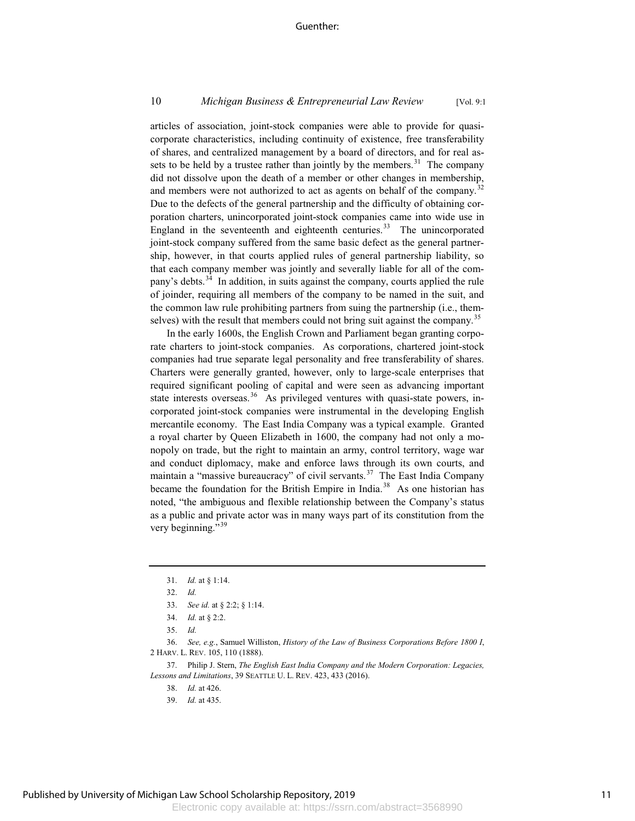### 10 *Michigan Business & Entrepreneurial Law Review* [Vol. 9:1

articles of association, joint-stock companies were able to provide for quasicorporate characteristics, including continuity of existence, free transferability of shares, and centralized management by a board of directors, and for real assets to be held by a trustee rather than jointly by the members. $31$  The company did not dissolve upon the death of a member or other changes in membership, and members were not authorized to act as agents on behalf of the company.<sup>32</sup> Due to the defects of the general partnership and the difficulty of obtaining corporation charters, unincorporated joint-stock companies came into wide use in England in the seventeenth and eighteenth centuries.<sup>33</sup> The unincorporated joint-stock company suffered from the same basic defect as the general partnership, however, in that courts applied rules of general partnership liability, so that each company member was jointly and severally liable for all of the company's debts.<sup>34</sup> In addition, in suits against the company, courts applied the rule of joinder, requiring all members of the company to be named in the suit, and the common law rule prohibiting partners from suing the partnership (i.e., themselves) with the result that members could not bring suit against the company.<sup>35</sup>

In the early 1600s, the English Crown and Parliament began granting corporate charters to joint-stock companies. As corporations, chartered joint-stock companies had true separate legal personality and free transferability of shares. Charters were generally granted, however, only to large-scale enterprises that required significant pooling of capital and were seen as advancing important state interests overseas.<sup>36</sup> As privileged ventures with quasi-state powers, incorporated joint-stock companies were instrumental in the developing English mercantile economy. The East India Company was a typical example. Granted a royal charter by Queen Elizabeth in 1600, the company had not only a monopoly on trade, but the right to maintain an army, control territory, wage war and conduct diplomacy, make and enforce laws through its own courts, and maintain a "massive bureaucracy" of civil servants.<sup>37</sup> The East India Company became the foundation for the British Empire in India.<sup>38</sup> As one historian has noted, "the ambiguous and flexible relationship between the Company's status as a public and private actor was in many ways part of its constitution from the very beginning."<sup>39</sup>

36. *See, e.g.*, Samuel Williston, *History of the Law of Business Corporations Before 1800 I*, 2 HARV. L. REV. 105, 110 (1888).

37. Philip J. Stern, *The English East India Company and the Modern Corporation: Legacies, Lessons and Limitations*, 39 SEATTLE U. L. REV. 423, 433 (2016).

- 38. *Id.* at 426.
- 39. *Id.* at 435.

<sup>31.</sup> *Id.* at § 1:14.

<sup>32.</sup> *Id.*

<sup>33.</sup> *See id.* at § 2:2; § 1:14.

<sup>34.</sup> *Id.* at § 2:2.

<sup>35.</sup> *Id.*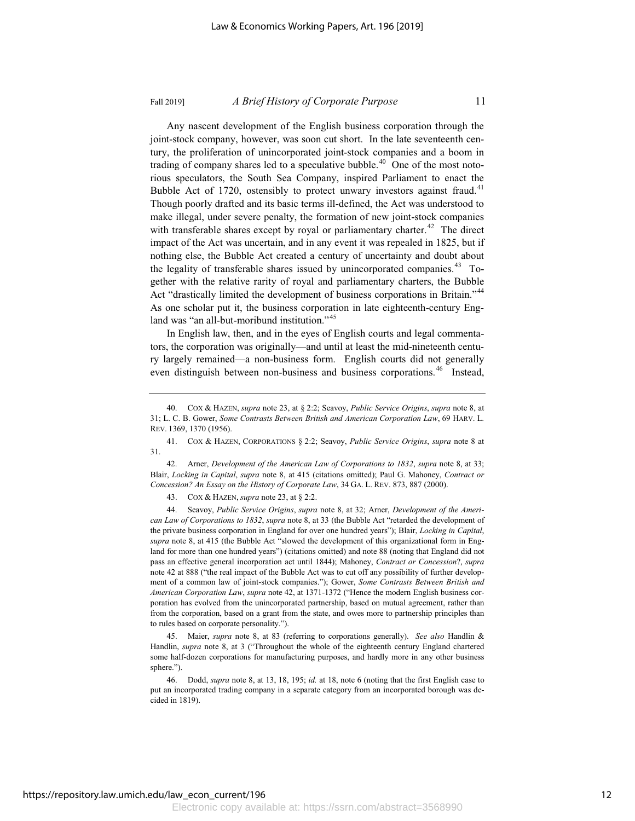Any nascent development of the English business corporation through the joint-stock company, however, was soon cut short. In the late seventeenth century, the proliferation of unincorporated joint-stock companies and a boom in trading of company shares led to a speculative bubble.<sup>40</sup> One of the most notorious speculators, the South Sea Company, inspired Parliament to enact the Bubble Act of 1720, ostensibly to protect unwary investors against fraud.<sup>41</sup> Though poorly drafted and its basic terms ill-defined, the Act was understood to make illegal, under severe penalty, the formation of new joint-stock companies with transferable shares except by royal or parliamentary charter.<sup>42</sup> The direct impact of the Act was uncertain, and in any event it was repealed in 1825, but if nothing else, the Bubble Act created a century of uncertainty and doubt about the legality of transferable shares issued by unincorporated companies.<sup>43</sup> Together with the relative rarity of royal and parliamentary charters, the Bubble Act "drastically limited the development of business corporations in Britain."<sup>44</sup> As one scholar put it, the business corporation in late eighteenth-century England was "an all-but-moribund institution."<sup>45</sup>

In English law, then, and in the eyes of English courts and legal commentators, the corporation was originally—and until at least the mid-nineteenth century largely remained—a non-business form. English courts did not generally even distinguish between non-business and business corporations.<sup>46</sup> Instead,

42. Arner, *Development of the American Law of Corporations to 1832*, *supra* note 8, at 33; Blair, *Locking in Capital*, *supra* note 8, at 415 (citations omitted); Paul G. Mahoney, *Contract or Concession? An Essay on the History of Corporate Law*, 34 GA. L. REV. 873, 887 (2000).

43. COX & HAZEN, *supra* note 23, at § 2:2.

44. Seavoy, *Public Service Origins*, *supra* note 8, at 32; Arner, *Development of the American Law of Corporations to 1832*, *supra* note 8, at 33 (the Bubble Act "retarded the development of the private business corporation in England for over one hundred years"); Blair, *Locking in Capital*, *supra* note 8, at 415 (the Bubble Act "slowed the development of this organizational form in England for more than one hundred years") (citations omitted) and note 88 (noting that England did not pass an effective general incorporation act until 1844); Mahoney, *Contract or Concession*?, *supra* note 42 at 888 ("the real impact of the Bubble Act was to cut off any possibility of further development of a common law of joint-stock companies."); Gower, *Some Contrasts Between British and American Corporation Law*, *supra* note 42, at 1371-1372 ("Hence the modern English business corporation has evolved from the unincorporated partnership, based on mutual agreement, rather than from the corporation, based on a grant from the state, and owes more to partnership principles than to rules based on corporate personality.").

45. Maier, *supra* note 8, at 83 (referring to corporations generally). *See also* Handlin & Handlin, *supra* note 8, at 3 ("Throughout the whole of the eighteenth century England chartered some half-dozen corporations for manufacturing purposes, and hardly more in any other business sphere.").

46. Dodd, *supra* note 8, at 13, 18, 195; *id.* at 18, note 6 (noting that the first English case to put an incorporated trading company in a separate category from an incorporated borough was decided in 1819).

<sup>40.</sup> COX & HAZEN, *supra* note 23, at § 2:2; Seavoy, *Public Service Origins*, *supra* note 8, at 31; L. C. B. Gower, *Some Contrasts Between British and American Corporation Law*, 69 HARV. L. REV. 1369, 1370 (1956).

<sup>41.</sup> COX & HAZEN, CORPORATIONS § 2:2; Seavoy, *Public Service Origins*, *supra* note 8 at 31.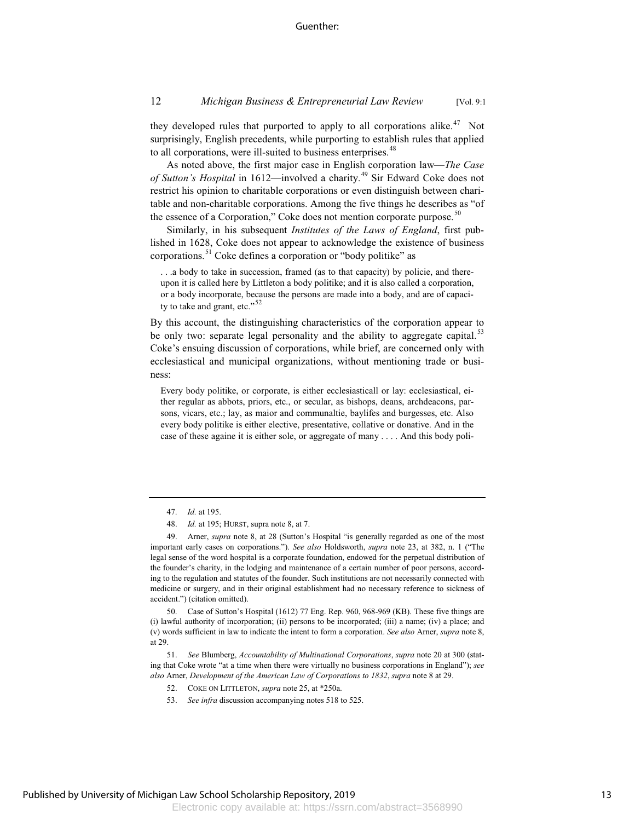they developed rules that purported to apply to all corporations alike.<sup>47</sup> Not surprisingly, English precedents, while purporting to establish rules that applied to all corporations, were ill-suited to business enterprises.<sup>48</sup>

As noted above, the first major case in English corporation law—*The Case of Sutton's Hospital* in 1612—involved a charity.<sup>49</sup> Sir Edward Coke does not restrict his opinion to charitable corporations or even distinguish between charitable and non-charitable corporations. Among the five things he describes as "of the essence of a Corporation," Coke does not mention corporate purpose.<sup>50</sup>

Similarly, in his subsequent *Institutes of the Laws of England*, first published in 1628, Coke does not appear to acknowledge the existence of business corporations.<sup>51</sup> Coke defines a corporation or "body politike" as

. . .a body to take in succession, framed (as to that capacity) by policie, and thereupon it is called here by Littleton a body politike; and it is also called a corporation, or a body incorporate, because the persons are made into a body, and are of capacity to take and grant, etc." $52$ 

By this account, the distinguishing characteristics of the corporation appear to be only two: separate legal personality and the ability to aggregate capital.<sup>53</sup> Coke's ensuing discussion of corporations, while brief, are concerned only with ecclesiastical and municipal organizations, without mentioning trade or business:

Every body politike, or corporate, is either ecclesiasticall or lay: ecclesiastical, either regular as abbots, priors, etc., or secular, as bishops, deans, archdeacons, parsons, vicars, etc.; lay, as maior and communaltie, baylifes and burgesses, etc. Also every body politike is either elective, presentative, collative or donative. And in the case of these againe it is either sole, or aggregate of many . . . . And this body poli-

51. *See* Blumberg, *Accountability of Multinational Corporations*, *supra* note 20 at 300 (stating that Coke wrote "at a time when there were virtually no business corporations in England"); *see also* Arner, *Development of the American Law of Corporations to 1832*, *supra* note 8 at 29.

<sup>47.</sup> *Id.* at 195.

<sup>48.</sup> *Id.* at 195; HURST, supra note 8, at 7.

<sup>49.</sup> Arner, *supra* note 8, at 28 (Sutton's Hospital "is generally regarded as one of the most important early cases on corporations."). *See also* Holdsworth, *supra* note 23, at 382, n. 1 ("The legal sense of the word hospital is a corporate foundation, endowed for the perpetual distribution of the founder's charity, in the lodging and maintenance of a certain number of poor persons, according to the regulation and statutes of the founder. Such institutions are not necessarily connected with medicine or surgery, and in their original establishment had no necessary reference to sickness of accident.") (citation omitted).

<sup>50.</sup> Case of Sutton's Hospital (1612) 77 Eng. Rep. 960, 968-969 (KB). These five things are (i) lawful authority of incorporation; (ii) persons to be incorporated; (iii) a name; (iv) a place; and (v) words sufficient in law to indicate the intent to form a corporation. *See also* Arner, *supra* note 8, at 29.

<sup>52.</sup> COKE ON LITTLETON, *supra* note 25, at \*250a.

<sup>53.</sup> *See infra* discussion accompanying notes 518 to 525.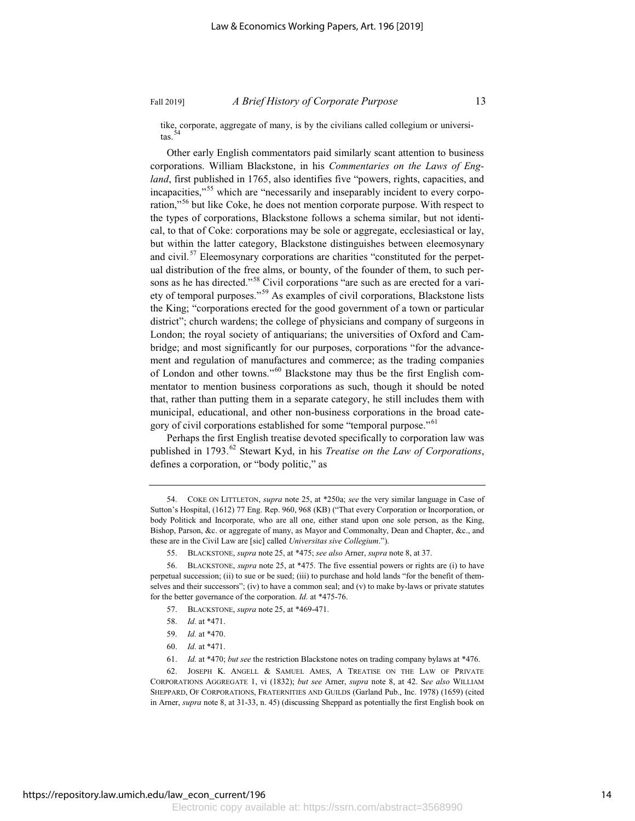tike, corporate, aggregate of many, is by the civilians called collegium or universitas.  $54$ 

Other early English commentators paid similarly scant attention to business corporations. William Blackstone, in his *Commentaries on the Laws of England*, first published in 1765, also identifies five "powers, rights, capacities, and incapacities,"<sup>55</sup> which are "necessarily and inseparably incident to every corporation,"<sup>56</sup> but like Coke, he does not mention corporate purpose. With respect to the types of corporations, Blackstone follows a schema similar, but not identical, to that of Coke: corporations may be sole or aggregate, ecclesiastical or lay, but within the latter category, Blackstone distinguishes between eleemosynary and civil.<sup>57</sup> Eleemosynary corporations are charities "constituted for the perpetual distribution of the free alms, or bounty, of the founder of them, to such persons as he has directed."<sup>58</sup> Civil corporations "are such as are erected for a variety of temporal purposes."<sup>59</sup> As examples of civil corporations, Blackstone lists the King; "corporations erected for the good government of a town or particular district"; church wardens; the college of physicians and company of surgeons in London; the royal society of antiquarians; the universities of Oxford and Cambridge; and most significantly for our purposes, corporations "for the advancement and regulation of manufactures and commerce; as the trading companies of London and other towns."<sup>60</sup> Blackstone may thus be the first English commentator to mention business corporations as such, though it should be noted that, rather than putting them in a separate category, he still includes them with municipal, educational, and other non-business corporations in the broad category of civil corporations established for some "temporal purpose."<sup>61</sup>

Perhaps the first English treatise devoted specifically to corporation law was published in 1793.<sup>62</sup> Stewart Kyd, in his *Treatise on the Law of Corporations*, defines a corporation, or "body politic," as

- 57. BLACKSTONE, *supra* note 25, at \*469-471.
- 58. *Id.* at \*471.
- 59. *Id.* at \*470.
- 60. *Id.* at \*471.
- 61. *Id.* at \*470; *but see* the restriction Blackstone notes on trading company bylaws at \*476.

62. JOSEPH K. ANGELL & SAMUEL AMES,ATREATISE ON THE LAW OF PRIVATE CORPORATIONS AGGREGATE 1, vi (1832); *but see* Arner, *supra* note 8, at 42. S*ee also* WILLIAM SHEPPARD, OF CORPORATIONS, FRATERNITIES AND GUILDS (Garland Pub., Inc. 1978) (1659) (cited in Arner, *supra* note 8, at 31-33, n. 45) (discussing Sheppard as potentially the first English book on

<sup>54.</sup> COKE ON LITTLETON, *supra* note 25, at \*250a; *see* the very similar language in Case of Sutton's Hospital, (1612) 77 Eng. Rep. 960, 968 (KB) ("That every Corporation or Incorporation, or body Politick and Incorporate, who are all one, either stand upon one sole person, as the King, Bishop, Parson, &c. or aggregate of many, as Mayor and Commonalty, Dean and Chapter, &c., and these are in the Civil Law are [sic] called *Universitas sive Collegium*.").

<sup>55.</sup> BLACKSTONE, *supra* note 25, at \*475; *see also* Arner, *supra* note 8, at 37.

<sup>56.</sup> BLACKSTONE, *supra* note 25, at \*475. The five essential powers or rights are (i) to have perpetual succession; (ii) to sue or be sued; (iii) to purchase and hold lands "for the benefit of themselves and their successors"; (iv) to have a common seal; and  $(v)$  to make by-laws or private statutes for the better governance of the corporation. *Id.* at \*475-76.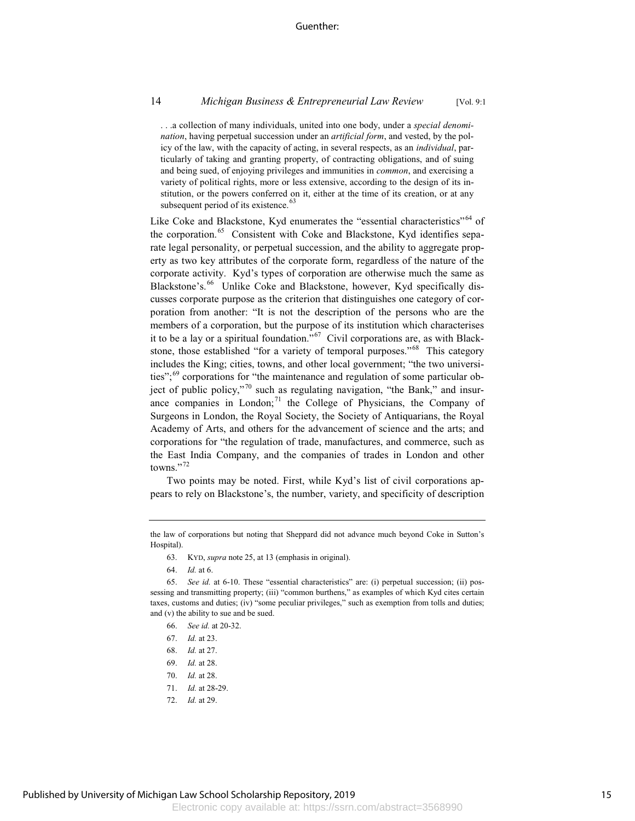. . .a collection of many individuals, united into one body, under a *special denomination*, having perpetual succession under an *artificial form*, and vested, by the policy of the law, with the capacity of acting, in several respects, as an *individual*, particularly of taking and granting property, of contracting obligations, and of suing and being sued, of enjoying privileges and immunities in *common*, and exercising a variety of political rights, more or less extensive, according to the design of its institution, or the powers conferred on it, either at the time of its creation, or at any subsequent period of its existence.<sup>63</sup>

Like Coke and Blackstone, Kyd enumerates the "essential characteristics"<sup>64</sup> of the corporation.<sup>65</sup> Consistent with Coke and Blackstone, Kyd identifies separate legal personality, or perpetual succession, and the ability to aggregate property as two key attributes of the corporate form, regardless of the nature of the corporate activity. Kyd's types of corporation are otherwise much the same as Blackstone's.<sup>66</sup> Unlike Coke and Blackstone, however, Kyd specifically discusses corporate purpose as the criterion that distinguishes one category of corporation from another: "It is not the description of the persons who are the members of a corporation, but the purpose of its institution which characterises it to be a lay or a spiritual foundation."<sup>67</sup> Civil corporations are, as with Blackstone, those established "for a variety of temporal purposes."<sup>68</sup> This category includes the King; cities, towns, and other local government; "the two universities"; $\frac{69}{6}$  corporations for "the maintenance and regulation of some particular object of public policy,"<sup>70</sup> such as regulating navigation, "the Bank," and insurance companies in London; $^{71}$  the College of Physicians, the Company of Surgeons in London, the Royal Society, the Society of Antiquarians, the Royal Academy of Arts, and others for the advancement of science and the arts; and corporations for "the regulation of trade, manufactures, and commerce, such as the East India Company, and the companies of trades in London and other towns."<sup>72</sup>

Two points may be noted. First, while Kyd's list of civil corporations appears to rely on Blackstone's, the number, variety, and specificity of description

- 67. *Id.* at 23.
- 68. *Id.* at 27.
- 69. *Id.* at 28.
- 70. *Id.* at 28.
- 71. *Id.* at 28-29.
- 72. *Id.* at 29.

the law of corporations but noting that Sheppard did not advance much beyond Coke in Sutton's Hospital).

<sup>63.</sup> KYD, *supra* note 25, at 13 (emphasis in original).

<sup>64.</sup> *Id.* at 6.

<sup>65.</sup> *See id.* at 6-10. These "essential characteristics" are: (i) perpetual succession; (ii) possessing and transmitting property; (iii) "common burthens," as examples of which Kyd cites certain taxes, customs and duties; (iv) "some peculiar privileges," such as exemption from tolls and duties; and (v) the ability to sue and be sued.

<sup>66.</sup> *See id.* at 20-32.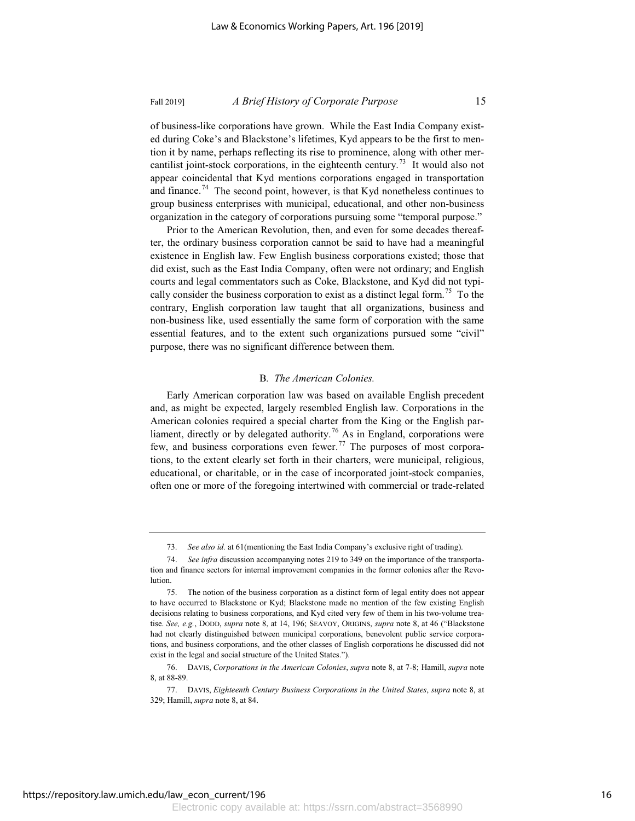of business-like corporations have grown. While the East India Company existed during Coke's and Blackstone's lifetimes, Kyd appears to be the first to mention it by name, perhaps reflecting its rise to prominence, along with other mercantilist joint-stock corporations, in the eighteenth century.<sup>73</sup> It would also not appear coincidental that Kyd mentions corporations engaged in transportation and finance.<sup>74</sup> The second point, however, is that Kyd nonetheless continues to group business enterprises with municipal, educational, and other non-business organization in the category of corporations pursuing some "temporal purpose."

Prior to the American Revolution, then, and even for some decades thereafter, the ordinary business corporation cannot be said to have had a meaningful existence in English law. Few English business corporations existed; those that did exist, such as the East India Company, often were not ordinary; and English courts and legal commentators such as Coke, Blackstone, and Kyd did not typically consider the business corporation to exist as a distinct legal form.<sup>75</sup> To the contrary, English corporation law taught that all organizations, business and non-business like, used essentially the same form of corporation with the same essential features, and to the extent such organizations pursued some "civil" purpose, there was no significant difference between them.

### B*. The American Colonies.*

Early American corporation law was based on available English precedent and, as might be expected, largely resembled English law. Corporations in the American colonies required a special charter from the King or the English parliament, directly or by delegated authority.<sup>76</sup> As in England, corporations were few, and business corporations even fewer.<sup>77</sup> The purposes of most corporations, to the extent clearly set forth in their charters, were municipal, religious, educational, or charitable, or in the case of incorporated joint-stock companies, often one or more of the foregoing intertwined with commercial or trade-related

<sup>73.</sup> *See also id.* at 61(mentioning the East India Company's exclusive right of trading).

<sup>74.</sup> *See infra* discussion accompanying notes 219 to 349 on the importance of the transportation and finance sectors for internal improvement companies in the former colonies after the Revolution.

<sup>75.</sup> The notion of the business corporation as a distinct form of legal entity does not appear to have occurred to Blackstone or Kyd; Blackstone made no mention of the few existing English decisions relating to business corporations, and Kyd cited very few of them in his two-volume treatise. *See, e.g.*, DODD, *supra* note 8, at 14, 196; SEAVOY, ORIGINS, *supra* note 8, at 46 ("Blackstone had not clearly distinguished between municipal corporations, benevolent public service corporations, and business corporations, and the other classes of English corporations he discussed did not exist in the legal and social structure of the United States.").

<sup>76.</sup> DAVIS, *Corporations in the American Colonies*, *supra* note 8, at 7-8; Hamill, *supra* note 8, at 88-89.

<sup>77.</sup> DAVIS, *Eighteenth Century Business Corporations in the United States*, *supra* note 8, at 329; Hamill, *supra* note 8, at 84.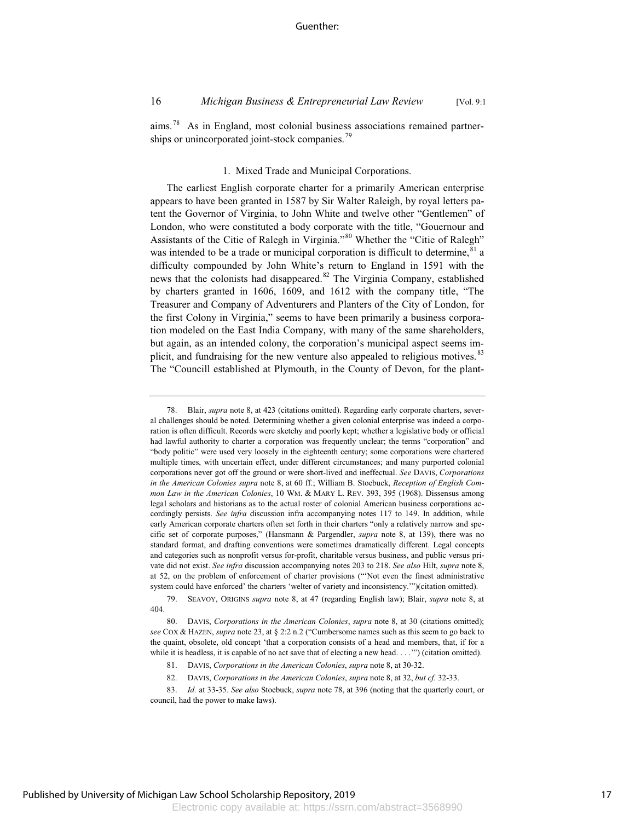$a$ ims.<sup>78</sup> As in England, most colonial business associations remained partnerships or unincorporated joint-stock companies.<sup>79</sup>

### 1. Mixed Trade and Municipal Corporations.

The earliest English corporate charter for a primarily American enterprise appears to have been granted in 1587 by Sir Walter Raleigh, by royal letters patent the Governor of Virginia, to John White and twelve other "Gentlemen" of London, who were constituted a body corporate with the title, "Gouernour and Assistants of the Citie of Ralegh in Virginia."<sup>80</sup> Whether the "Citie of Ralegh" was intended to be a trade or municipal corporation is difficult to determine,  $81$  a difficulty compounded by John White's return to England in 1591 with the news that the colonists had disappeared.<sup>82</sup> The Virginia Company, established by charters granted in 1606, 1609, and 1612 with the company title, "The Treasurer and Company of Adventurers and Planters of the City of London, for the first Colony in Virginia," seems to have been primarily a business corporation modeled on the East India Company, with many of the same shareholders, but again, as an intended colony, the corporation's municipal aspect seems implicit, and fundraising for the new venture also appealed to religious motives.<sup>83</sup> The "Councill established at Plymouth, in the County of Devon, for the plant-

<sup>78.</sup> Blair, *supra* note 8, at 423 (citations omitted). Regarding early corporate charters, several challenges should be noted. Determining whether a given colonial enterprise was indeed a corporation is often difficult. Records were sketchy and poorly kept; whether a legislative body or official had lawful authority to charter a corporation was frequently unclear; the terms "corporation" and "body politic" were used very loosely in the eighteenth century; some corporations were chartered multiple times, with uncertain effect, under different circumstances; and many purported colonial corporations never got off the ground or were short-lived and ineffectual. *See* DAVIS, *Corporations in the American Colonies supra* note 8, at 60 ff.; William B. Stoebuck, *Reception of English Common Law in the American Colonies*, 10 WM. & MARY L. REV. 393, 395 (1968). Dissensus among legal scholars and historians as to the actual roster of colonial American business corporations accordingly persists. *See infra* discussion infra accompanying notes 117 to 149. In addition, while early American corporate charters often set forth in their charters "only a relatively narrow and specific set of corporate purposes," (Hansmann & Pargendler, *supra* note 8, at 139), there was no standard format, and drafting conventions were sometimes dramatically different. Legal concepts and categories such as nonprofit versus for-profit, charitable versus business, and public versus private did not exist. *See infra* discussion accompanying notes 203 to 218. *See also* Hilt, *supra* note 8, at 52, on the problem of enforcement of charter provisions ("'Not even the finest administrative system could have enforced' the charters 'welter of variety and inconsistency.'")(citation omitted).

<sup>79.</sup> SEAVOY, ORIGINS *supra* note 8, at 47 (regarding English law); Blair, *supra* note 8, at 404.

<sup>80.</sup> DAVIS, *Corporations in the American Colonies*, *supra* note 8, at 30 (citations omitted); *see* COX & HAZEN, *supra* note 23, at § 2:2 n.2 ("Cumbersome names such as this seem to go back to the quaint, obsolete, old concept 'that a corporation consists of a head and members, that, if for a while it is headless, it is capable of no act save that of electing a new head.  $\dots$ ") (citation omitted).

<sup>81.</sup> DAVIS, *Corporations in the American Colonies*, *supra* note 8, at 30-32.

<sup>82.</sup> DAVIS, *Corporations in the American Colonies*, *supra* note 8, at 32, *but cf.* 32-33.

<sup>83.</sup> *Id.* at 33-35. *See also* Stoebuck, *supra* note 78, at 396 (noting that the quarterly court, or council, had the power to make laws).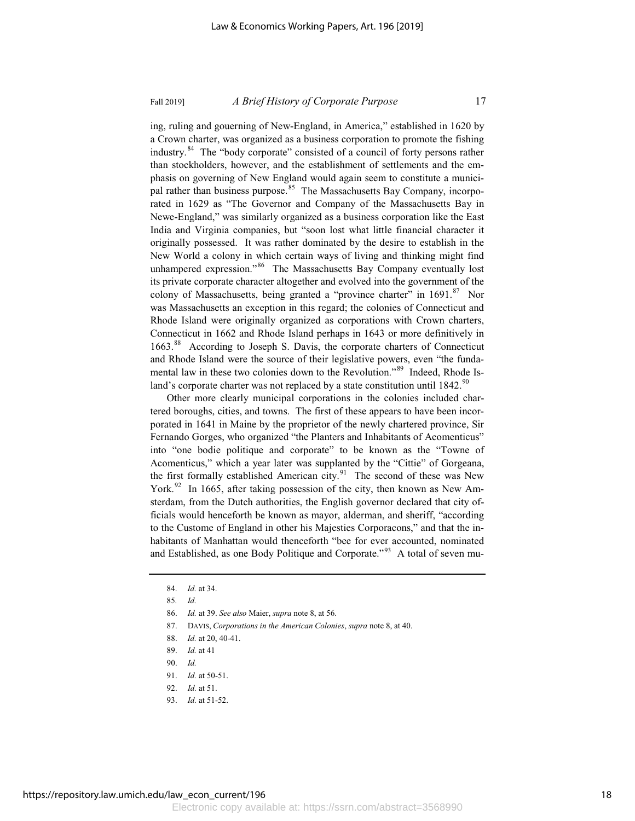ing, ruling and gouerning of New-England, in America," established in 1620 by a Crown charter, was organized as a business corporation to promote the fishing industry.<sup>84</sup> The "body corporate" consisted of a council of forty persons rather than stockholders, however, and the establishment of settlements and the emphasis on governing of New England would again seem to constitute a municipal rather than business purpose.<sup>85</sup> The Massachusetts Bay Company, incorporated in 1629 as "The Governor and Company of the Massachusetts Bay in Newe-England," was similarly organized as a business corporation like the East India and Virginia companies, but "soon lost what little financial character it originally possessed. It was rather dominated by the desire to establish in the New World a colony in which certain ways of living and thinking might find unhampered expression."<sup>86</sup> The Massachusetts Bay Company eventually lost its private corporate character altogether and evolved into the government of the colony of Massachusetts, being granted a "province charter" in 1691.<sup>87</sup> Nor was Massachusetts an exception in this regard; the colonies of Connecticut and Rhode Island were originally organized as corporations with Crown charters, Connecticut in 1662 and Rhode Island perhaps in 1643 or more definitively in 1663.<sup>88</sup> According to Joseph S. Davis, the corporate charters of Connecticut and Rhode Island were the source of their legislative powers, even "the fundamental law in these two colonies down to the Revolution."<sup>89</sup> Indeed, Rhode Island's corporate charter was not replaced by a state constitution until  $1842$ .<sup>90</sup>

Other more clearly municipal corporations in the colonies included chartered boroughs, cities, and towns. The first of these appears to have been incorporated in 1641 in Maine by the proprietor of the newly chartered province, Sir Fernando Gorges, who organized "the Planters and Inhabitants of Acomenticus" into "one bodie politique and corporate" to be known as the "Towne of Acomenticus," which a year later was supplanted by the "Cittie" of Gorgeana, the first formally established American city.<sup>91</sup> The second of these was New York.<sup>92</sup> In 1665, after taking possession of the city, then known as New Amsterdam, from the Dutch authorities, the English governor declared that city officials would henceforth be known as mayor, alderman, and sheriff, "according to the Custome of England in other his Majesties Corporacons," and that the inhabitants of Manhattan would thenceforth "bee for ever accounted, nominated and Established, as one Body Politique and Corporate."<sup>93</sup> A total of seven mu-

93. *Id.* at 51-52.

<sup>84.</sup> *Id.* at 34.

<sup>85</sup>*. Id.*

<sup>86.</sup> *Id.* at 39. *See also* Maier, *supra* note 8, at 56.

<sup>87.</sup> DAVIS, *Corporations in the American Colonies*, *supra* note 8, at 40.

<sup>88.</sup> *Id.* at 20, 40-41.

<sup>89.</sup> *Id.* at 41

<sup>90.</sup> *Id.*

<sup>91.</sup> *Id.* at 50-51.

<sup>92.</sup> *Id.* at 51.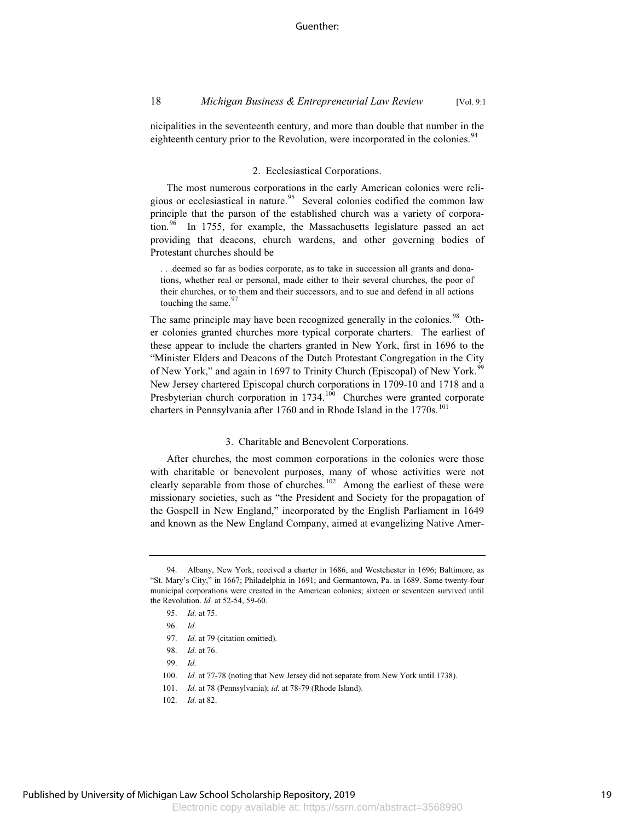nicipalities in the seventeenth century, and more than double that number in the eighteenth century prior to the Revolution, were incorporated in the colonies.<sup>94</sup>

### 2. Ecclesiastical Corporations.

The most numerous corporations in the early American colonies were religious or ecclesiastical in nature.<sup>95</sup> Several colonies codified the common law principle that the parson of the established church was a variety of corporation.<sup>96</sup> In 1755, for example, the Massachusetts legislature passed an act providing that deacons, church wardens, and other governing bodies of Protestant churches should be

. . .deemed so far as bodies corporate, as to take in succession all grants and donations, whether real or personal, made either to their several churches, the poor of their churches, or to them and their successors, and to sue and defend in all actions touching the same.<sup>97</sup>

The same principle may have been recognized generally in the colonies.<sup>98</sup> Other colonies granted churches more typical corporate charters. The earliest of these appear to include the charters granted in New York, first in 1696 to the "Minister Elders and Deacons of the Dutch Protestant Congregation in the City of New York," and again in 1697 to Trinity Church (Episcopal) of New York.<sup>99</sup> New Jersey chartered Episcopal church corporations in 1709-10 and 1718 and a Presbyterian church corporation in  $1734$ .<sup>100</sup> Churches were granted corporate charters in Pennsylvania after 1760 and in Rhode Island in the 1770s.<sup>101</sup>

### 3. Charitable and Benevolent Corporations.

After churches, the most common corporations in the colonies were those with charitable or benevolent purposes, many of whose activities were not clearly separable from those of churches.<sup>102</sup> Among the earliest of these were missionary societies, such as "the President and Society for the propagation of the Gospell in New England," incorporated by the English Parliament in 1649 and known as the New England Company, aimed at evangelizing Native Amer-

<sup>94.</sup> Albany, New York, received a charter in 1686, and Westchester in 1696; Baltimore, as "St. Mary's City," in 1667; Philadelphia in 1691; and Germantown, Pa. in 1689. Some twenty-four municipal corporations were created in the American colonies; sixteen or seventeen survived until the Revolution. *Id.* at 52-54, 59-60.

<sup>95.</sup> *Id.* at 75.

<sup>96.</sup> *Id.*

<sup>97.</sup> *Id.* at 79 (citation omitted).

<sup>98.</sup> *Id.* at 76.

<sup>99.</sup> *Id.*

<sup>100.</sup> *Id.* at 77-78 (noting that New Jersey did not separate from New York until 1738).

<sup>101.</sup> *Id.* at 78 (Pennsylvania); *id.* at 78-79 (Rhode Island).

<sup>102.</sup> *Id.* at 82.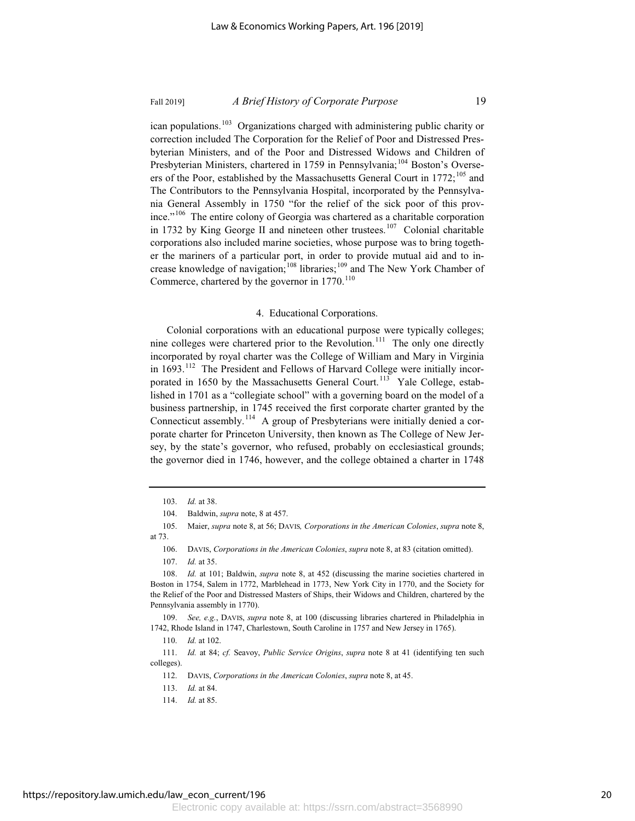ican populations.<sup>103</sup> Organizations charged with administering public charity or correction included The Corporation for the Relief of Poor and Distressed Presbyterian Ministers, and of the Poor and Distressed Widows and Children of Presbyterian Ministers, chartered in 1759 in Pennsylvania;<sup>104</sup> Boston's Overseers of the Poor, established by the Massachusetts General Court in 1772;<sup>105</sup> and The Contributors to the Pennsylvania Hospital, incorporated by the Pennsylvania General Assembly in 1750 "for the relief of the sick poor of this province."<sup>106</sup> The entire colony of Georgia was chartered as a charitable corporation in 1732 by King George II and nineteen other trustees.<sup>107</sup> Colonial charitable corporations also included marine societies, whose purpose was to bring together the mariners of a particular port, in order to provide mutual aid and to increase knowledge of navigation;<sup>108</sup> libraries;<sup>109</sup> and The New York Chamber of Commerce, chartered by the governor in  $1770^{110}$ 

### 4. Educational Corporations.

Colonial corporations with an educational purpose were typically colleges; nine colleges were chartered prior to the Revolution.<sup>111</sup> The only one directly incorporated by royal charter was the College of William and Mary in Virginia in  $1693$ <sup>112</sup> The President and Fellows of Harvard College were initially incorporated in 1650 by the Massachusetts General Court.<sup>113</sup> Yale College, established in 1701 as a "collegiate school" with a governing board on the model of a business partnership, in 1745 received the first corporate charter granted by the Connecticut assembly.<sup>114</sup> A group of Presbyterians were initially denied a corporate charter for Princeton University, then known as The College of New Jersey, by the state's governor, who refused, probably on ecclesiastical grounds; the governor died in 1746, however, and the college obtained a charter in 1748

<sup>103.</sup> *Id.* at 38.

<sup>104.</sup> Baldwin, *supra* note, 8 at 457.

<sup>105.</sup> Maier, *supra* note 8, at 56; DAVIS*, Corporations in the American Colonies*, *supra* note 8, at 73.

<sup>106.</sup> DAVIS, *Corporations in the American Colonies*, *supra* note 8, at 83 (citation omitted).

<sup>107.</sup> *Id.* at 35.

<sup>108.</sup> *Id.* at 101; Baldwin, *supra* note 8, at 452 (discussing the marine societies chartered in Boston in 1754, Salem in 1772, Marblehead in 1773, New York City in 1770, and the Society for the Relief of the Poor and Distressed Masters of Ships, their Widows and Children, chartered by the Pennsylvania assembly in 1770).

<sup>109.</sup> *See, e.g.*, DAVIS, *supra* note 8, at 100 (discussing libraries chartered in Philadelphia in 1742, Rhode Island in 1747, Charlestown, South Caroline in 1757 and New Jersey in 1765).

<sup>110.</sup> *Id.* at 102.

<sup>111.</sup> *Id.* at 84; *cf.* Seavoy, *Public Service Origins*, *supra* note 8 at 41 (identifying ten such colleges).

<sup>112.</sup> DAVIS, *Corporations in the American Colonies*, *supra* note 8, at 45.

<sup>113.</sup> *Id.* at 84.

<sup>114.</sup> *Id.* at 85.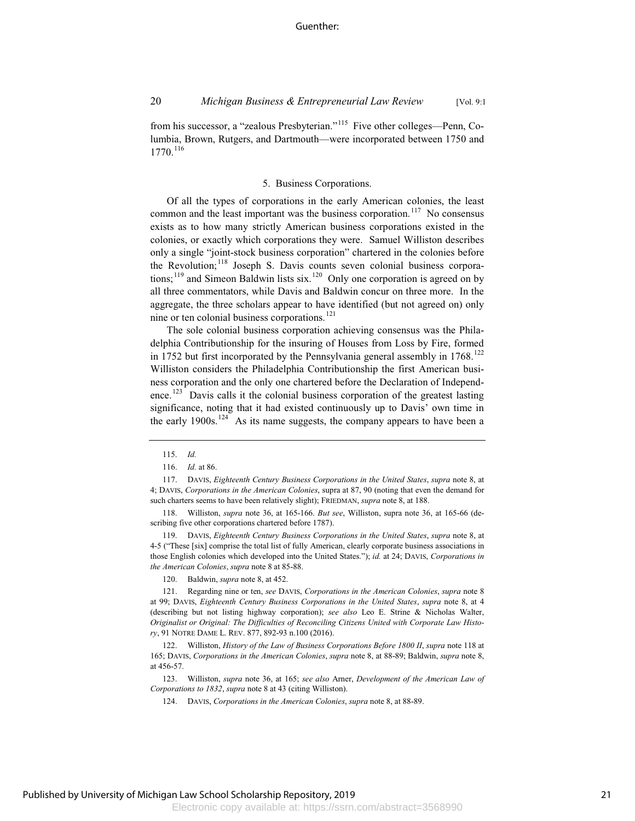from his successor, a "zealous Presbyterian."<sup>115</sup> Five other colleges—Penn, Columbia, Brown, Rutgers, and Dartmouth—were incorporated between 1750 and

### 5. Business Corporations.

Of all the types of corporations in the early American colonies, the least common and the least important was the business corporation.<sup>117</sup> No consensus exists as to how many strictly American business corporations existed in the colonies, or exactly which corporations they were. Samuel Williston describes only a single "joint-stock business corporation" chartered in the colonies before the Revolution;<sup>118</sup> Joseph S. Davis counts seven colonial business corporations;<sup>119</sup> and Simeon Baldwin lists six.<sup>120</sup> Only one corporation is agreed on by all three commentators, while Davis and Baldwin concur on three more. In the aggregate, the three scholars appear to have identified (but not agreed on) only nine or ten colonial business corporations.<sup>121</sup>

The sole colonial business corporation achieving consensus was the Philadelphia Contributionship for the insuring of Houses from Loss by Fire, formed in 1752 but first incorporated by the Pennsylvania general assembly in  $1768$ .<sup>122</sup> Williston considers the Philadelphia Contributionship the first American business corporation and the only one chartered before the Declaration of Independence.<sup>123</sup> Davis calls it the colonial business corporation of the greatest lasting significance, noting that it had existed continuously up to Davis' own time in the early 1900s.<sup>124</sup> As its name suggests, the company appears to have been a

1770.<sup>116</sup>

119. DAVIS, *Eighteenth Century Business Corporations in the United States*, *supra* note 8, at 4-5 ("These [six] comprise the total list of fully American, clearly corporate business associations in those English colonies which developed into the United States."); *id.* at 24; DAVIS, *Corporations in the American Colonies*, *supra* note 8 at 85-88.

120. Baldwin, *supra* note 8, at 452.

121. Regarding nine or ten, *see* DAVIS, *Corporations in the American Colonies*, *supra* note 8 at 99; DAVIS, *Eighteenth Century Business Corporations in the United States*, *supra* note 8, at 4 (describing but not listing highway corporation); *see also* Leo E. Strine & Nicholas Walter, *Originalist or Original: The Difficulties of Reconciling Citizens United with Corporate Law History*, 91 NOTRE DAME L. REV. 877, 892-93 n.100 (2016).

122. Williston, *History of the Law of Business Corporations Before 1800 II*, *supra* note 118 at 165; DAVIS, *Corporations in the American Colonies*, *supra* note 8, at 88-89; Baldwin, *supra* note 8, at 456-57.

123. Williston, *supra* note 36, at 165; *see also* Arner, *Development of the American Law of Corporations to 1832*, *supra* note 8 at 43 (citing Williston).

124. DAVIS, *Corporations in the American Colonies*, *supra* note 8, at 88-89.

<sup>115.</sup> *Id.*

<sup>116.</sup> *Id.* at 86.

<sup>117.</sup> DAVIS, *Eighteenth Century Business Corporations in the United States*, *supra* note 8, at 4; DAVIS, *Corporations in the American Colonies*, supra at 87, 90 (noting that even the demand for such charters seems to have been relatively slight); FRIEDMAN, *supra* note 8, at 188.

<sup>118.</sup> Williston, *supra* note 36, at 165-166. *But see*, Williston, supra note 36, at 165-66 (describing five other corporations chartered before 1787).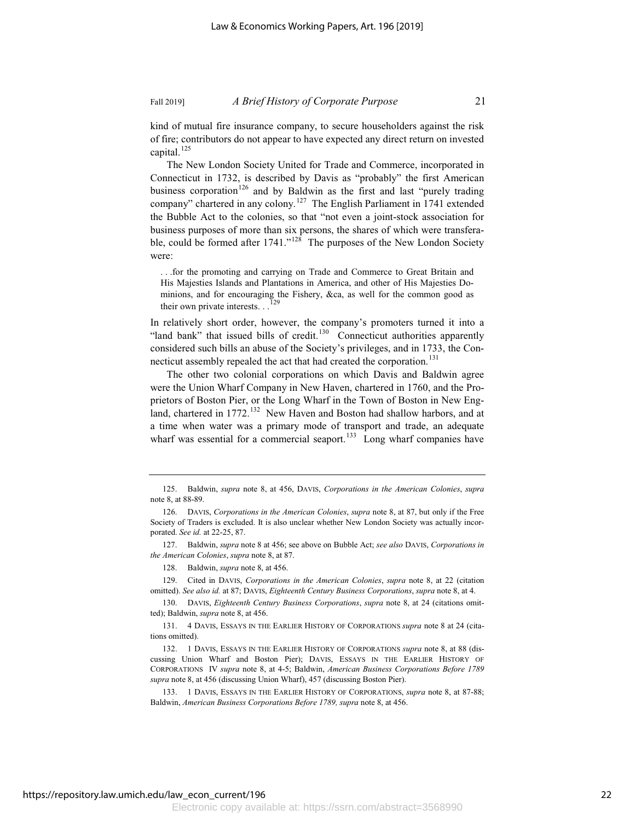kind of mutual fire insurance company, to secure householders against the risk of fire; contributors do not appear to have expected any direct return on invested capital.<sup>125</sup>

The New London Society United for Trade and Commerce, incorporated in Connecticut in 1732, is described by Davis as "probably" the first American business corporation<sup>126</sup> and by Baldwin as the first and last "purely trading company" chartered in any colony.<sup>127</sup> The English Parliament in 1741 extended the Bubble Act to the colonies, so that "not even a joint-stock association for business purposes of more than six persons, the shares of which were transferable, could be formed after  $1741.^{128}$  The purposes of the New London Society were:

. . .for the promoting and carrying on Trade and Commerce to Great Britain and His Majesties Islands and Plantations in America, and other of His Majesties Dominions, and for encouraging the Fishery, &ca, as well for the common good as their own private interests. . .

In relatively short order, however, the company's promoters turned it into a "land bank" that issued bills of credit.<sup>130</sup> Connecticut authorities apparently considered such bills an abuse of the Society's privileges, and in 1733, the Connecticut assembly repealed the act that had created the corporation.<sup>131</sup>

The other two colonial corporations on which Davis and Baldwin agree were the Union Wharf Company in New Haven, chartered in 1760, and the Proprietors of Boston Pier, or the Long Wharf in the Town of Boston in New England, chartered in 1772.<sup>132</sup> New Haven and Boston had shallow harbors, and at a time when water was a primary mode of transport and trade, an adequate wharf was essential for a commercial seaport.<sup>133</sup> Long wharf companies have

127. Baldwin, *supra* note 8 at 456; see above on Bubble Act; *see also* DAVIS, *Corporations in the American Colonies*, *supra* note 8, at 87.

128. Baldwin, *supra* note 8, at 456.

129. Cited in DAVIS, *Corporations in the American Colonies*, *supra* note 8, at 22 (citation omitted). *See also id.* at 87; DAVIS, *Eighteenth Century Business Corporations*, *supra* note 8, at 4.

130. DAVIS, *Eighteenth Century Business Corporations*, *supra* note 8, at 24 (citations omitted); Baldwin, *supra* note 8, at 456.

131. 4 DAVIS, ESSAYS IN THE EARLIER HISTORY OF CORPORATIONS *supra* note 8 at 24 (citations omitted).

132. 1 DAVIS, ESSAYS IN THE EARLIER HISTORY OF CORPORATIONS *supra* note 8, at 88 (discussing Union Wharf and Boston Pier); DAVIS, ESSAYS IN THE EARLIER HISTORY OF CORPORATIONS IV *supra* note 8, at 4-5; Baldwin, *American Business Corporations Before 1789 supra* note 8, at 456 (discussing Union Wharf), 457 (discussing Boston Pier).

133. 1 DAVIS, ESSAYS IN THE EARLIER HISTORY OF CORPORATIONS, *supra* note 8, at 87-88; Baldwin, *American Business Corporations Before 1789, supra* note 8, at 456.

<sup>125.</sup> Baldwin, *supra* note 8, at 456, DAVIS, *Corporations in the American Colonies*, *supra* note 8, at 88-89.

<sup>126.</sup> DAVIS, *Corporations in the American Colonies*, *supra* note 8, at 87, but only if the Free Society of Traders is excluded. It is also unclear whether New London Society was actually incorporated. *See id.* at 22-25, 87.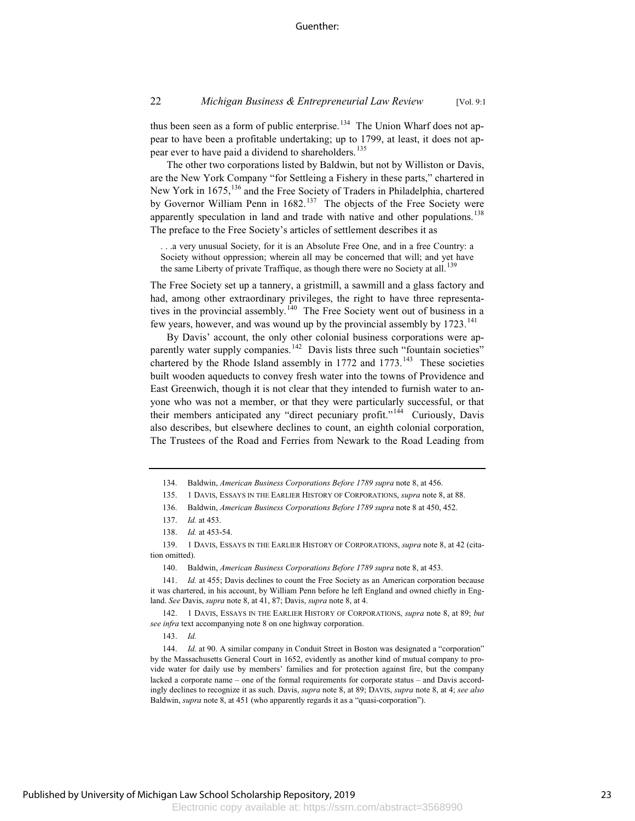thus been seen as a form of public enterprise.<sup>134</sup> The Union Wharf does not appear to have been a profitable undertaking; up to 1799, at least, it does not appear ever to have paid a dividend to shareholders.<sup>135</sup>

The other two corporations listed by Baldwin, but not by Williston or Davis, are the New York Company "for Settleing a Fishery in these parts," chartered in New York in 1675,<sup>136</sup> and the Free Society of Traders in Philadelphia, chartered by Governor William Penn in  $1682<sup>137</sup>$  The objects of the Free Society were apparently speculation in land and trade with native and other populations.<sup>138</sup> The preface to the Free Society's articles of settlement describes it as

. . .a very unusual Society, for it is an Absolute Free One, and in a free Country: a Society without oppression; wherein all may be concerned that will; and yet have the same Liberty of private Traffique, as though there were no Society at all.<sup>139</sup>

The Free Society set up a tannery, a gristmill, a sawmill and a glass factory and had, among other extraordinary privileges, the right to have three representatives in the provincial assembly.<sup>140</sup> The Free Society went out of business in a few years, however, and was wound up by the provincial assembly by  $1723$ .<sup>141</sup>

By Davis' account, the only other colonial business corporations were apparently water supply companies.<sup>142</sup> Davis lists three such "fountain societies" chartered by the Rhode Island assembly in  $1772$  and  $1773$ .<sup>143</sup> These societies built wooden aqueducts to convey fresh water into the towns of Providence and East Greenwich, though it is not clear that they intended to furnish water to anyone who was not a member, or that they were particularly successful, or that their members anticipated any "direct pecuniary profit."<sup>144</sup> Curiously, Davis also describes, but elsewhere declines to count, an eighth colonial corporation, The Trustees of the Road and Ferries from Newark to the Road Leading from

<sup>134.</sup> Baldwin, *American Business Corporations Before 1789 supra* note 8, at 456.

<sup>135. 1</sup> DAVIS, ESSAYS IN THE EARLIER HISTORY OF CORPORATIONS, *supra* note 8, at 88.

<sup>136.</sup> Baldwin, *American Business Corporations Before 1789 supra* note 8 at 450, 452.

<sup>137.</sup> *Id.* at 453.

<sup>138.</sup> *Id.* at 453-54.

<sup>139. 1</sup> DAVIS, ESSAYS IN THE EARLIER HISTORY OF CORPORATIONS, *supra* note 8, at 42 (citation omitted).

<sup>140.</sup> Baldwin, *American Business Corporations Before 1789 supra* note 8, at 453.

<sup>141.</sup> *Id.* at 455; Davis declines to count the Free Society as an American corporation because it was chartered, in his account, by William Penn before he left England and owned chiefly in England. *See* Davis, *supra* note 8, at 41, 87; Davis, *supra* note 8, at 4.

<sup>142. 1</sup> DAVIS, ESSAYS IN THE EARLIER HISTORY OF CORPORATIONS, *supra* note 8, at 89; *but see infra* text accompanying note 8 on one highway corporation.

<sup>143.</sup> *Id.*

<sup>144.</sup> *Id.* at 90. A similar company in Conduit Street in Boston was designated a "corporation" by the Massachusetts General Court in 1652, evidently as another kind of mutual company to provide water for daily use by members' families and for protection against fire, but the company lacked a corporate name – one of the formal requirements for corporate status – and Davis accordingly declines to recognize it as such. Davis, *supra* note 8, at 89; DAVIS, *supra* note 8, at 4; *see also* Baldwin, *supra* note 8, at 451 (who apparently regards it as a "quasi-corporation").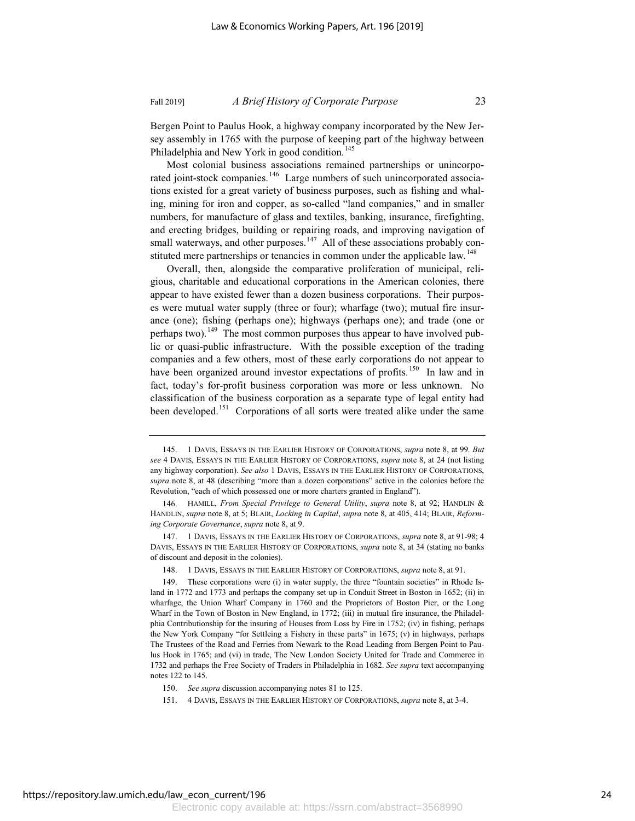Bergen Point to Paulus Hook, a highway company incorporated by the New Jersey assembly in 1765 with the purpose of keeping part of the highway between Philadelphia and New York in good condition.<sup>145</sup>

Most colonial business associations remained partnerships or unincorporated joint-stock companies.<sup>146</sup> Large numbers of such unincorporated associations existed for a great variety of business purposes, such as fishing and whaling, mining for iron and copper, as so-called "land companies," and in smaller numbers, for manufacture of glass and textiles, banking, insurance, firefighting, and erecting bridges, building or repairing roads, and improving navigation of small waterways, and other purposes.<sup>147</sup> All of these associations probably constituted mere partnerships or tenancies in common under the applicable law.<sup>148</sup>

Overall, then, alongside the comparative proliferation of municipal, religious, charitable and educational corporations in the American colonies, there appear to have existed fewer than a dozen business corporations. Their purposes were mutual water supply (three or four); wharfage (two); mutual fire insurance (one); fishing (perhaps one); highways (perhaps one); and trade (one or perhaps two).<sup>149</sup> The most common purposes thus appear to have involved public or quasi-public infrastructure. With the possible exception of the trading companies and a few others, most of these early corporations do not appear to have been organized around investor expectations of profits.<sup>150</sup> In law and in fact, today's for-profit business corporation was more or less unknown. No classification of the business corporation as a separate type of legal entity had been developed.<sup>151</sup> Corporations of all sorts were treated alike under the same

<sup>145. 1</sup> DAVIS, ESSAYS IN THE EARLIER HISTORY OF CORPORATIONS, *supra* note 8, at 99*. But see* 4 DAVIS, ESSAYS IN THE EARLIER HISTORY OF CORPORATIONS, *supra* note 8, at 24 (not listing any highway corporation). *See also* 1 DAVIS, ESSAYS IN THE EARLIER HISTORY OF CORPORATIONS, *supra* note 8, at 48 (describing "more than a dozen corporations" active in the colonies before the Revolution, "each of which possessed one or more charters granted in England").

<sup>146.</sup> HAMILL, *From Special Privilege to General Utility*, *supra* note 8, at 92; HANDLIN & HANDLIN, *supra* note 8, at 5; BLAIR, *Locking in Capital*, *supra* note 8, at 405, 414; BLAIR, *Reforming Corporate Governance*, *supra* note 8, at 9.

<sup>147. 1</sup> DAVIS, ESSAYS IN THE EARLIER HISTORY OF CORPORATIONS, *supra* note 8, at 91-98; 4 DAVIS, ESSAYS IN THE EARLIER HISTORY OF CORPORATIONS, *supra* note 8, at 34 (stating no banks of discount and deposit in the colonies).

<sup>148. 1</sup> DAVIS, ESSAYS IN THE EARLIER HISTORY OF CORPORATIONS, *supra* note 8, at 91.

<sup>149.</sup> These corporations were (i) in water supply, the three "fountain societies" in Rhode Island in 1772 and 1773 and perhaps the company set up in Conduit Street in Boston in 1652; (ii) in wharfage, the Union Wharf Company in 1760 and the Proprietors of Boston Pier, or the Long Wharf in the Town of Boston in New England, in 1772; (iii) in mutual fire insurance, the Philadelphia Contributionship for the insuring of Houses from Loss by Fire in 1752; (iv) in fishing, perhaps the New York Company "for Settleing a Fishery in these parts" in 1675; (v) in highways, perhaps The Trustees of the Road and Ferries from Newark to the Road Leading from Bergen Point to Paulus Hook in 1765; and (vi) in trade, The New London Society United for Trade and Commerce in 1732 and perhaps the Free Society of Traders in Philadelphia in 1682. *See supra* text accompanying notes 122 to 145.

<sup>150.</sup> *See supra* discussion accompanying notes 81 to 125.

<sup>151. 4</sup> DAVIS, ESSAYS IN THE EARLIER HISTORY OF CORPORATIONS, *supra* note 8, at 3-4.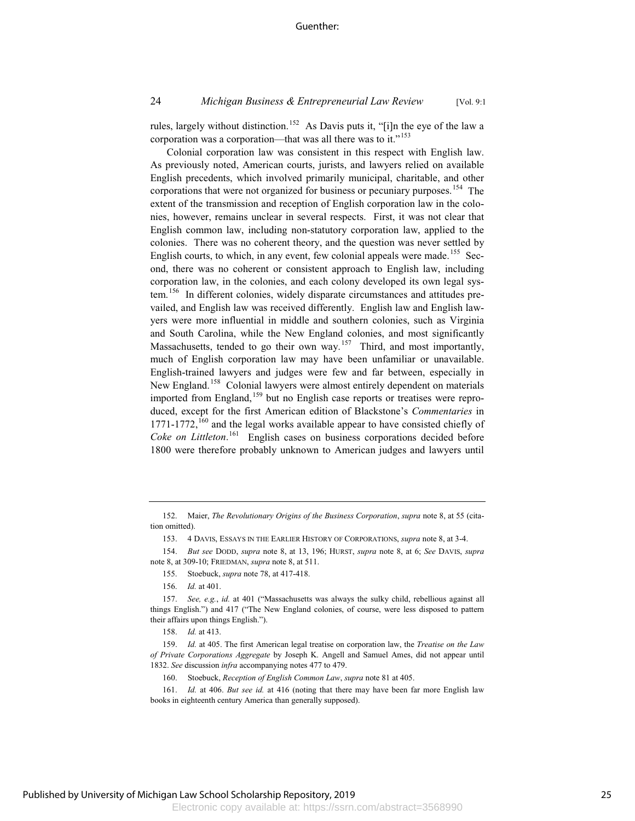### 24 *Michigan Business & Entrepreneurial Law Review* [Vol. 9:1

rules, largely without distinction.<sup>152</sup> As Davis puts it, "[i]n the eye of the law a corporation was a corporation—that was all there was to it."<sup>153</sup>

Colonial corporation law was consistent in this respect with English law. As previously noted, American courts, jurists, and lawyers relied on available English precedents, which involved primarily municipal, charitable, and other corporations that were not organized for business or pecuniary purposes.<sup>154</sup> The extent of the transmission and reception of English corporation law in the colonies, however, remains unclear in several respects. First, it was not clear that English common law, including non-statutory corporation law, applied to the colonies. There was no coherent theory, and the question was never settled by English courts, to which, in any event, few colonial appeals were made.<sup>155</sup> Second, there was no coherent or consistent approach to English law, including corporation law, in the colonies, and each colony developed its own legal system.<sup>156</sup> In different colonies, widely disparate circumstances and attitudes prevailed, and English law was received differently. English law and English lawyers were more influential in middle and southern colonies, such as Virginia and South Carolina, while the New England colonies, and most significantly Massachusetts, tended to go their own way.<sup>157</sup> Third, and most importantly, much of English corporation law may have been unfamiliar or unavailable. English-trained lawyers and judges were few and far between, especially in New England.<sup>158</sup> Colonial lawyers were almost entirely dependent on materials imported from England,<sup>159</sup> but no English case reports or treatises were reproduced, except for the first American edition of Blackstone's *Commentaries* in  $1771-1772$ ,  $^{160}$  and the legal works available appear to have consisted chiefly of *Coke on Littleton*. <sup>161</sup> English cases on business corporations decided before 1800 were therefore probably unknown to American judges and lawyers until

- 155. Stoebuck, *supra* note 78, at 417-418.
- 156. *Id.* at 401.

160. Stoebuck, *Reception of English Common Law*, *supra* note 81 at 405.

<sup>152.</sup> Maier, *The Revolutionary Origins of the Business Corporation*, *supra* note 8, at 55 (citation omitted).

<sup>153. 4</sup> DAVIS, ESSAYS IN THE EARLIER HISTORY OF CORPORATIONS, *supra* note 8, at 3-4.

<sup>154.</sup> *But see* DODD, *supra* note 8, at 13, 196; HURST, *supra* note 8, at 6; *See* DAVIS, *supra* note 8, at 309-10; FRIEDMAN, *supra* note 8, at 511.

<sup>157.</sup> *See, e.g.*, *id.* at 401 ("Massachusetts was always the sulky child, rebellious against all things English.") and 417 ("The New England colonies, of course, were less disposed to pattern their affairs upon things English.").

<sup>158.</sup> *Id.* at 413.

<sup>159.</sup> *Id.* at 405. The first American legal treatise on corporation law, the *Treatise on the Law of Private Corporations Aggregate* by Joseph K. Angell and Samuel Ames, did not appear until 1832. *See* discussion *infra* accompanying notes 477 to 479.

<sup>161.</sup> *Id.* at 406. *But see id.* at 416 (noting that there may have been far more English law books in eighteenth century America than generally supposed).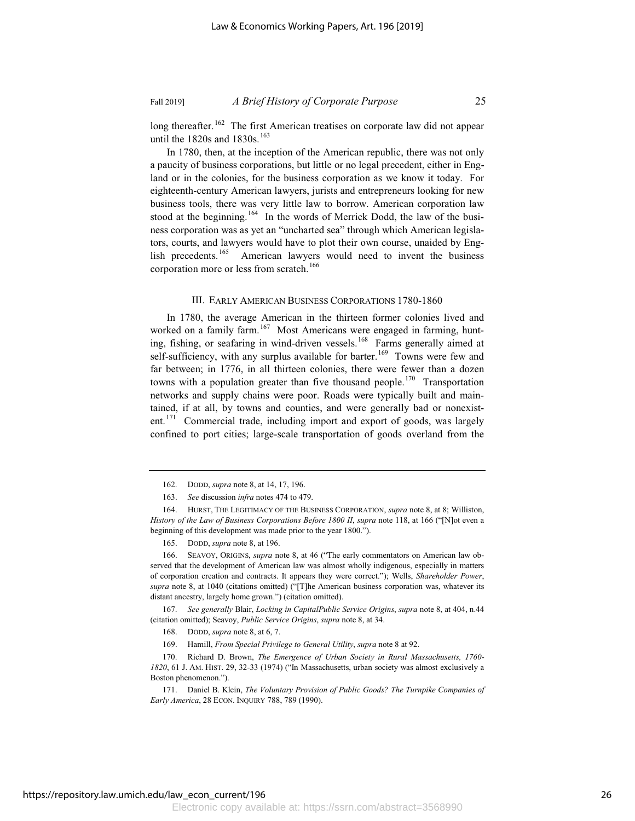long thereafter.<sup>162</sup> The first American treatises on corporate law did not appear until the 1820s and 1830s.<sup>163</sup>

In 1780, then, at the inception of the American republic, there was not only a paucity of business corporations, but little or no legal precedent, either in England or in the colonies, for the business corporation as we know it today. For eighteenth-century American lawyers, jurists and entrepreneurs looking for new business tools, there was very little law to borrow. American corporation law stood at the beginning.<sup>164</sup> In the words of Merrick Dodd, the law of the business corporation was as yet an "uncharted sea" through which American legislators, courts, and lawyers would have to plot their own course, unaided by English precedents.<sup>165</sup> American lawyers would need to invent the business corporation more or less from scratch.<sup>166</sup>

### III. EARLY AMERICAN BUSINESS CORPORATIONS 1780-1860

In 1780, the average American in the thirteen former colonies lived and worked on a family farm.<sup>167</sup> Most Americans were engaged in farming, hunting, fishing, or seafaring in wind-driven vessels.<sup>168</sup> Farms generally aimed at self-sufficiency, with any surplus available for barter.<sup>169</sup> Towns were few and far between; in 1776, in all thirteen colonies, there were fewer than a dozen towns with a population greater than five thousand people.<sup>170</sup> Transportation networks and supply chains were poor. Roads were typically built and maintained, if at all, by towns and counties, and were generally bad or nonexistent.<sup>171</sup> Commercial trade, including import and export of goods, was largely confined to port cities; large-scale transportation of goods overland from the

167. *See generally* Blair, *Locking in CapitalPublic Service Origins*, *supra* note 8, at 404, n.44 (citation omitted); Seavoy, *Public Service Origins*, *supra* note 8, at 34.

170. Richard D. Brown, *The Emergence of Urban Society in Rural Massachusetts, 1760- 1820*, 61 J. AM. HIST. 29, 32-33 (1974) ("In Massachusetts, urban society was almost exclusively a Boston phenomenon.").

<sup>162.</sup> DODD, *supra* note 8, at 14, 17, 196.

<sup>163.</sup> *See* discussion *infra* notes 474 to 479.

<sup>164.</sup> HURST, THE LEGITIMACY OF THE BUSINESS CORPORATION, *supra* note 8, at 8; Williston, *History of the Law of Business Corporations Before 1800 II*, *supra* note 118, at 166 ("[N]ot even a beginning of this development was made prior to the year 1800.").

<sup>165.</sup> DODD, *supra* note 8, at 196.

<sup>166.</sup> SEAVOY, ORIGINS, *supra* note 8, at 46 ("The early commentators on American law observed that the development of American law was almost wholly indigenous, especially in matters of corporation creation and contracts. It appears they were correct."); Wells, *Shareholder Power*, *supra* note 8, at 1040 (citations omitted) ("[T]he American business corporation was, whatever its distant ancestry, largely home grown.") (citation omitted).

<sup>168.</sup> DODD, *supra* note 8, at 6, 7.

<sup>169.</sup> Hamill, *From Special Privilege to General Utility*, *supra* note 8 at 92.

<sup>171.</sup> Daniel B. Klein, *The Voluntary Provision of Public Goods? The Turnpike Companies of Early America*, 28 ECON. INQUIRY 788, 789 (1990).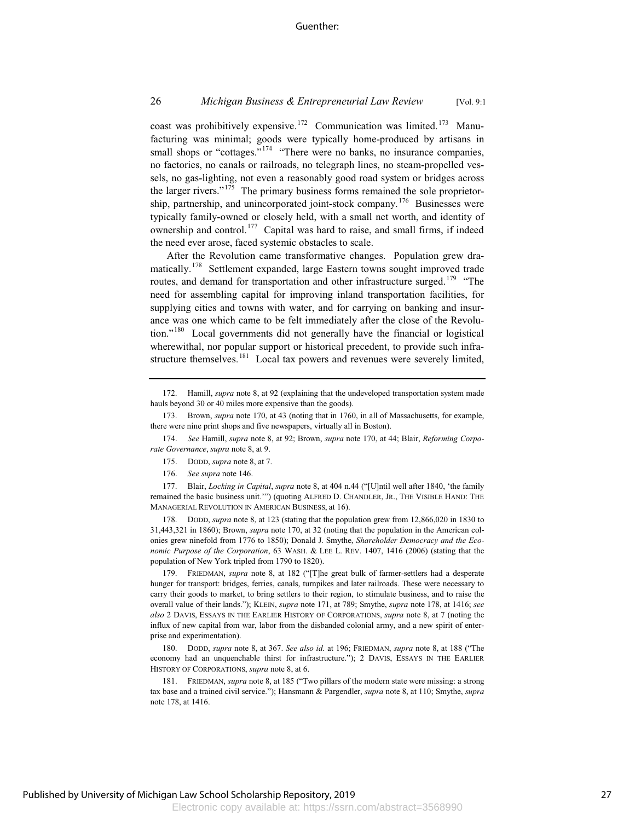coast was prohibitively expensive.<sup>172</sup> Communication was limited.<sup>173</sup> Manufacturing was minimal; goods were typically home-produced by artisans in small shops or "cottages."<sup>174</sup> "There were no banks, no insurance companies, no factories, no canals or railroads, no telegraph lines, no steam-propelled vessels, no gas-lighting, not even a reasonably good road system or bridges across the larger rivers."<sup>175</sup> The primary business forms remained the sole proprietorship, partnership, and unincorporated joint-stock company.<sup>176</sup> Businesses were typically family-owned or closely held, with a small net worth, and identity of ownership and control.<sup>177</sup> Capital was hard to raise, and small firms, if indeed the need ever arose, faced systemic obstacles to scale.

After the Revolution came transformative changes. Population grew dramatically.<sup>178</sup> Settlement expanded, large Eastern towns sought improved trade routes, and demand for transportation and other infrastructure surged.<sup>179</sup> "The need for assembling capital for improving inland transportation facilities, for supplying cities and towns with water, and for carrying on banking and insurance was one which came to be felt immediately after the close of the Revolution."<sup>180</sup> Local governments did not generally have the financial or logistical wherewithal, nor popular support or historical precedent, to provide such infrastructure themselves.<sup>181</sup> Local tax powers and revenues were severely limited,

175. DODD, *supra* note 8, at 7.

176. *See supra* note 146.

177. Blair, *Locking in Capital*, *supra* note 8, at 404 n.44 ("[U]ntil well after 1840, 'the family remained the basic business unit.'") (quoting ALFRED D. CHANDLER, JR., THE VISIBLE HAND: THE MANAGERIAL REVOLUTION IN AMERICAN BUSINESS, at 16).

178. DODD, *supra* note 8, at 123 (stating that the population grew from 12,866,020 in 1830 to 31,443,321 in 1860); Brown, *supra* note 170, at 32 (noting that the population in the American colonies grew ninefold from 1776 to 1850); Donald J. Smythe, *Shareholder Democracy and the Economic Purpose of the Corporation*, 63 WASH. & LEE L. REV. 1407, 1416 (2006) (stating that the population of New York tripled from 1790 to 1820).

179. FRIEDMAN, *supra* note 8, at 182 ("[T]he great bulk of farmer-settlers had a desperate hunger for transport: bridges, ferries, canals, turnpikes and later railroads. These were necessary to carry their goods to market, to bring settlers to their region, to stimulate business, and to raise the overall value of their lands."); KLEIN, *supra* note 171, at 789; Smythe, *supra* note 178, at 1416; *see also* 2 DAVIS, ESSAYS IN THE EARLIER HISTORY OF CORPORATIONS, *supra* note 8, at 7 (noting the influx of new capital from war, labor from the disbanded colonial army, and a new spirit of enterprise and experimentation).

180. DODD, *supra* note 8, at 367. *See also id.* at 196; FRIEDMAN, *supra* note 8, at 188 ("The economy had an unquenchable thirst for infrastructure."); 2 DAVIS, ESSAYS IN THE EARLIER HISTORY OF CORPORATIONS, *supra* note 8, at 6.

181. FRIEDMAN, *supra* note 8, at 185 ("Two pillars of the modern state were missing: a strong tax base and a trained civil service."); Hansmann & Pargendler, *supra* note 8, at 110; Smythe, *supra* note 178, at 1416.

<sup>172.</sup> Hamill, *supra* note 8, at 92 (explaining that the undeveloped transportation system made hauls beyond 30 or 40 miles more expensive than the goods).

<sup>173.</sup> Brown, *supra* note 170, at 43 (noting that in 1760, in all of Massachusetts, for example, there were nine print shops and five newspapers, virtually all in Boston).

<sup>174.</sup> *See* Hamill, *supra* note 8, at 92; Brown, *supra* note 170, at 44; Blair, *Reforming Corporate Governance*, *supra* note 8, at 9.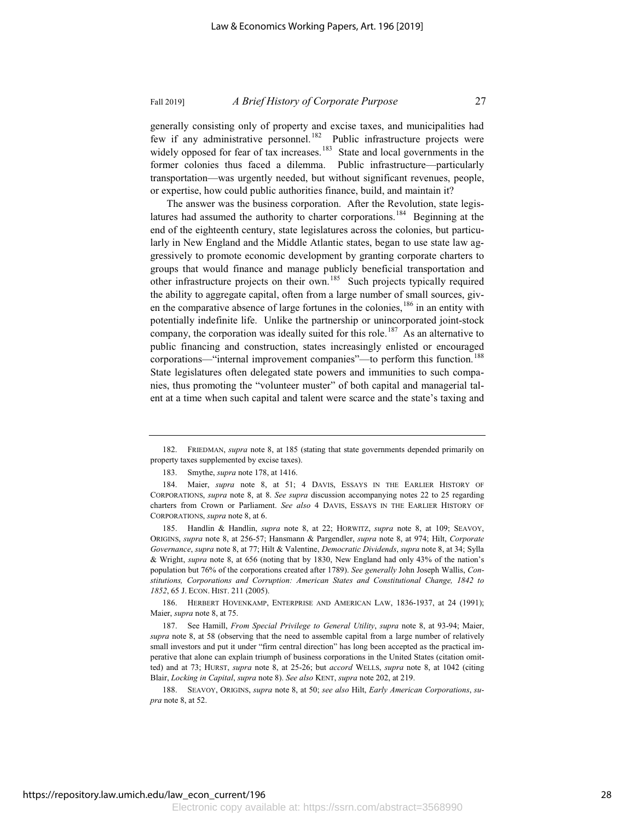generally consisting only of property and excise taxes, and municipalities had few if any administrative personnel.<sup>182</sup> Public infrastructure projects were widely opposed for fear of tax increases.<sup>183</sup> State and local governments in the former colonies thus faced a dilemma. Public infrastructure—particularly transportation—was urgently needed, but without significant revenues, people, or expertise, how could public authorities finance, build, and maintain it?

The answer was the business corporation. After the Revolution, state legislatures had assumed the authority to charter corporations.<sup>184</sup> Beginning at the end of the eighteenth century, state legislatures across the colonies, but particularly in New England and the Middle Atlantic states, began to use state law aggressively to promote economic development by granting corporate charters to groups that would finance and manage publicly beneficial transportation and other infrastructure projects on their own.<sup>185</sup> Such projects typically required the ability to aggregate capital, often from a large number of small sources, given the comparative absence of large fortunes in the colonies,  $186$  in an entity with potentially indefinite life. Unlike the partnership or unincorporated joint-stock company, the corporation was ideally suited for this role.<sup>187</sup> As an alternative to public financing and construction, states increasingly enlisted or encouraged corporations—"internal improvement companies"—to perform this function.<sup>188</sup> State legislatures often delegated state powers and immunities to such companies, thus promoting the "volunteer muster" of both capital and managerial talent at a time when such capital and talent were scarce and the state's taxing and

186. HERBERT HOVENKAMP, ENTERPRISE AND AMERICAN LAW, 1836-1937, at 24 (1991); Maier, *supra* note 8, at 75.

<sup>182.</sup> FRIEDMAN, *supra* note 8, at 185 (stating that state governments depended primarily on property taxes supplemented by excise taxes).

<sup>183.</sup> Smythe, *supra* note 178, at 1416.

<sup>184.</sup> Maier, *supra* note 8, at 51; 4 DAVIS, ESSAYS IN THE EARLIER HISTORY OF CORPORATIONS, *supra* note 8, at 8. *See supra* discussion accompanying notes 22 to 25 regarding charters from Crown or Parliament. *See also* 4 DAVIS, ESSAYS IN THE EARLIER HISTORY OF CORPORATIONS, *supra* note 8, at 6.

<sup>185.</sup> Handlin & Handlin, *supra* note 8, at 22; HORWITZ, *supra* note 8, at 109; SEAVOY, ORIGINS, *supra* note 8, at 256-57; Hansmann & Pargendler, *supra* note 8, at 974; Hilt, *Corporate Governance*, *supra* note 8, at 77; Hilt & Valentine, *Democratic Dividends*, *supra* note 8, at 34; Sylla & Wright, *supra* note 8, at 656 (noting that by 1830, New England had only 43% of the nation's population but 76% of the corporations created after 1789). *See generally* John Joseph Wallis, *Constitutions, Corporations and Corruption: American States and Constitutional Change, 1842 to 1852*, 65 J. ECON. HIST. 211 (2005).

<sup>187.</sup> See Hamill, *From Special Privilege to General Utility*, *supra* note 8, at 93-94; Maier, *supra* note 8, at 58 (observing that the need to assemble capital from a large number of relatively small investors and put it under "firm central direction" has long been accepted as the practical imperative that alone can explain triumph of business corporations in the United States (citation omitted) and at 73; HURST, *supra* note 8, at 25-26; but *accord* WELLS, *supra* note 8, at 1042 (citing Blair, *Locking in Capital*, *supra* note 8). *See also* KENT, *supra* note 202, at 219.

<sup>188.</sup> SEAVOY, ORIGINS, *supra* note 8, at 50; *see also* Hilt, *Early American Corporations*, *supra* note 8, at 52.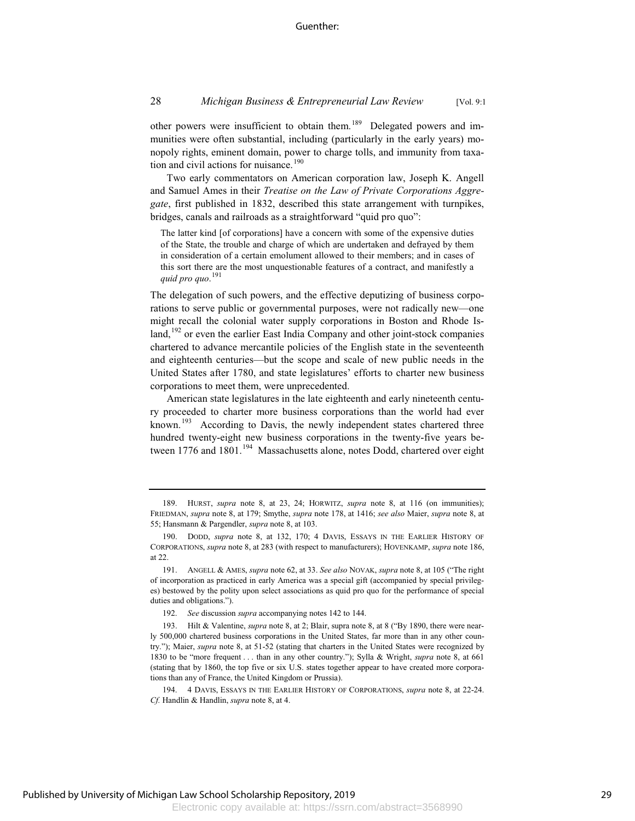other powers were insufficient to obtain them.<sup>189</sup> Delegated powers and immunities were often substantial, including (particularly in the early years) monopoly rights, eminent domain, power to charge tolls, and immunity from taxation and civil actions for nuisance.<sup>190</sup>

Two early commentators on American corporation law, Joseph K. Angell and Samuel Ames in their *Treatise on the Law of Private Corporations Aggregate*, first published in 1832, described this state arrangement with turnpikes, bridges, canals and railroads as a straightforward "quid pro quo":

The latter kind [of corporations] have a concern with some of the expensive duties of the State, the trouble and charge of which are undertaken and defrayed by them in consideration of a certain emolument allowed to their members; and in cases of this sort there are the most unquestionable features of a contract, and manifestly a *quid pro quo*. 191

The delegation of such powers, and the effective deputizing of business corporations to serve public or governmental purposes, were not radically new—one might recall the colonial water supply corporations in Boston and Rhode Island, $192$  or even the earlier East India Company and other joint-stock companies chartered to advance mercantile policies of the English state in the seventeenth and eighteenth centuries—but the scope and scale of new public needs in the United States after 1780, and state legislatures' efforts to charter new business corporations to meet them, were unprecedented.

American state legislatures in the late eighteenth and early nineteenth century proceeded to charter more business corporations than the world had ever known.<sup>193</sup> According to Davis, the newly independent states chartered three hundred twenty-eight new business corporations in the twenty-five years between 1776 and 1801.<sup>194</sup> Massachusetts alone, notes Dodd, chartered over eight

<sup>189.</sup> HURST, *supra* note 8, at 23, 24; HORWITZ, *supra* note 8, at 116 (on immunities); FRIEDMAN, *supra* note 8, at 179; Smythe, *supra* note 178, at 1416; *see also* Maier, *supra* note 8, at 55; Hansmann & Pargendler, *supra* note 8, at 103.

<sup>190.</sup> DODD, *supra* note 8, at 132, 170; 4 DAVIS, ESSAYS IN THE EARLIER HISTORY OF CORPORATIONS, *supra* note 8, at 283 (with respect to manufacturers); HOVENKAMP, *supra* note 186, at 22.

<sup>191.</sup> ANGELL & AMES, *supra* note 62, at 33. *See also* NOVAK, *supra* note 8, at 105 ("The right of incorporation as practiced in early America was a special gift (accompanied by special privileges) bestowed by the polity upon select associations as quid pro quo for the performance of special duties and obligations.").

<sup>192.</sup> *See* discussion *supra* accompanying notes 142 to 144.

<sup>193.</sup> Hilt & Valentine, *supra* note 8, at 2; Blair, supra note 8, at 8 ("By 1890, there were nearly 500,000 chartered business corporations in the United States, far more than in any other country."); Maier, *supra* note 8, at 51-52 (stating that charters in the United States were recognized by 1830 to be "more frequent . . . than in any other country."); Sylla & Wright, *supra* note 8, at 661 (stating that by 1860, the top five or six U.S. states together appear to have created more corporations than any of France, the United Kingdom or Prussia).

<sup>194. 4</sup> DAVIS, ESSAYS IN THE EARLIER HISTORY OF CORPORATIONS, *supra* note 8, at 22-24. *Cf.* Handlin & Handlin, *supra* note 8, at 4.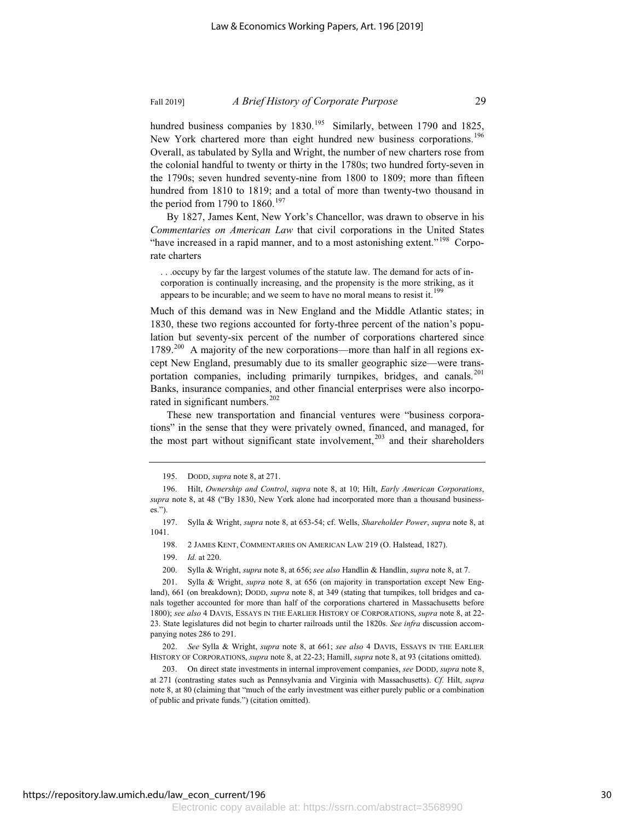hundred business companies by  $1830^{195}$  Similarly, between 1790 and 1825, New York chartered more than eight hundred new business corporations.<sup>196</sup> Overall, as tabulated by Sylla and Wright, the number of new charters rose from the colonial handful to twenty or thirty in the 1780s; two hundred forty-seven in the 1790s; seven hundred seventy-nine from 1800 to 1809; more than fifteen hundred from 1810 to 1819; and a total of more than twenty-two thousand in the period from 1790 to  $1860$ .<sup>197</sup>

By 1827, James Kent, New York's Chancellor, was drawn to observe in his *Commentaries on American Law* that civil corporations in the United States "have increased in a rapid manner, and to a most astonishing extent."<sup>198</sup> Corporate charters

. . .occupy by far the largest volumes of the statute law. The demand for acts of incorporation is continually increasing, and the propensity is the more striking, as it appears to be incurable; and we seem to have no moral means to resist it.<sup>199</sup>

Much of this demand was in New England and the Middle Atlantic states; in 1830, these two regions accounted for forty-three percent of the nation's population but seventy-six percent of the number of corporations chartered since 1789.<sup>200</sup> A majority of the new corporations—more than half in all regions except New England, presumably due to its smaller geographic size—were transportation companies, including primarily turnpikes, bridges, and canals.<sup>201</sup> Banks, insurance companies, and other financial enterprises were also incorporated in significant numbers. $^{202}$ 

These new transportation and financial ventures were "business corporations" in the sense that they were privately owned, financed, and managed, for the most part without significant state involvement,<sup>203</sup> and their shareholders

200. Sylla & Wright, *supra* note 8, at 656; *see also* Handlin & Handlin, *supra* note 8, at 7.

203. On direct state investments in internal improvement companies, *see* DODD, *supra* note 8, at 271 (contrasting states such as Pennsylvania and Virginia with Massachusetts). *Cf.* Hilt, *supra* note 8, at 80 (claiming that "much of the early investment was either purely public or a combination of public and private funds.") (citation omitted).

<sup>195.</sup> DODD, *supra* note 8, at 271.

<sup>196.</sup> Hilt, *Ownership and Control*, *supra* note 8, at 10; Hilt, *Early American Corporations*, *supra* note 8, at 48 ("By 1830, New York alone had incorporated more than a thousand businesses.").

<sup>197.</sup> Sylla & Wright, *supra* note 8, at 653-54; cf. Wells, *Shareholder Power*, *supra* note 8, at 1041.

<sup>198. 2</sup> JAMES KENT, COMMENTARIES ON AMERICAN LAW 219 (O. Halstead, 1827).

<sup>199.</sup> *Id.* at 220.

<sup>201.</sup> Sylla & Wright, *supra* note 8, at 656 (on majority in transportation except New England), 661 (on breakdown); DODD, *supra* note 8, at 349 (stating that turnpikes, toll bridges and canals together accounted for more than half of the corporations chartered in Massachusetts before 1800); *see also* 4 DAVIS, ESSAYS IN THE EARLIER HISTORY OF CORPORATIONS, *supra* note 8, at 22- 23. State legislatures did not begin to charter railroads until the 1820s. *See infra* discussion accompanying notes 286 to 291.

<sup>202.</sup> *See* Sylla & Wright, *supra* note 8, at 661; *see also* 4 DAVIS, ESSAYS IN THE EARLIER HISTORY OF CORPORATIONS, *supra* note 8, at 22-23; Hamill, *supra* note 8, at 93 (citations omitted).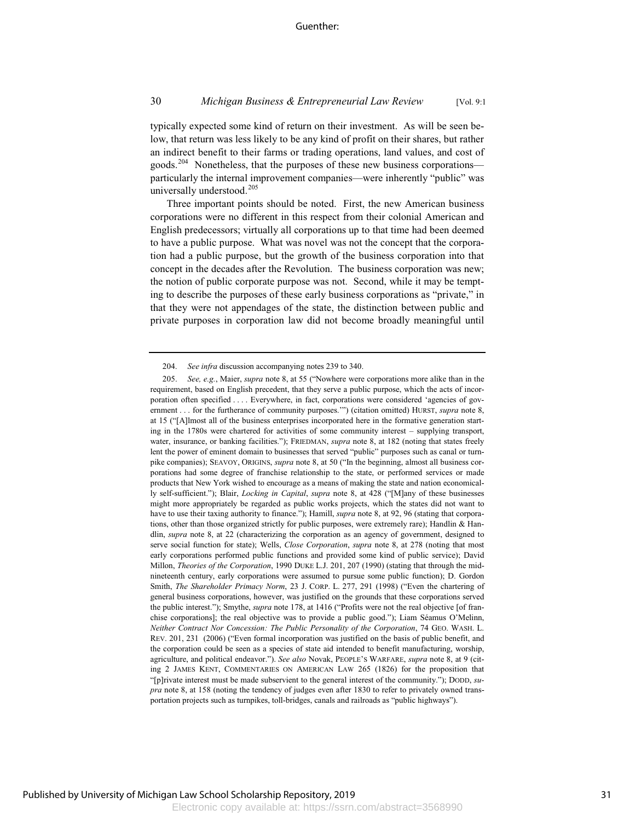typically expected some kind of return on their investment. As will be seen below, that return was less likely to be any kind of profit on their shares, but rather an indirect benefit to their farms or trading operations, land values, and cost of goods.<sup>204</sup> Nonetheless, that the purposes of these new business corporations particularly the internal improvement companies—were inherently "public" was universally understood.<sup>205</sup>

Three important points should be noted. First, the new American business corporations were no different in this respect from their colonial American and English predecessors; virtually all corporations up to that time had been deemed to have a public purpose. What was novel was not the concept that the corporation had a public purpose, but the growth of the business corporation into that concept in the decades after the Revolution. The business corporation was new; the notion of public corporate purpose was not. Second, while it may be tempting to describe the purposes of these early business corporations as "private," in that they were not appendages of the state, the distinction between public and private purposes in corporation law did not become broadly meaningful until

<sup>204.</sup> *See infra* discussion accompanying notes 239 to 340.

<sup>205.</sup> *See, e.g.*, Maier, *supra* note 8, at 55 ("Nowhere were corporations more alike than in the requirement, based on English precedent, that they serve a public purpose, which the acts of incorporation often specified .... Everywhere, in fact, corporations were considered 'agencies of government . . . for the furtherance of community purposes.'") (citation omitted) HURST, *supra* note 8, at 15 ("[A]lmost all of the business enterprises incorporated here in the formative generation starting in the 1780s were chartered for activities of some community interest – supplying transport, water, insurance, or banking facilities."); FRIEDMAN, *supra* note 8, at 182 (noting that states freely lent the power of eminent domain to businesses that served "public" purposes such as canal or turnpike companies); SEAVOY, ORIGINS, *supra* note 8, at 50 ("In the beginning, almost all business corporations had some degree of franchise relationship to the state, or performed services or made products that New York wished to encourage as a means of making the state and nation economically self-sufficient."); Blair, *Locking in Capital*, *supra* note 8, at 428 ("[M]any of these businesses might more appropriately be regarded as public works projects, which the states did not want to have to use their taxing authority to finance."); Hamill, *supra* note 8, at 92, 96 (stating that corporations, other than those organized strictly for public purposes, were extremely rare); Handlin & Handlin, *supra* note 8, at 22 (characterizing the corporation as an agency of government, designed to serve social function for state); Wells, *Close Corporation*, *supra* note 8, at 278 (noting that most early corporations performed public functions and provided some kind of public service); David Millon, *Theories of the Corporation*, 1990 DUKE L.J. 201, 207 (1990) (stating that through the midnineteenth century, early corporations were assumed to pursue some public function); D. Gordon Smith, *The Shareholder Primacy Norm*, 23 J. CORP. L. 277, 291 (1998) ("Even the chartering of general business corporations, however, was justified on the grounds that these corporations served the public interest."); Smythe, *supra* note 178, at 1416 ("Profits were not the real objective [of franchise corporations]; the real objective was to provide a public good."); Liam Séamus O'Melinn, *Neither Contract Nor Concession: The Public Personality of the Corporation*, 74 GEO. WASH. L. REV. 201, 231 (2006) ("Even formal incorporation was justified on the basis of public benefit, and the corporation could be seen as a species of state aid intended to benefit manufacturing, worship, agriculture, and political endeavor."). *See also* Novak, PEOPLE'S WARFARE, *supra* note 8, at 9 (citing 2 JAMES KENT, COMMENTARIES ON AMERICAN LAW 265 (1826) for the proposition that "[p]rivate interest must be made subservient to the general interest of the community."); DODD, *supra* note 8, at 158 (noting the tendency of judges even after 1830 to refer to privately owned transportation projects such as turnpikes, toll-bridges, canals and railroads as "public highways").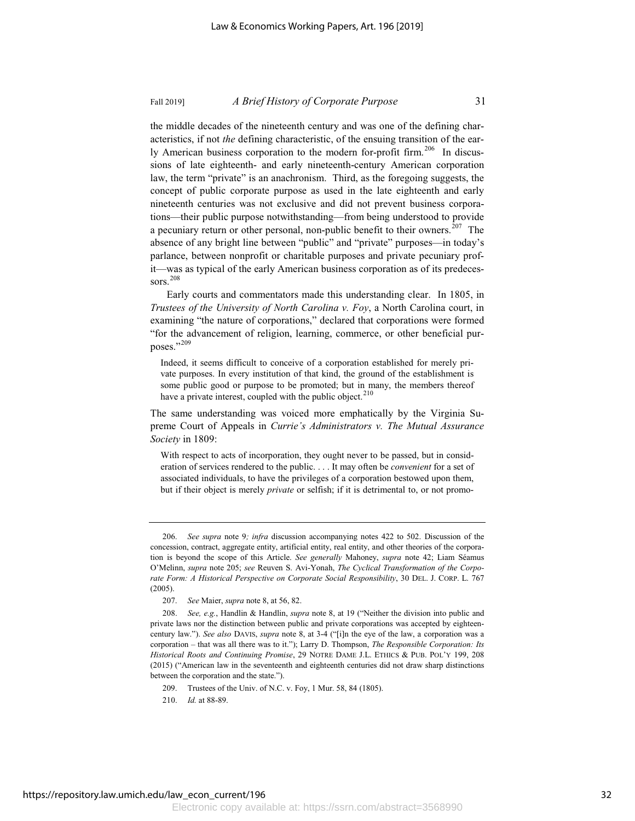the middle decades of the nineteenth century and was one of the defining characteristics, if not *the* defining characteristic, of the ensuing transition of the early American business corporation to the modern for-profit firm.<sup>206</sup> In discussions of late eighteenth- and early nineteenth-century American corporation law, the term "private" is an anachronism. Third, as the foregoing suggests, the concept of public corporate purpose as used in the late eighteenth and early nineteenth centuries was not exclusive and did not prevent business corporations—their public purpose notwithstanding—from being understood to provide a pecuniary return or other personal, non-public benefit to their owners.<sup>207</sup> The absence of any bright line between "public" and "private" purposes—in today's parlance, between nonprofit or charitable purposes and private pecuniary profit—was as typical of the early American business corporation as of its predecessors.<sup>208</sup>

Early courts and commentators made this understanding clear. In 1805, in *Trustees of the University of North Carolina v. Foy*, a North Carolina court, in examining "the nature of corporations," declared that corporations were formed "for the advancement of religion, learning, commerce, or other beneficial purposes."<sup>209</sup>

Indeed, it seems difficult to conceive of a corporation established for merely private purposes. In every institution of that kind, the ground of the establishment is some public good or purpose to be promoted; but in many, the members thereof have a private interest, coupled with the public object.<sup>210</sup>

The same understanding was voiced more emphatically by the Virginia Supreme Court of Appeals in *Currie's Administrators v. The Mutual Assurance Society* in 1809:

With respect to acts of incorporation, they ought never to be passed, but in consideration of services rendered to the public. . . . It may often be *convenient* for a set of associated individuals, to have the privileges of a corporation bestowed upon them, but if their object is merely *private* or selfish; if it is detrimental to, or not promo-

<sup>206.</sup> *See supra* note 9*; infra* discussion accompanying notes 422 to 502. Discussion of the concession, contract, aggregate entity, artificial entity, real entity, and other theories of the corporation is beyond the scope of this Article. *See generally* Mahoney, *supra* note 42; Liam Séamus O'Melinn, *supra* note 205; *see* Reuven S. Avi-Yonah, *The Cyclical Transformation of the Corporate Form: A Historical Perspective on Corporate Social Responsibility*, 30 DEL. J. CORP. L. 767 (2005).

<sup>207.</sup> *See* Maier, *supra* note 8, at 56, 82.

<sup>208.</sup> *See, e.g.*, Handlin & Handlin, *supra* note 8, at 19 ("Neither the division into public and private laws nor the distinction between public and private corporations was accepted by eighteencentury law."). *See also* DAVIS, *supra* note 8, at 3-4 ("[i]n the eye of the law, a corporation was a corporation – that was all there was to it."); Larry D. Thompson, *The Responsible Corporation: Its Historical Roots and Continuing Promise*, 29 NOTRE DAME J.L. ETHICS & PUB. POL'Y 199, 208 (2015) ("American law in the seventeenth and eighteenth centuries did not draw sharp distinctions between the corporation and the state.").

<sup>209.</sup> Trustees of the Univ. of N.C. v. Foy, 1 Mur. 58, 84 (1805).

<sup>210.</sup> *Id.* at 88-89.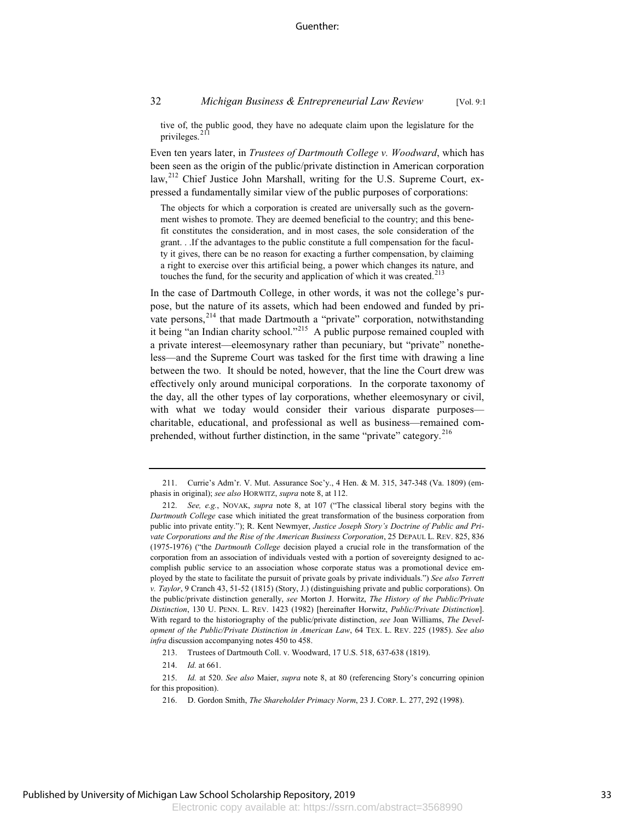tive of, the public good, they have no adequate claim upon the legislature for the privileges.<sup>211</sup>

Even ten years later, in *Trustees of Dartmouth College v. Woodward*, which has been seen as the origin of the public/private distinction in American corporation law,<sup>212</sup> Chief Justice John Marshall, writing for the U.S. Supreme Court, expressed a fundamentally similar view of the public purposes of corporations:

The objects for which a corporation is created are universally such as the government wishes to promote. They are deemed beneficial to the country; and this benefit constitutes the consideration, and in most cases, the sole consideration of the grant. . .If the advantages to the public constitute a full compensation for the faculty it gives, there can be no reason for exacting a further compensation, by claiming a right to exercise over this artificial being, a power which changes its nature, and touches the fund, for the security and application of which it was created.<sup>213</sup>

In the case of Dartmouth College, in other words, it was not the college's purpose, but the nature of its assets, which had been endowed and funded by private persons,<sup>214</sup> that made Dartmouth a "private" corporation, notwithstanding it being "an Indian charity school."<sup>215</sup> A public purpose remained coupled with a private interest—eleemosynary rather than pecuniary, but "private" nonetheless—and the Supreme Court was tasked for the first time with drawing a line between the two. It should be noted, however, that the line the Court drew was effectively only around municipal corporations. In the corporate taxonomy of the day, all the other types of lay corporations, whether eleemosynary or civil, with what we today would consider their various disparate purposes charitable, educational, and professional as well as business—remained comprehended, without further distinction, in the same "private" category.<sup>216</sup>

213. Trustees of Dartmouth Coll. v. Woodward, 17 U.S. 518, 637-638 (1819).

214. *Id.* at 661.

215. *Id.* at 520. *See also* Maier, *supra* note 8, at 80 (referencing Story's concurring opinion for this proposition).

<sup>211.</sup> Currie's Adm'r. V. Mut. Assurance Soc'y., 4 Hen. & M. 315, 347-348 (Va. 1809) (emphasis in original); *see also* HORWITZ, *supra* note 8, at 112.

<sup>212.</sup> *See, e.g.*, NOVAK, *supra* note 8, at 107 ("The classical liberal story begins with the *Dartmouth College* case which initiated the great transformation of the business corporation from public into private entity."); R. Kent Newmyer, *Justice Joseph Story's Doctrine of Public and Private Corporations and the Rise of the American Business Corporation*, 25 DEPAUL L. REV. 825, 836 (1975-1976) ("the *Dartmouth College* decision played a crucial role in the transformation of the corporation from an association of individuals vested with a portion of sovereignty designed to accomplish public service to an association whose corporate status was a promotional device employed by the state to facilitate the pursuit of private goals by private individuals.") *See also Terrett v. Taylor*, 9 Cranch 43, 51-52 (1815) (Story, J.) (distinguishing private and public corporations). On the public/private distinction generally, *see* Morton J. Horwitz, *The History of the Public/Private Distinction*, 130 U. PENN. L. REV. 1423 (1982) [hereinafter Horwitz, *Public/Private Distinction*]. With regard to the historiography of the public/private distinction, *see* Joan Williams, *The Development of the Public/Private Distinction in American Law*, 64 TEX. L. REV. 225 (1985). *See also infra* discussion accompanying notes 450 to 458.

<sup>216.</sup> D. Gordon Smith, *The Shareholder Primacy Norm*, 23 J. CORP. L. 277, 292 (1998).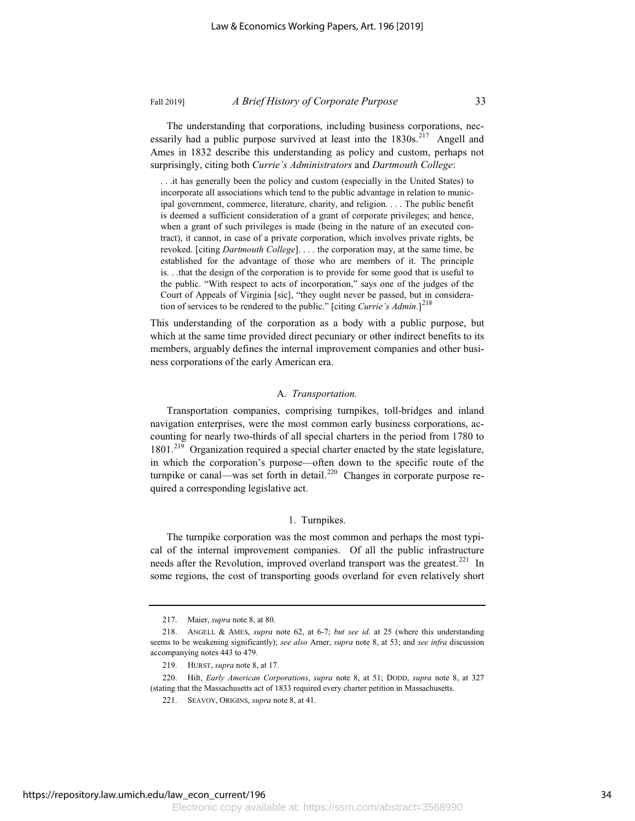The understanding that corporations, including business corporations, necessarily had a public purpose survived at least into the  $1830s$ <sup>217</sup> Angell and Ames in 1832 describe this understanding as policy and custom, perhaps not surprisingly, citing both *Currie's Administrators* and *Dartmouth College*:

. . .it has generally been the policy and custom (especially in the United States) to incorporate all associations which tend to the public advantage in relation to municipal government, commerce, literature, charity, and religion. . . . The public benefit is deemed a sufficient consideration of a grant of corporate privileges; and hence, when a grant of such privileges is made (being in the nature of an executed contract), it cannot, in case of a private corporation, which involves private rights, be revoked. [citing *Dartmouth College*]. . . . the corporation may, at the same time, be established for the advantage of those who are members of it. The principle is. . .that the design of the corporation is to provide for some good that is useful to the public. "With respect to acts of incorporation," says one of the judges of the Court of Appeals of Virginia [sic], "they ought never be passed, but in consideration of services to be rendered to the public." [citing *Currie's Admin.*] 218

This understanding of the corporation as a body with a public purpose, but which at the same time provided direct pecuniary or other indirect benefits to its members, arguably defines the internal improvement companies and other business corporations of the early American era.

### A. *Transportation.*

Transportation companies, comprising turnpikes, toll-bridges and inland navigation enterprises, were the most common early business corporations, accounting for nearly two-thirds of all special charters in the period from 1780 to 1801.<sup>219</sup> Organization required a special charter enacted by the state legislature, in which the corporation's purpose—often down to the specific route of the turnpike or canal—was set forth in detail.<sup>220</sup> Changes in corporate purpose required a corresponding legislative act.

### 1. Turnpikes.

The turnpike corporation was the most common and perhaps the most typical of the internal improvement companies. Of all the public infrastructure needs after the Revolution, improved overland transport was the greatest.<sup>221</sup> In some regions, the cost of transporting goods overland for even relatively short

<sup>217.</sup> Maier, *supra* note 8, at 80.

<sup>218.</sup> ANGELL & AMES, *supra* note 62, at 6-7; *but see id.* at 25 (where this understanding seems to be weakening significantly); *see also* Arner, *supra* note 8, at 53; and *see infra* discussion accompanying notes 443 to 479.

<sup>219.</sup> HURST, *supra* note 8, at 17.

<sup>220.</sup> Hilt, *Early American Corporations*, *supra* note 8, at 51; DODD, *supra* note 8, at 327 (stating that the Massachusetts act of 1833 required every charter petition in Massachusetts.

<sup>221.</sup> SEAVOY, ORIGINS, *supra* note 8, at 41.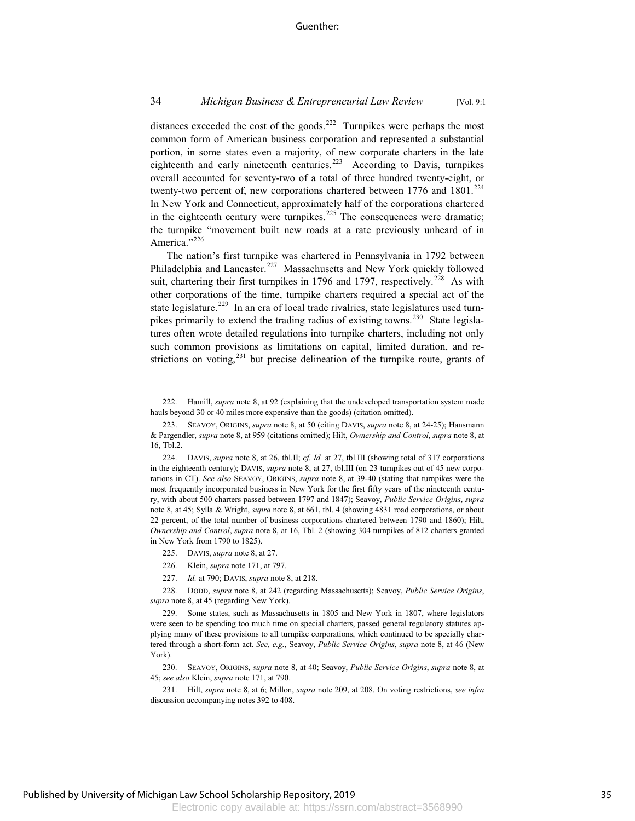### 34 *Michigan Business & Entrepreneurial Law Review* [Vol. 9:1

distances exceeded the cost of the goods.<sup>222</sup> Turnpikes were perhaps the most common form of American business corporation and represented a substantial portion, in some states even a majority, of new corporate charters in the late eighteenth and early nineteenth centuries.<sup>223</sup> According to Davis, turnpikes overall accounted for seventy-two of a total of three hundred twenty-eight, or twenty-two percent of, new corporations chartered between  $1776$  and  $1801$ .<sup>224</sup> In New York and Connecticut, approximately half of the corporations chartered in the eighteenth century were turnpikes.<sup>225</sup> The consequences were dramatic; the turnpike "movement built new roads at a rate previously unheard of in America."<sup>226</sup>

The nation's first turnpike was chartered in Pennsylvania in 1792 between Philadelphia and Lancaster.<sup>227</sup> Massachusetts and New York quickly followed suit, chartering their first turnpikes in 1796 and 1797, respectively.<sup>228</sup> As with other corporations of the time, turnpike charters required a special act of the state legislature.<sup>229</sup> In an era of local trade rivalries, state legislatures used turnpikes primarily to extend the trading radius of existing towns.<sup>230</sup> State legislatures often wrote detailed regulations into turnpike charters, including not only such common provisions as limitations on capital, limited duration, and restrictions on voting, $^{231}$  but precise delineation of the turnpike route, grants of

- 226. Klein, *supra* note 171, at 797.
- 227. *Id.* at 790; DAVIS, *supra* note 8, at 218.

230. SEAVOY, ORIGINS, *supra* note 8, at 40; Seavoy, *Public Service Origins*, *supra* note 8, at 45; *see also* Klein, *supra* note 171, at 790.

231. Hilt, *supra* note 8, at 6; Millon, *supra* note 209, at 208. On voting restrictions, *see infra* discussion accompanying notes 392 to 408.

<sup>222.</sup> Hamill, *supra* note 8, at 92 (explaining that the undeveloped transportation system made hauls beyond 30 or 40 miles more expensive than the goods) (citation omitted).

<sup>223.</sup> SEAVOY, ORIGINS, *supra* note 8, at 50 (citing DAVIS, *supra* note 8, at 24-25); Hansmann & Pargendler, *supra* note 8, at 959 (citations omitted); Hilt, *Ownership and Control*, *supra* note 8, at 16, Tbl.2.

<sup>224.</sup> DAVIS, *supra* note 8, at 26, tbl.II; *cf. Id.* at 27, tbl.III (showing total of 317 corporations in the eighteenth century); DAVIS, *supra* note 8, at 27, tbl.III (on 23 turnpikes out of 45 new corporations in CT). *See also* SEAVOY, ORIGINS, *supra* note 8, at 39-40 (stating that turnpikes were the most frequently incorporated business in New York for the first fifty years of the nineteenth century, with about 500 charters passed between 1797 and 1847); Seavoy, *Public Service Origins*, *supra* note 8, at 45; Sylla & Wright, *supra* note 8, at 661, tbl. 4 (showing 4831 road corporations, or about 22 percent, of the total number of business corporations chartered between 1790 and 1860); Hilt, *Ownership and Control*, *supra* note 8, at 16, Tbl. 2 (showing 304 turnpikes of 812 charters granted in New York from 1790 to 1825).

<sup>225.</sup> DAVIS, *supra* note 8, at 27.

<sup>228.</sup> DODD, *supra* note 8, at 242 (regarding Massachusetts); Seavoy, *Public Service Origins*, *supra* note 8, at 45 (regarding New York).

<sup>229.</sup> Some states, such as Massachusetts in 1805 and New York in 1807, where legislators were seen to be spending too much time on special charters, passed general regulatory statutes applying many of these provisions to all turnpike corporations, which continued to be specially chartered through a short-form act. *See, e.g.*, Seavoy, *Public Service Origins*, *supra* note 8, at 46 (New York).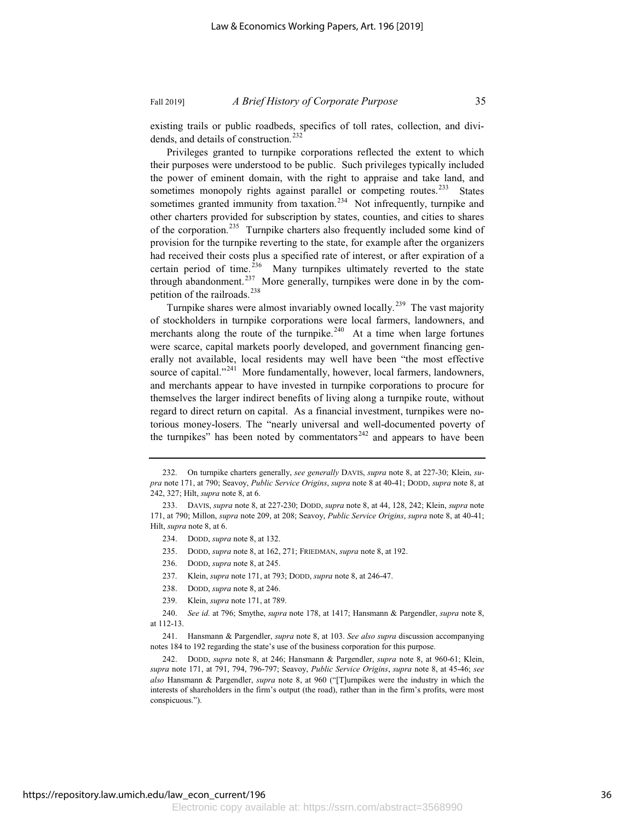existing trails or public roadbeds, specifics of toll rates, collection, and dividends, and details of construction.<sup>232</sup>

Privileges granted to turnpike corporations reflected the extent to which their purposes were understood to be public. Such privileges typically included the power of eminent domain, with the right to appraise and take land, and sometimes monopoly rights against parallel or competing routes.<sup>233</sup> States sometimes granted immunity from taxation.<sup>234</sup> Not infrequently, turnpike and other charters provided for subscription by states, counties, and cities to shares of the corporation.<sup>235</sup> Turnpike charters also frequently included some kind of provision for the turnpike reverting to the state, for example after the organizers had received their costs plus a specified rate of interest, or after expiration of a certain period of time.<sup>236</sup> Many turnpikes ultimately reverted to the state through abandonment.<sup>237</sup> More generally, turnpikes were done in by the competition of the railroads.<sup>238</sup>

Turnpike shares were almost invariably owned locally.<sup>239</sup> The vast majority of stockholders in turnpike corporations were local farmers, landowners, and merchants along the route of the turnpike.<sup>240</sup> At a time when large fortunes were scarce, capital markets poorly developed, and government financing generally not available, local residents may well have been "the most effective source of capital."<sup>241</sup> More fundamentally, however, local farmers, landowners, and merchants appear to have invested in turnpike corporations to procure for themselves the larger indirect benefits of living along a turnpike route, without regard to direct return on capital. As a financial investment, turnpikes were notorious money-losers. The "nearly universal and well-documented poverty of the turnpikes" has been noted by commentators<sup>242</sup> and appears to have been

- 235. DODD, *supra* note 8, at 162, 271; FRIEDMAN, *supra* note 8, at 192.
- 236. DODD, *supra* note 8, at 245.
- 237. Klein, *supra* note 171, at 793; DODD, *supra* note 8, at 246-47.
- 238. DODD, *supra* note 8, at 246.
- 239. Klein, *supra* note 171, at 789.

<sup>232.</sup> On turnpike charters generally, *see generally* DAVIS, *supra* note 8, at 227-30; Klein, *supra* note 171, at 790; Seavoy, *Public Service Origins*, *supra* note 8 at 40-41; DODD, *supra* note 8, at 242, 327; Hilt, *supra* note 8, at 6.

<sup>233.</sup> DAVIS, *supra* note 8, at 227-230; DODD, *supra* note 8, at 44, 128, 242; Klein, *supra* note 171, at 790; Millon, *supra* note 209, at 208; Seavoy, *Public Service Origins*, *supra* note 8, at 40-41; Hilt, *supra* note 8, at 6.

<sup>234.</sup> DODD, *supra* note 8, at 132.

<sup>240.</sup> *See id.* at 796; Smythe, *supra* note 178, at 1417; Hansmann & Pargendler, *supra* note 8, at 112-13.

<sup>241.</sup> Hansmann & Pargendler, *supra* note 8, at 103. *See also supra* discussion accompanying notes 184 to 192 regarding the state's use of the business corporation for this purpose.

<sup>242.</sup> DODD, *supra* note 8, at 246; Hansmann & Pargendler, *supra* note 8, at 960-61; Klein, *supra* note 171, at 791, 794, 796-797; Seavoy, *Public Service Origins*, *supra* note 8, at 45-46; *see also* Hansmann & Pargendler, *supra* note 8, at 960 ("[T]urnpikes were the industry in which the interests of shareholders in the firm's output (the road), rather than in the firm's profits, were most conspicuous.").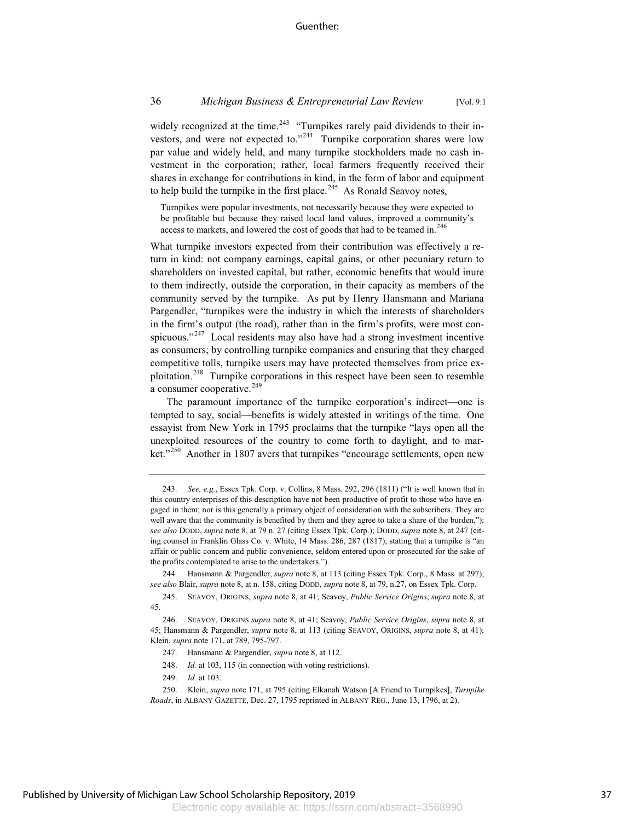widely recognized at the time.<sup>243</sup> "Turnpikes rarely paid dividends to their investors, and were not expected to."<sup>244</sup> Turnpike corporation shares were low par value and widely held, and many turnpike stockholders made no cash investment in the corporation; rather, local farmers frequently received their shares in exchange for contributions in kind, in the form of labor and equipment to help build the turnpike in the first place.<sup>245</sup> As Ronald Seavoy notes,

Turnpikes were popular investments, not necessarily because they were expected to be profitable but because they raised local land values, improved a community's access to markets, and lowered the cost of goods that had to be teamed in.<sup>246</sup>

What turnpike investors expected from their contribution was effectively a return in kind: not company earnings, capital gains, or other pecuniary return to shareholders on invested capital, but rather, economic benefits that would inure to them indirectly, outside the corporation, in their capacity as members of the community served by the turnpike. As put by Henry Hansmann and Mariana Pargendler, "turnpikes were the industry in which the interests of shareholders in the firm's output (the road), rather than in the firm's profits, were most conspicuous." $247$  Local residents may also have had a strong investment incentive as consumers; by controlling turnpike companies and ensuring that they charged competitive tolls, turnpike users may have protected themselves from price exploitation.<sup>248</sup> Turnpike corporations in this respect have been seen to resemble a consumer cooperative.<sup>249</sup>

The paramount importance of the turnpike corporation's indirect—one is tempted to say, social—benefits is widely attested in writings of the time. One essayist from New York in 1795 proclaims that the turnpike "lays open all the unexploited resources of the country to come forth to daylight, and to market."<sup>250</sup> Another in 1807 avers that turnpikes "encourage settlements, open new

Hansmann & Pargendler, *supra* note 8, at 113 (citing Essex Tpk. Corp., 8 Mass. at 297); *see also* Blair, *supra* note 8, at n. 158, citing DODD, *supra* note 8, at 79, n.27, on Essex Tpk. Corp.

245. SEAVOY, ORIGINS, *supra* note 8, at 41; Seavoy, *Public Service Origins*, *supra* note 8, at 45.

248. *Id.* at 103, 115 (in connection with voting restrictions).

249. *Id.* at 103.

<sup>243.</sup> *See, e.g.*, Essex Tpk. Corp. v. Collins, 8 Mass. 292, 296 (1811) ("It is well known that in this country enterprises of this description have not been productive of profit to those who have engaged in them; nor is this generally a primary object of consideration with the subscribers. They are well aware that the community is benefited by them and they agree to take a share of the burden."); *see also* DODD, *supra* note 8, at 79 n. 27 (citing Essex Tpk. Corp.); DODD, *supra* note 8, at 247 (citing counsel in Franklin Glass Co. v. White, 14 Mass. 286, 287 (1817), stating that a turnpike is "an affair or public concern and public convenience, seldom entered upon or prosecuted for the sake of the profits contemplated to arise to the undertakers.").

<sup>246.</sup> SEAVOY, ORIGINS *supra* note 8, at 41; Seavoy, *Public Service Origins*, *supra* note 8, at 45; Hansmann & Pargendler, *supra* note 8, at 113 (citing SEAVOY, ORIGINS, *supra* note 8, at 41); Klein, *supra* note 171, at 789, 795-797.

<sup>247.</sup> Hansmann & Pargendler, *supra* note 8, at 112.

<sup>250.</sup> Klein, *supra* note 171, at 795 (citing Elkanah Watson [A Friend to Turnpikes], *Turnpike Roads*, in ALBANY GAZETTE, Dec. 27, 1795 reprinted in ALBANY REG., June 13, 1796, at 2).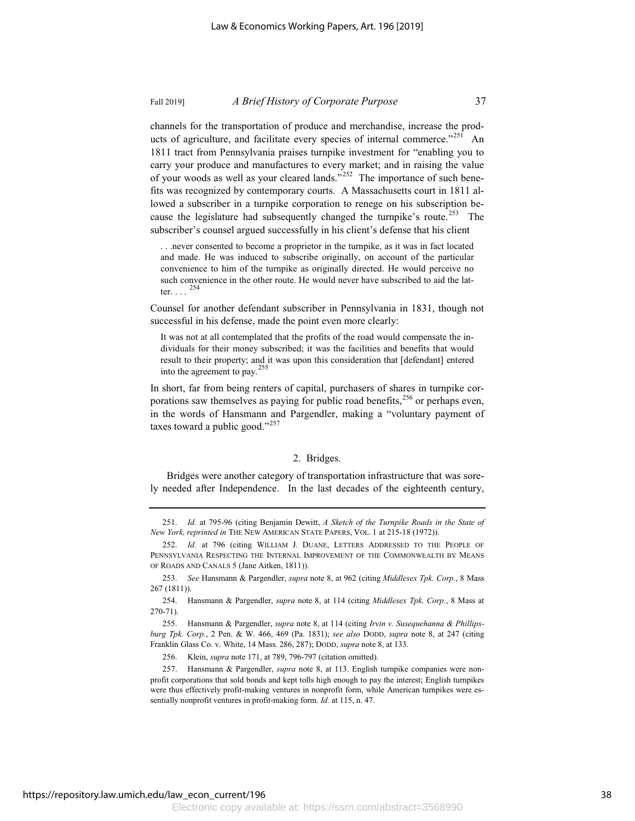channels for the transportation of produce and merchandise, increase the products of agriculture, and facilitate every species of internal commerce."<sup>251</sup> An 1811 tract from Pennsylvania praises turnpike investment for "enabling you to carry your produce and manufactures to every market; and in raising the value of your woods as well as your cleared lands."<sup>252</sup> The importance of such benefits was recognized by contemporary courts. A Massachusetts court in 1811 allowed a subscriber in a turnpike corporation to renege on his subscription because the legislature had subsequently changed the turnpike's route.<sup>253</sup> The subscriber's counsel argued successfully in his client's defense that his client

. . .never consented to become a proprietor in the turnpike, as it was in fact located and made. He was induced to subscribe originally, on account of the particular convenience to him of the turnpike as originally directed. He would perceive no such convenience in the other route. He would never have subscribed to aid the latter.  $\ldots$  . <sup>254</sup>

Counsel for another defendant subscriber in Pennsylvania in 1831, though not successful in his defense, made the point even more clearly:

It was not at all contemplated that the profits of the road would compensate the individuals for their money subscribed; it was the facilities and benefits that would result to their property; and it was upon this consideration that [defendant] entered into the agreement to pay.<sup>255</sup>

In short, far from being renters of capital, purchasers of shares in turnpike corporations saw themselves as paying for public road benefits,  $256$  or perhaps even, in the words of Hansmann and Pargendler, making a "voluntary payment of taxes toward a public good." $257$ 

#### 2. Bridges.

Bridges were another category of transportation infrastructure that was sorely needed after Independence. In the last decades of the eighteenth century,

256. Klein, *supra* note 171, at 789, 796-797 (citation omitted).

257. Hansmann & Pargendler, *supra* note 8, at 113. English turnpike companies were nonprofit corporations that sold bonds and kept tolls high enough to pay the interest; English turnpikes were thus effectively profit-making ventures in nonprofit form, while American turnpikes were essentially nonprofit ventures in profit-making form. *Id.* at 115, n. 47.

<sup>251.</sup> *Id.* at 795-96 (citing Benjamin Dewitt, *A Sketch of the Turnpike Roads in the State of New York, reprinted in* THE NEW AMERICAN STATE PAPERS, VOL. 1 at 215-18 (1972)).

<sup>252.</sup> *Id.* at 796 (citing WILLIAM J. DUANE, LETTERS ADDRESSED TO THE PEOPLE OF PENNSYLVANIA RESPECTING THE INTERNAL IMPROVEMENT OF THE COMMONWEALTH BY MEANS OF ROADS AND CANALS 5 (Jane Aitken, 1811)).

<sup>253.</sup> *See* Hansmann & Pargendler, *supra* note 8, at 962 (citing *Middlesex Tpk. Corp.*, 8 Mass 267 (1811)).

<sup>254.</sup> Hansmann & Pargendler, *supra* note 8, at 114 (citing *Middlesex Tpk. Corp.*, 8 Mass at 270-71).

<sup>255.</sup> Hansmann & Pargendler, *supra* note 8, at 114 (citing *Irvin v. Susequehanna & Phillipsburg Tpk. Corp.*, 2 Pen. & W. 466, 469 (Pa. 1831); *see also* DODD, *supra* note 8, at 247 (citing Franklin Glass Co. v. White, 14 Mass. 286, 287); DODD, *supra* note 8, at 133.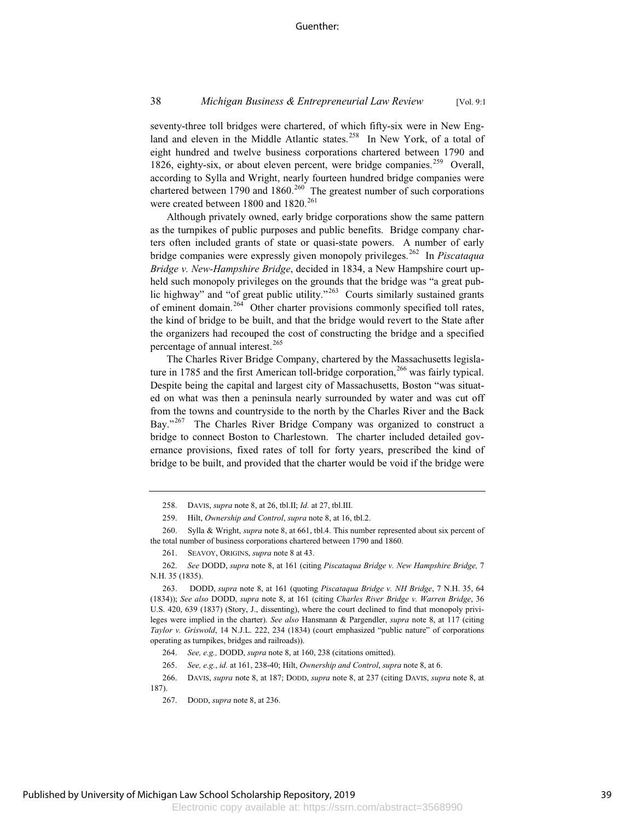seventy-three toll bridges were chartered, of which fifty-six were in New England and eleven in the Middle Atlantic states.<sup>258</sup> In New York, of a total of eight hundred and twelve business corporations chartered between 1790 and 1826, eighty-six, or about eleven percent, were bridge companies.<sup>259</sup> Overall, according to Sylla and Wright, nearly fourteen hundred bridge companies were chartered between 1790 and 1860.<sup>260</sup> The greatest number of such corporations were created between 1800 and 1820.<sup>261</sup>

Although privately owned, early bridge corporations show the same pattern as the turnpikes of public purposes and public benefits. Bridge company charters often included grants of state or quasi-state powers. A number of early bridge companies were expressly given monopoly privileges.<sup>262</sup> In *Piscataqua Bridge v. New-Hampshire Bridge*, decided in 1834, a New Hampshire court upheld such monopoly privileges on the grounds that the bridge was "a great public highway" and "of great public utility."<sup>263</sup> Courts similarly sustained grants of eminent domain.<sup>264</sup> Other charter provisions commonly specified toll rates, the kind of bridge to be built, and that the bridge would revert to the State after the organizers had recouped the cost of constructing the bridge and a specified percentage of annual interest.<sup>265</sup>

The Charles River Bridge Company, chartered by the Massachusetts legislature in 1785 and the first American toll-bridge corporation,<sup>266</sup> was fairly typical. Despite being the capital and largest city of Massachusetts, Boston "was situated on what was then a peninsula nearly surrounded by water and was cut off from the towns and countryside to the north by the Charles River and the Back Bay."<sup>267</sup> The Charles River Bridge Company was organized to construct a bridge to connect Boston to Charlestown. The charter included detailed governance provisions, fixed rates of toll for forty years, prescribed the kind of bridge to be built, and provided that the charter would be void if the bridge were

<sup>258.</sup> DAVIS, *supra* note 8, at 26, tbl.II; *Id.* at 27, tbl.III.

<sup>259.</sup> Hilt, *Ownership and Control*, *supra* note 8, at 16, tbl.2.

<sup>260.</sup> Sylla & Wright, *supra* note 8, at 661, tbl.4. This number represented about six percent of the total number of business corporations chartered between 1790 and 1860.

<sup>261.</sup> SEAVOY, ORIGINS, *supra* note 8 at 43.

<sup>262.</sup> *See* DODD, *supra* note 8, at 161 (citing *Piscataqua Bridge v. New Hampshire Bridge,* 7 N.H. 35 (1835).

<sup>263.</sup> DODD, *supra* note 8, at 161 (quoting *Piscataqua Bridge v. NH Bridge*, 7 N.H. 35, 64 (1834)); *See also* DODD, *supra* note 8, at 161 (citing *Charles River Bridge v. Warren Bridge*, 36 U.S. 420, 639 (1837) (Story, J., dissenting), where the court declined to find that monopoly privileges were implied in the charter). *See also* Hansmann & Pargendler, *supra* note 8, at 117 (citing *Taylor v. Griswold*, 14 N.J.L. 222, 234 (1834) (court emphasized "public nature" of corporations operating as turnpikes, bridges and railroads)).

<sup>264.</sup> *See, e.g.,* DODD, *supra* note 8, at 160, 238 (citations omitted).

<sup>265.</sup> *See, e.g.*, *id.* at 161, 238-40; Hilt, *Ownership and Control*, *supra* note 8, at 6.

<sup>266.</sup> DAVIS, *supra* note 8, at 187; DODD, *supra* note 8, at 237 (citing DAVIS, *supra* note 8, at

<sup>187).</sup>

<sup>267.</sup> DODD, *supra* note 8, at 236.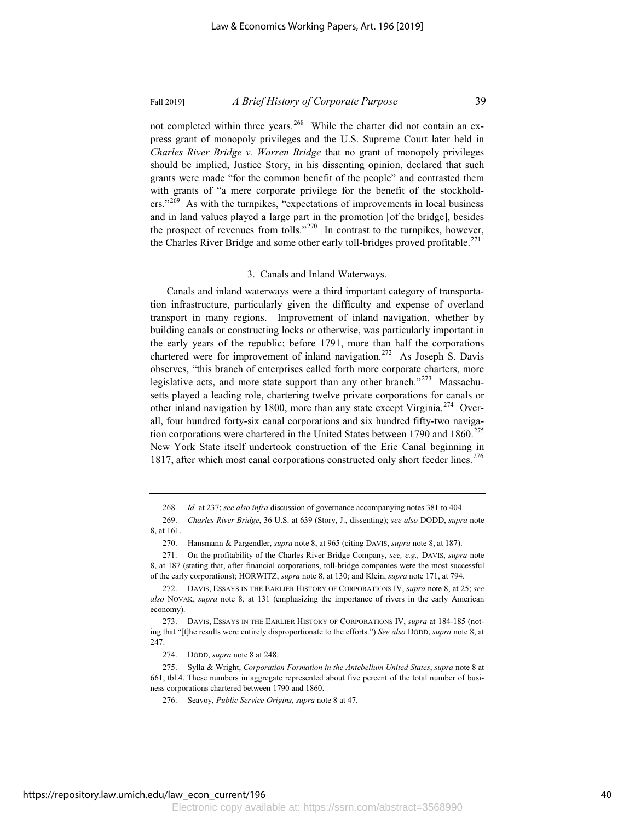not completed within three years.<sup>268</sup> While the charter did not contain an express grant of monopoly privileges and the U.S. Supreme Court later held in *Charles River Bridge v. Warren Bridge* that no grant of monopoly privileges should be implied, Justice Story, in his dissenting opinion, declared that such grants were made "for the common benefit of the people" and contrasted them with grants of "a mere corporate privilege for the benefit of the stockholders."<sup>269</sup> As with the turnpikes, "expectations of improvements in local business and in land values played a large part in the promotion [of the bridge], besides the prospect of revenues from tolls."<sup>270</sup> In contrast to the turnpikes, however, the Charles River Bridge and some other early toll-bridges proved profitable.<sup>271</sup>

### 3. Canals and Inland Waterways.

Canals and inland waterways were a third important category of transportation infrastructure, particularly given the difficulty and expense of overland transport in many regions. Improvement of inland navigation, whether by building canals or constructing locks or otherwise, was particularly important in the early years of the republic; before 1791, more than half the corporations chartered were for improvement of inland navigation.<sup>272</sup> As Joseph S. Davis observes, "this branch of enterprises called forth more corporate charters, more legislative acts, and more state support than any other branch."<sup>273</sup> Massachusetts played a leading role, chartering twelve private corporations for canals or other inland navigation by 1800, more than any state except Virginia.<sup>274</sup> Overall, four hundred forty-six canal corporations and six hundred fifty-two navigation corporations were chartered in the United States between 1790 and 1860.<sup>275</sup> New York State itself undertook construction of the Erie Canal beginning in 1817, after which most canal corporations constructed only short feeder lines.<sup>276</sup>

274. DODD, *supra* note 8 at 248.

<sup>268.</sup> *Id.* at 237; *see also infra* discussion of governance accompanying notes 381 to 404.

<sup>269.</sup> *Charles River Bridge*, 36 U.S. at 639 (Story, J., dissenting); *see also* DODD, *supra* note 8, at 161.

<sup>270.</sup> Hansmann & Pargendler, *supra* note 8, at 965 (citing DAVIS, *supra* note 8, at 187).

<sup>271.</sup> On the profitability of the Charles River Bridge Company, *see, e.g.,* DAVIS, *supra* note 8, at 187 (stating that, after financial corporations, toll-bridge companies were the most successful of the early corporations); HORWITZ, *supra* note 8, at 130; and Klein, *supra* note 171, at 794.

<sup>272.</sup> DAVIS, ESSAYS IN THE EARLIER HISTORY OF CORPORATIONS IV, *supra* note 8, at 25; *see also* NOVAK, *supra* note 8, at 131 (emphasizing the importance of rivers in the early American economy).

<sup>273.</sup> DAVIS, ESSAYS IN THE EARLIER HISTORY OF CORPORATIONS IV, *supra* at 184-185 (noting that "[t]he results were entirely disproportionate to the efforts.") *See also* DODD, *supra* note 8, at 247.

<sup>275.</sup> Sylla & Wright, *Corporation Formation in the Antebellum United States*, *supra* note 8 at 661, tbl.4. These numbers in aggregate represented about five percent of the total number of business corporations chartered between 1790 and 1860.

<sup>276.</sup> Seavoy, *Public Service Origins*, *supra* note 8 at 47.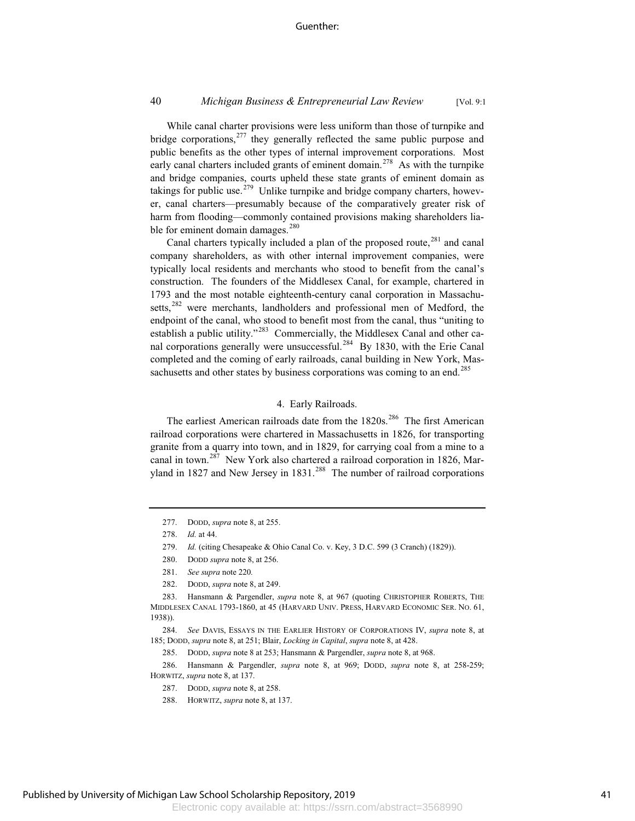#### Guenther:

### 40 *Michigan Business & Entrepreneurial Law Review* [Vol. 9:1

While canal charter provisions were less uniform than those of turnpike and bridge corporations, $277$  they generally reflected the same public purpose and public benefits as the other types of internal improvement corporations. Most early canal charters included grants of eminent domain.<sup>278</sup> As with the turnpike and bridge companies, courts upheld these state grants of eminent domain as takings for public use.<sup>279</sup> Unlike turnpike and bridge company charters, however, canal charters—presumably because of the comparatively greater risk of harm from flooding—commonly contained provisions making shareholders liable for eminent domain damages. $280$ 

Canal charters typically included a plan of the proposed route,<sup>281</sup> and canal company shareholders, as with other internal improvement companies, were typically local residents and merchants who stood to benefit from the canal's construction. The founders of the Middlesex Canal, for example, chartered in 1793 and the most notable eighteenth-century canal corporation in Massachusetts,<sup>282</sup> were merchants, landholders and professional men of Medford, the endpoint of the canal, who stood to benefit most from the canal, thus "uniting to establish a public utility."<sup>283</sup> Commercially, the Middlesex Canal and other canal corporations generally were unsuccessful.<sup>284</sup> By 1830, with the Erie Canal completed and the coming of early railroads, canal building in New York, Massachusetts and other states by business corporations was coming to an end.<sup>285</sup>

## 4. Early Railroads.

The earliest American railroads date from the 1820s.<sup>286</sup> The first American railroad corporations were chartered in Massachusetts in 1826, for transporting granite from a quarry into town, and in 1829, for carrying coal from a mine to a canal in town.<sup>287</sup> New York also chartered a railroad corporation in 1826, Maryland in 1827 and New Jersey in  $1831$ <sup>288</sup> The number of railroad corporations

- 279. *Id.* (citing Chesapeake & Ohio Canal Co. v. Key, 3 D.C. 599 (3 Cranch) (1829)).
- 280. DODD *supra* note 8, at 256.
- 281. *See supra* note 220*.*
- 282. DODD, *supra* note 8, at 249.

286. Hansmann & Pargendler, *supra* note 8, at 969; DODD, *supra* note 8, at 258-259; HORWITZ, *supra* note 8, at 137.

<sup>277.</sup> DODD, *supra* note 8, at 255.

<sup>278.</sup> *Id.* at 44.

<sup>283.</sup> Hansmann & Pargendler, *supra* note 8, at 967 (quoting CHRISTOPHER ROBERTS, THE MIDDLESEX CANAL 1793-1860, at 45 (HARVARD UNIV. PRESS, HARVARD ECONOMIC SER. NO. 61, 1938)).

<sup>284.</sup> *See* DAVIS, ESSAYS IN THE EARLIER HISTORY OF CORPORATIONS IV, *supra* note 8, at 185; DODD, *supra* note 8, at 251; Blair, *Locking in Capital*, *supra* note 8, at 428.

<sup>285.</sup> DODD, *supra* note 8 at 253; Hansmann & Pargendler, *supra* note 8, at 968.

<sup>287.</sup> DODD, *supra* note 8, at 258.

<sup>288.</sup> HORWITZ, *supra* note 8, at 137.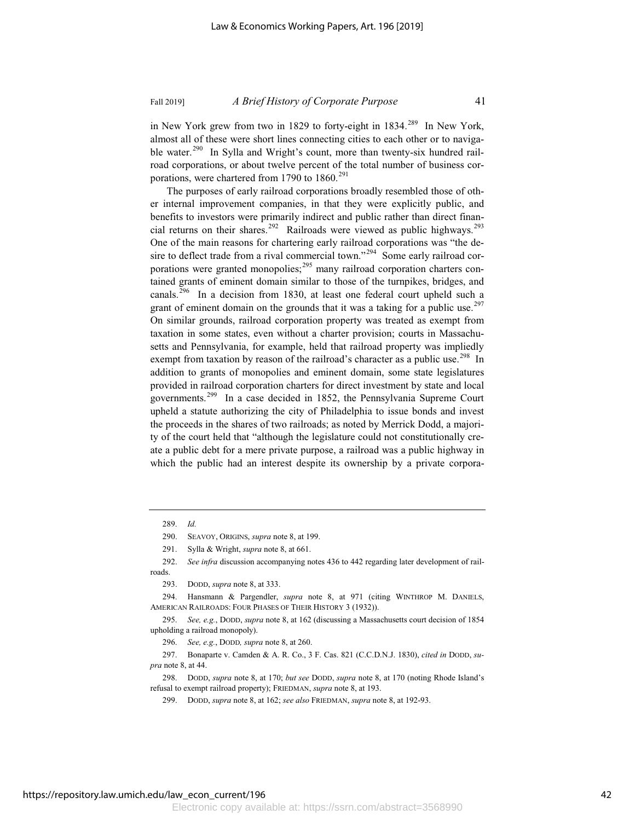in New York grew from two in 1829 to forty-eight in 1834.<sup>289</sup> In New York, almost all of these were short lines connecting cities to each other or to navigable water.<sup>290</sup> In Sylla and Wright's count, more than twenty-six hundred railroad corporations, or about twelve percent of the total number of business corporations, were chartered from 1790 to  $1860.^{291}$ 

The purposes of early railroad corporations broadly resembled those of other internal improvement companies, in that they were explicitly public, and benefits to investors were primarily indirect and public rather than direct financial returns on their shares.<sup>292</sup> Railroads were viewed as public highways.<sup>293</sup> One of the main reasons for chartering early railroad corporations was "the desire to deflect trade from a rival commercial town."<sup>294</sup> Some early railroad corporations were granted monopolies;<sup>295</sup> many railroad corporation charters contained grants of eminent domain similar to those of the turnpikes, bridges, and canals.<sup>296</sup> In a decision from 1830, at least one federal court upheld such a grant of eminent domain on the grounds that it was a taking for a public use.<sup>297</sup> On similar grounds, railroad corporation property was treated as exempt from taxation in some states, even without a charter provision; courts in Massachusetts and Pennsylvania, for example, held that railroad property was impliedly exempt from taxation by reason of the railroad's character as a public use.<sup>298</sup> In addition to grants of monopolies and eminent domain, some state legislatures provided in railroad corporation charters for direct investment by state and local governments.<sup>299</sup> In a case decided in 1852, the Pennsylvania Supreme Court upheld a statute authorizing the city of Philadelphia to issue bonds and invest the proceeds in the shares of two railroads; as noted by Merrick Dodd, a majority of the court held that "although the legislature could not constitutionally create a public debt for a mere private purpose, a railroad was a public highway in which the public had an interest despite its ownership by a private corpora-

<sup>289.</sup> *Id.*

<sup>290.</sup> SEAVOY, ORIGINS, *supra* note 8, at 199.

<sup>291.</sup> Sylla & Wright, *supra* note 8, at 661.

<sup>292.</sup> *See infra* discussion accompanying notes 436 to 442 regarding later development of railroads.

<sup>293.</sup> DODD, *supra* note 8, at 333.

<sup>294.</sup> Hansmann & Pargendler, *supra* note 8, at 971 (citing WINTHROP M. DANIELS, AMERICAN RAILROADS: FOUR PHASES OF THEIR HISTORY 3 (1932)).

<sup>295.</sup> *See, e.g.*, DODD, *supra* note 8, at 162 (discussing a Massachusetts court decision of 1854 upholding a railroad monopoly).

<sup>296.</sup> *See, e.g.*, DODD*, supra* note 8, at 260.

<sup>297.</sup> Bonaparte v. Camden & A. R. Co., 3 F. Cas. 821 (C.C.D.N.J. 1830), *cited in* DODD, *supra* note 8, at 44.

<sup>298.</sup> DODD, *supra* note 8, at 170; *but see* DODD, *supra* note 8, at 170 (noting Rhode Island's refusal to exempt railroad property); FRIEDMAN, *supra* note 8, at 193.

<sup>299.</sup> DODD, *supra* note 8, at 162; *see also* FRIEDMAN, *supra* note 8, at 192-93.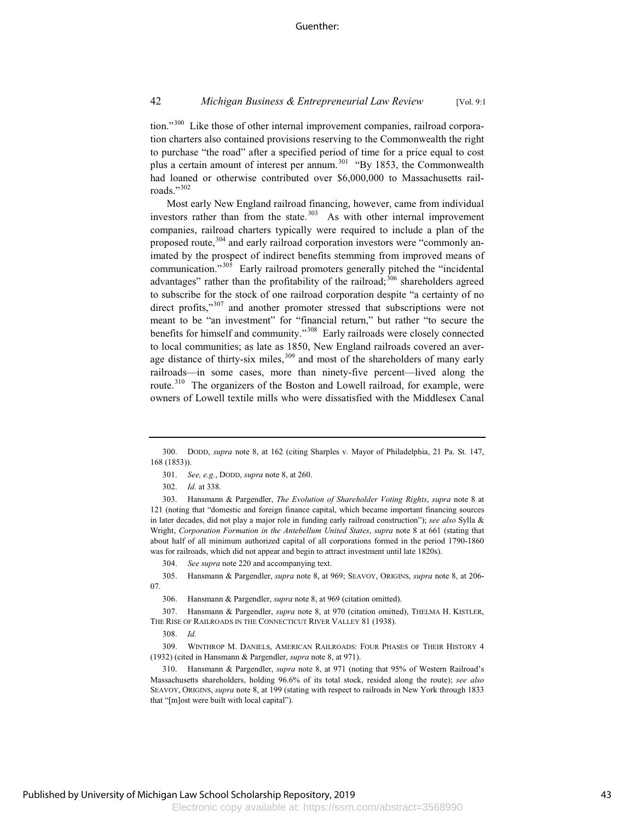tion."<sup>300</sup> Like those of other internal improvement companies, railroad corporation charters also contained provisions reserving to the Commonwealth the right to purchase "the road" after a specified period of time for a price equal to cost plus a certain amount of interest per annum.<sup>301</sup> "By 1853, the Commonwealth had loaned or otherwise contributed over \$6,000,000 to Massachusetts railroads."302

Most early New England railroad financing, however, came from individual investors rather than from the state. $303$  As with other internal improvement companies, railroad charters typically were required to include a plan of the proposed route,<sup>304</sup> and early railroad corporation investors were "commonly animated by the prospect of indirect benefits stemming from improved means of communication."<sup>305</sup> Early railroad promoters generally pitched the "incidental advantages" rather than the profitability of the railroad;<sup>306</sup> shareholders agreed to subscribe for the stock of one railroad corporation despite "a certainty of no direct profits,"<sup>307</sup> and another promoter stressed that subscriptions were not meant to be "an investment" for "financial return," but rather "to secure the benefits for himself and community."<sup>308</sup> Early railroads were closely connected to local communities; as late as 1850, New England railroads covered an average distance of thirty-six miles,<sup>309</sup> and most of the shareholders of many early railroads—in some cases, more than ninety-five percent—lived along the route.<sup>310</sup> The organizers of the Boston and Lowell railroad, for example, were owners of Lowell textile mills who were dissatisfied with the Middlesex Canal

303. Hansmann & Pargendler, *The Evolution of Shareholder Voting Rights*, *supra* note 8 at 121 (noting that "domestic and foreign finance capital, which became important financing sources in later decades, did not play a major role in funding early railroad construction"); *see also* Sylla & Wright, *Corporation Formation in the Antebellum United States*, *supra* note 8 at 661 (stating that about half of all minimum authorized capital of all corporations formed in the period 1790-1860 was for railroads, which did not appear and begin to attract investment until late 1820s).

309. WINTHROP M. DANIELS, AMERICAN RAILROADS: FOUR PHASES OF THEIR HISTORY 4 (1932) (cited in Hansmann & Pargendler, *supra* note 8, at 971).

310. Hansmann & Pargendler, *supra* note 8, at 971 (noting that 95% of Western Railroad's Massachusetts shareholders, holding 96.6% of its total stock, resided along the route); *see also* SEAVOY, ORIGINS, *supra* note 8, at 199 (stating with respect to railroads in New York through 1833 that "[m]ost were built with local capital").

<sup>300.</sup> DODD, *supra* note 8, at 162 (citing Sharples v. Mayor of Philadelphia, 21 Pa. St. 147, 168 (1853)).

<sup>301.</sup> *See, e.g.*, DODD, *supra* note 8, at 260.

<sup>302.</sup> *Id.* at 338.

<sup>304.</sup> *See supra* note 220 and accompanying text.

<sup>305.</sup> Hansmann & Pargendler, *supra* note 8, at 969; SEAVOY, ORIGINS, *supra* note 8, at 206- 07.

<sup>306.</sup> Hansmann & Pargendler, *supra* note 8, at 969 (citation omitted).

<sup>307.</sup> Hansmann & Pargendler, *supra* note 8, at 970 (citation omitted), THELMA H. KISTLER, THE RISE OF RAILROADS IN THE CONNECTICUT RIVER VALLEY 81 (1938).

<sup>308.</sup> *Id.*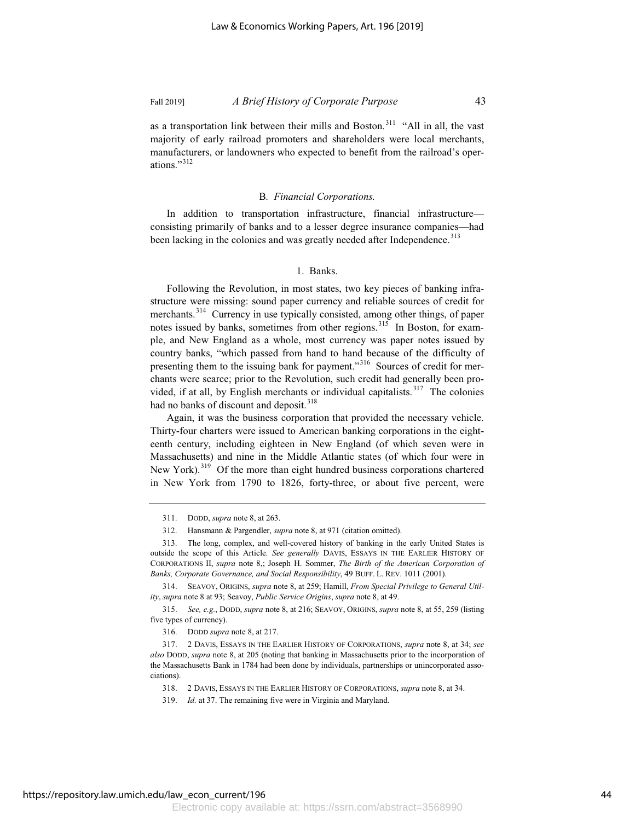as a transportation link between their mills and Boston.<sup>311</sup> "All in all, the vast majority of early railroad promoters and shareholders were local merchants, manufacturers, or landowners who expected to benefit from the railroad's operations."<sup>312</sup>

#### B*. Financial Corporations.*

In addition to transportation infrastructure, financial infrastructure consisting primarily of banks and to a lesser degree insurance companies—had been lacking in the colonies and was greatly needed after Independence.<sup>313</sup>

### 1. Banks.

Following the Revolution, in most states, two key pieces of banking infrastructure were missing: sound paper currency and reliable sources of credit for merchants.<sup>314</sup> Currency in use typically consisted, among other things, of paper notes issued by banks, sometimes from other regions.<sup>315</sup> In Boston, for example, and New England as a whole, most currency was paper notes issued by country banks, "which passed from hand to hand because of the difficulty of presenting them to the issuing bank for payment."<sup>316</sup> Sources of credit for merchants were scarce; prior to the Revolution, such credit had generally been provided, if at all, by English merchants or individual capitalists. $317$  The colonies had no banks of discount and deposit.<sup>318</sup>

Again, it was the business corporation that provided the necessary vehicle. Thirty-four charters were issued to American banking corporations in the eighteenth century, including eighteen in New England (of which seven were in Massachusetts) and nine in the Middle Atlantic states (of which four were in New York).<sup>319</sup> Of the more than eight hundred business corporations chartered in New York from 1790 to 1826, forty-three, or about five percent, were

<sup>311.</sup> DODD, *supra* note 8, at 263.

<sup>312.</sup> Hansmann & Pargendler, *supra* note 8, at 971 (citation omitted).

<sup>313.</sup> The long, complex, and well-covered history of banking in the early United States is outside the scope of this Article. *See generally* DAVIS, ESSAYS IN THE EARLIER HISTORY OF CORPORATIONS II, *supra* note 8,; Joseph H. Sommer, *The Birth of the American Corporation of Banks, Corporate Governance, and Social Responsibility*, 49 BUFF. L. REV. 1011 (2001).

<sup>314.</sup> SEAVOY, ORIGINS, *supra* note 8, at 259; Hamill, *From Special Privilege to General Utility*, *supra* note 8 at 93; Seavoy, *Public Service Origins*, *supra* note 8, at 49.

<sup>315.</sup> *See, e.g.*, DODD, *supra* note 8, at 216; SEAVOY, ORIGINS, *supra* note 8, at 55, 259 (listing five types of currency).

<sup>316.</sup> DODD *supra* note 8, at 217.

<sup>317. 2</sup> DAVIS, ESSAYS IN THE EARLIER HISTORY OF CORPORATIONS, *supra* note 8, at 34; *see also* DODD, *supra* note 8, at 205 (noting that banking in Massachusetts prior to the incorporation of the Massachusetts Bank in 1784 had been done by individuals, partnerships or unincorporated associations).

<sup>318. 2</sup> DAVIS, ESSAYS IN THE EARLIER HISTORY OF CORPORATIONS, *supra* note 8, at 34.

<sup>319.</sup> *Id.* at 37. The remaining five were in Virginia and Maryland.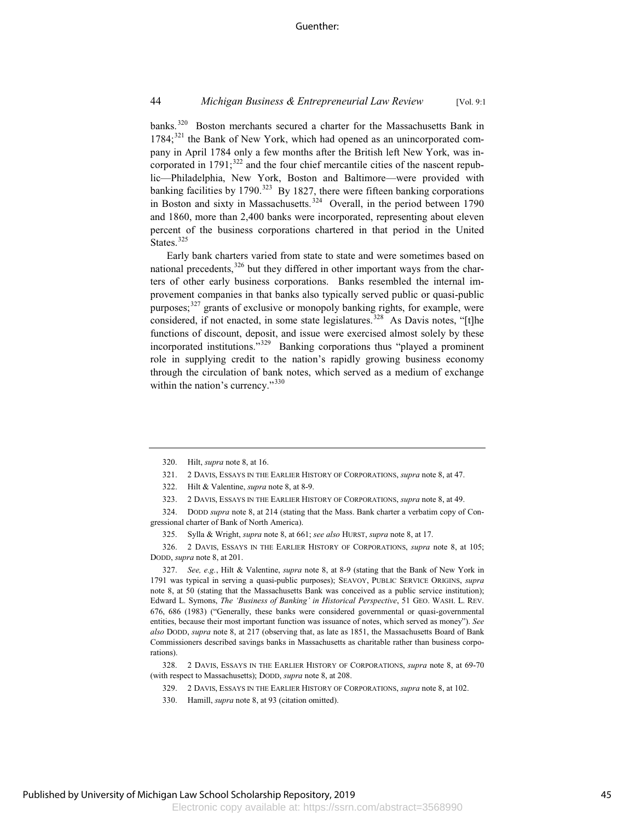banks.<sup>320</sup> Boston merchants secured a charter for the Massachusetts Bank in  $1784$ ;<sup>321</sup> the Bank of New York, which had opened as an unincorporated company in April 1784 only a few months after the British left New York, was incorporated in  $1791$ ;<sup>322</sup> and the four chief mercantile cities of the nascent republic—Philadelphia, New York, Boston and Baltimore—were provided with banking facilities by  $1790^{323}$  By 1827, there were fifteen banking corporations in Boston and sixty in Massachusetts.<sup>324</sup> Overall, in the period between 1790 and 1860, more than 2,400 banks were incorporated, representing about eleven percent of the business corporations chartered in that period in the United States.<sup>325</sup>

Early bank charters varied from state to state and were sometimes based on national precedents, $326$  but they differed in other important ways from the charters of other early business corporations. Banks resembled the internal improvement companies in that banks also typically served public or quasi-public purposes;<sup>327</sup> grants of exclusive or monopoly banking rights, for example, were considered, if not enacted, in some state legislatures.<sup>328</sup> As Davis notes, "[t]he functions of discount, deposit, and issue were exercised almost solely by these incorporated institutions."<sup>329</sup> Banking corporations thus "played a prominent role in supplying credit to the nation's rapidly growing business economy through the circulation of bank notes, which served as a medium of exchange within the nation's currency."<sup>330</sup>

<sup>320.</sup> Hilt, *supra* note 8, at 16.

<sup>321. 2</sup> DAVIS, ESSAYS IN THE EARLIER HISTORY OF CORPORATIONS, *supra* note 8, at 47.

<sup>322.</sup> Hilt & Valentine, *supra* note 8, at 8-9.

<sup>323. 2</sup> DAVIS, ESSAYS IN THE EARLIER HISTORY OF CORPORATIONS, *supra* note 8, at 49.

<sup>324.</sup> DODD *supra* note 8, at 214 (stating that the Mass. Bank charter a verbatim copy of Congressional charter of Bank of North America).

<sup>325.</sup> Sylla & Wright, *supra* note 8, at 661; *see also* HURST, *supra* note 8, at 17.

<sup>326. 2</sup> DAVIS, ESSAYS IN THE EARLIER HISTORY OF CORPORATIONS, *supra* note 8, at 105; DODD, *supra* note 8, at 201.

<sup>327.</sup> *See, e.g.*, Hilt & Valentine, *supra* note 8, at 8-9 (stating that the Bank of New York in 1791 was typical in serving a quasi-public purposes); SEAVOY, PUBLIC SERVICE ORIGINS, *supra* note 8, at 50 (stating that the Massachusetts Bank was conceived as a public service institution); Edward L. Symons, *The 'Business of Banking' in Historical Perspective*, 51 GEO. WASH. L. REV. 676, 686 (1983) ("Generally, these banks were considered governmental or quasi-governmental entities, because their most important function was issuance of notes, which served as money"). *See also* DODD, *supra* note 8, at 217 (observing that, as late as 1851, the Massachusetts Board of Bank Commissioners described savings banks in Massachusetts as charitable rather than business corporations).

<sup>328. 2</sup> DAVIS, ESSAYS IN THE EARLIER HISTORY OF CORPORATIONS, *supra* note 8, at 69-70 (with respect to Massachusetts); DODD, *supra* note 8, at 208.

<sup>329. 2</sup> DAVIS, ESSAYS IN THE EARLIER HISTORY OF CORPORATIONS, *supra* note 8, at 102.

<sup>330.</sup> Hamill, *supra* note 8, at 93 (citation omitted).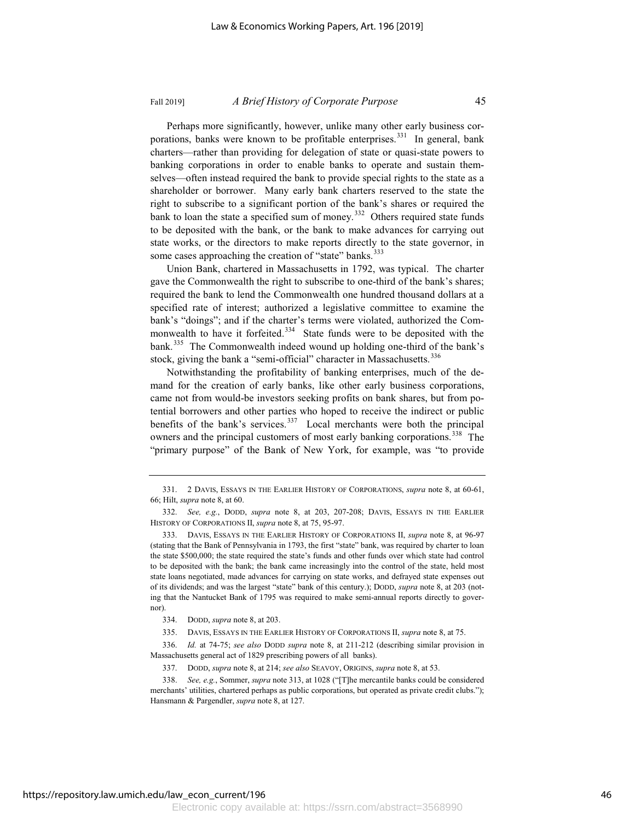Perhaps more significantly, however, unlike many other early business corporations, banks were known to be profitable enterprises.<sup>331</sup> In general, bank charters—rather than providing for delegation of state or quasi-state powers to banking corporations in order to enable banks to operate and sustain themselves—often instead required the bank to provide special rights to the state as a shareholder or borrower. Many early bank charters reserved to the state the

right to subscribe to a significant portion of the bank's shares or required the bank to loan the state a specified sum of money.<sup>332</sup> Others required state funds to be deposited with the bank, or the bank to make advances for carrying out state works, or the directors to make reports directly to the state governor, in some cases approaching the creation of "state" banks.<sup>333</sup>

Union Bank, chartered in Massachusetts in 1792, was typical. The charter gave the Commonwealth the right to subscribe to one-third of the bank's shares; required the bank to lend the Commonwealth one hundred thousand dollars at a specified rate of interest; authorized a legislative committee to examine the bank's "doings"; and if the charter's terms were violated, authorized the Commonwealth to have it forfeited.<sup>334</sup> State funds were to be deposited with the bank.<sup>335</sup> The Commonwealth indeed wound up holding one-third of the bank's stock, giving the bank a "semi-official" character in Massachusetts.<sup>336</sup>

Notwithstanding the profitability of banking enterprises, much of the demand for the creation of early banks, like other early business corporations, came not from would-be investors seeking profits on bank shares, but from potential borrowers and other parties who hoped to receive the indirect or public benefits of the bank's services.<sup>337</sup> Local merchants were both the principal owners and the principal customers of most early banking corporations.<sup>338</sup> The "primary purpose" of the Bank of New York, for example, was "to provide

336. *Id.* at 74-75; *see also* DODD *supra* note 8, at 211-212 (describing similar provision in Massachusetts general act of 1829 prescribing powers of all banks).

337. DODD, *supra* note 8, at 214; *see also* SEAVOY, ORIGINS, *supra* note 8, at 53.

338. *See, e.g.*, Sommer, *supra* note 313, at 1028 ("[T]he mercantile banks could be considered merchants' utilities, chartered perhaps as public corporations, but operated as private credit clubs."); Hansmann & Pargendler, *supra* note 8, at 127.

<sup>331. 2</sup> DAVIS, ESSAYS IN THE EARLIER HISTORY OF CORPORATIONS, *supra* note 8, at 60-61, 66; Hilt, *supra* note 8, at 60.

<sup>332.</sup> *See, e.g.*, DODD, *supra* note 8, at 203, 207-208; DAVIS, ESSAYS IN THE EARLIER HISTORY OF CORPORATIONS II, *supra* note 8, at 75, 95-97.

<sup>333.</sup> DAVIS, ESSAYS IN THE EARLIER HISTORY OF CORPORATIONS II, *supra* note 8, at 96-97 (stating that the Bank of Pennsylvania in 1793, the first "state" bank, was required by charter to loan the state \$500,000; the state required the state's funds and other funds over which state had control to be deposited with the bank; the bank came increasingly into the control of the state, held most state loans negotiated, made advances for carrying on state works, and defrayed state expenses out of its dividends; and was the largest "state" bank of this century.); DODD, *supra* note 8, at 203 (noting that the Nantucket Bank of 1795 was required to make semi-annual reports directly to governor).

<sup>334.</sup> DODD, *supra* note 8, at 203.

<sup>335.</sup> DAVIS, ESSAYS IN THE EARLIER HISTORY OF CORPORATIONS II, *supra* note 8, at 75.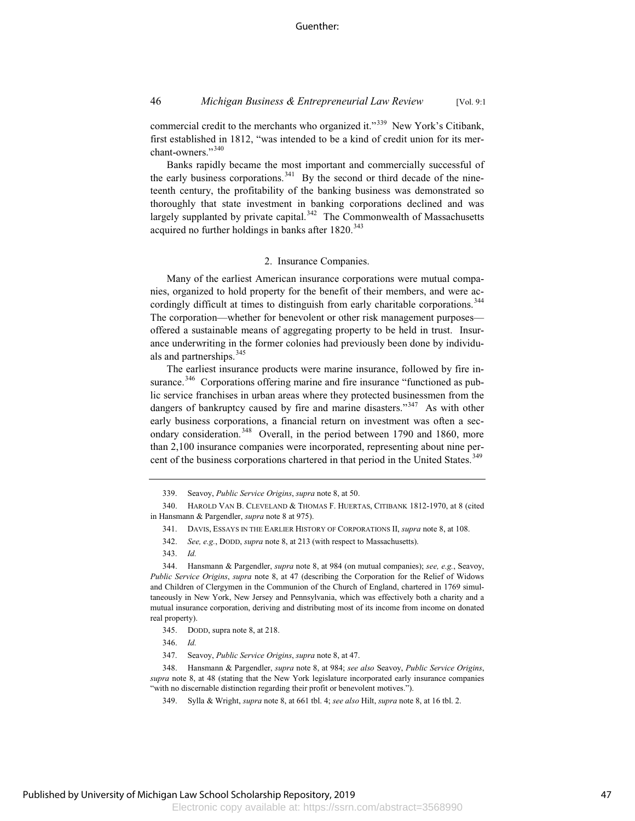commercial credit to the merchants who organized it."<sup>339</sup> New York's Citibank, first established in 1812, "was intended to be a kind of credit union for its merchant-owners."<sup>340</sup>

Banks rapidly became the most important and commercially successful of the early business corporations.<sup>341</sup> By the second or third decade of the nineteenth century, the profitability of the banking business was demonstrated so thoroughly that state investment in banking corporations declined and was largely supplanted by private capital. $342$  The Commonwealth of Massachusetts acquired no further holdings in banks after  $1820.^{343}$ 

#### 2. Insurance Companies.

Many of the earliest American insurance corporations were mutual companies, organized to hold property for the benefit of their members, and were accordingly difficult at times to distinguish from early charitable corporations.<sup>344</sup> The corporation—whether for benevolent or other risk management purposes offered a sustainable means of aggregating property to be held in trust. Insurance underwriting in the former colonies had previously been done by individuals and partnerships.<sup>345</sup>

The earliest insurance products were marine insurance, followed by fire insurance.<sup>346</sup> Corporations offering marine and fire insurance "functioned as public service franchises in urban areas where they protected businessmen from the dangers of bankruptcy caused by fire and marine disasters."<sup>347</sup> As with other early business corporations, a financial return on investment was often a secondary consideration.<sup>348</sup> Overall, in the period between 1790 and 1860, more than 2,100 insurance companies were incorporated, representing about nine percent of the business corporations chartered in that period in the United States.<sup>349</sup>

343. *Id.*

344. Hansmann & Pargendler, *supra* note 8, at 984 (on mutual companies); *see, e.g.*, Seavoy, *Public Service Origins*, *supra* note 8, at 47 (describing the Corporation for the Relief of Widows and Children of Clergymen in the Communion of the Church of England, chartered in 1769 simultaneously in New York, New Jersey and Pennsylvania, which was effectively both a charity and a mutual insurance corporation, deriving and distributing most of its income from income on donated real property).

345. DODD, supra note 8, at 218.

347. Seavoy, *Public Service Origins*, *supra* note 8, at 47.

348. Hansmann & Pargendler, *supra* note 8, at 984; *see also* Seavoy, *Public Service Origins*, *supra* note 8, at 48 (stating that the New York legislature incorporated early insurance companies "with no discernable distinction regarding their profit or benevolent motives.").

349. Sylla & Wright, *supra* note 8, at 661 tbl. 4; *see also* Hilt, *supra* note 8, at 16 tbl. 2.

<sup>339.</sup> Seavoy, *Public Service Origins*, *supra* note 8, at 50.

<sup>340.</sup> HAROLD VAN B. CLEVELAND & THOMAS F. HUERTAS, CITIBANK 1812-1970, at 8 (cited in Hansmann & Pargendler, *supra* note 8 at 975).

<sup>341.</sup> DAVIS, ESSAYS IN THE EARLIER HISTORY OF CORPORATIONS II, *supra* note 8, at 108.

<sup>342.</sup> *See, e.g.*, DODD, *supra* note 8, at 213 (with respect to Massachusetts).

<sup>346.</sup> *Id.*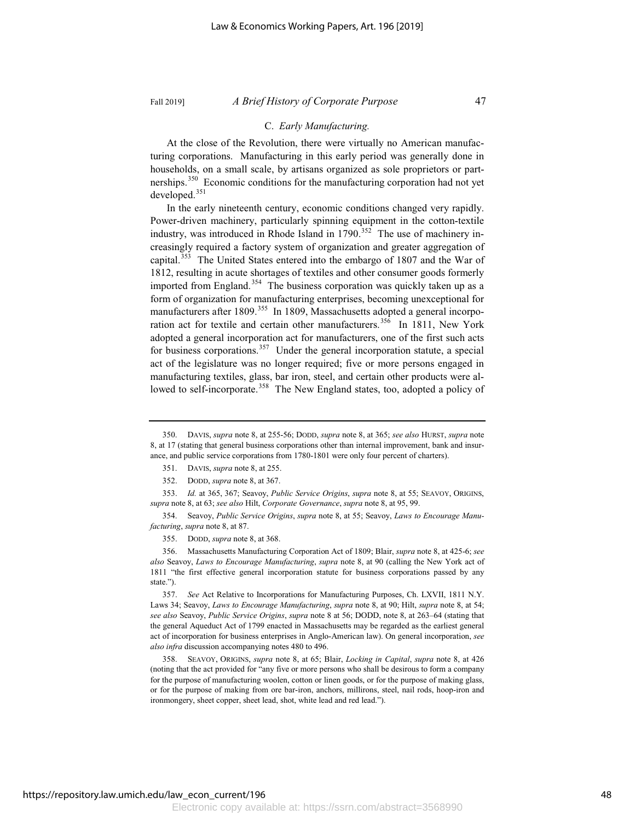# C. *Early Manufacturing.*

At the close of the Revolution, there were virtually no American manufacturing corporations. Manufacturing in this early period was generally done in households, on a small scale, by artisans organized as sole proprietors or partnerships.<sup>350</sup> Economic conditions for the manufacturing corporation had not yet developed.<sup>351</sup>

In the early nineteenth century, economic conditions changed very rapidly. Power-driven machinery, particularly spinning equipment in the cotton-textile industry, was introduced in Rhode Island in  $1790$ .<sup>352</sup> The use of machinery increasingly required a factory system of organization and greater aggregation of capital.<sup>353</sup> The United States entered into the embargo of 1807 and the War of 1812, resulting in acute shortages of textiles and other consumer goods formerly imported from England.<sup>354</sup> The business corporation was quickly taken up as a form of organization for manufacturing enterprises, becoming unexceptional for manufacturers after 1809.<sup>355</sup> In 1809, Massachusetts adopted a general incorporation act for textile and certain other manufacturers.<sup>356</sup> In 1811, New York adopted a general incorporation act for manufacturers, one of the first such acts for business corporations.<sup>357</sup> Under the general incorporation statute, a special act of the legislature was no longer required; five or more persons engaged in manufacturing textiles, glass, bar iron, steel, and certain other products were allowed to self-incorporate.<sup>358</sup> The New England states, too, adopted a policy of

354. Seavoy, *Public Service Origins*, *supra* note 8, at 55; Seavoy, *Laws to Encourage Manufacturing*, *supra* note 8, at 87.

355. DODD, *supra* note 8, at 368.

356. Massachusetts Manufacturing Corporation Act of 1809; Blair, *supra* note 8, at 425-6; *see also* Seavoy, *Laws to Encourage Manufacturing*, *supra* note 8, at 90 (calling the New York act of 1811 "the first effective general incorporation statute for business corporations passed by any state.").

357. *See* Act Relative to Incorporations for Manufacturing Purposes, Ch. LXVII, 1811 N.Y. Laws 34; Seavoy, *Laws to Encourage Manufacturing*, *supra* note 8, at 90; Hilt, *supra* note 8, at 54; *see also* Seavoy, *Public Service Origins*, *supra* note 8 at 56; DODD, note 8, at 263–64 (stating that the general Aqueduct Act of 1799 enacted in Massachusetts may be regarded as the earliest general act of incorporation for business enterprises in Anglo-American law). On general incorporation, *see also infra* discussion accompanying notes 480 to 496.

358. SEAVOY, ORIGINS, *supra* note 8, at 65; Blair, *Locking in Capital*, *supra* note 8, at 426 (noting that the act provided for "any five or more persons who shall be desirous to form a company for the purpose of manufacturing woolen, cotton or linen goods, or for the purpose of making glass, or for the purpose of making from ore bar-iron, anchors, millirons, steel, nail rods, hoop-iron and ironmongery, sheet copper, sheet lead, shot, white lead and red lead.").

<sup>350.</sup> DAVIS, *supra* note 8, at 255-56; DODD, *supra* note 8, at 365; *see also* HURST, *supra* note 8, at 17 (stating that general business corporations other than internal improvement, bank and insurance, and public service corporations from 1780-1801 were only four percent of charters).

<sup>351.</sup> DAVIS, *supra* note 8, at 255.

<sup>352.</sup> DODD, *supra* note 8, at 367.

<sup>353.</sup> *Id.* at 365, 367; Seavoy, *Public Service Origins*, *supra* note 8, at 55; SEAVOY, ORIGINS, *supra* note 8, at 63; *see also* Hilt, *Corporate Governance*, *supra* note 8, at 95, 99.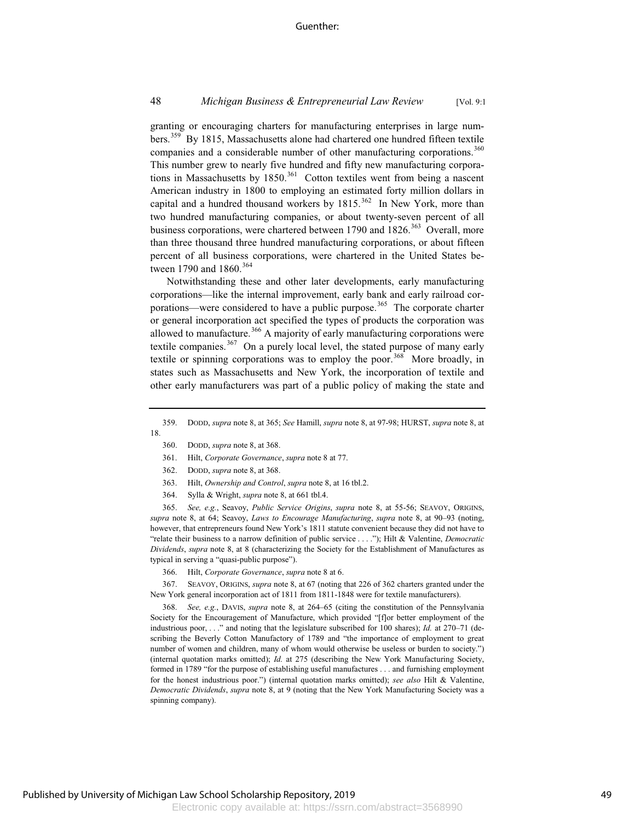### 48 *Michigan Business & Entrepreneurial Law Review* [Vol. 9:1

granting or encouraging charters for manufacturing enterprises in large numbers.<sup>359</sup> By 1815, Massachusetts alone had chartered one hundred fifteen textile companies and a considerable number of other manufacturing corporations.<sup>360</sup> This number grew to nearly five hundred and fifty new manufacturing corporations in Massachusetts by 1850.<sup>361</sup> Cotton textiles went from being a nascent American industry in 1800 to employing an estimated forty million dollars in capital and a hundred thousand workers by  $1815$ .<sup>362</sup> In New York, more than two hundred manufacturing companies, or about twenty-seven percent of all business corporations, were chartered between 1790 and 1826.<sup>363</sup> Overall, more than three thousand three hundred manufacturing corporations, or about fifteen percent of all business corporations, were chartered in the United States between 1790 and 1860.<sup>364</sup>

Notwithstanding these and other later developments, early manufacturing corporations—like the internal improvement, early bank and early railroad corporations—were considered to have a public purpose.<sup>365</sup> The corporate charter or general incorporation act specified the types of products the corporation was allowed to manufacture.<sup>366</sup> A majority of early manufacturing corporations were textile companies.<sup>367</sup> On a purely local level, the stated purpose of many early textile or spinning corporations was to employ the poor.<sup>368</sup> More broadly, in states such as Massachusetts and New York, the incorporation of textile and other early manufacturers was part of a public policy of making the state and

- 361. Hilt, *Corporate Governance*, *supra* note 8 at 77.
- 362. DODD, *supra* note 8, at 368.
- 363. Hilt, *Ownership and Control*, *supra* note 8, at 16 tbl.2.
- 364. Sylla & Wright, *supra* note 8, at 661 tbl.4.

365. *See, e.g.*, Seavoy, *Public Service Origins*, *supra* note 8, at 55-56; SEAVOY, ORIGINS, *supra* note 8, at 64; Seavoy, *Laws to Encourage Manufacturing*, *supra* note 8, at 90–93 (noting, however, that entrepreneurs found New York's 1811 statute convenient because they did not have to "relate their business to a narrow definition of public service . . . ."); Hilt & Valentine, *Democratic Dividends*, *supra* note 8, at 8 (characterizing the Society for the Establishment of Manufactures as typical in serving a "quasi-public purpose").

366. Hilt, *Corporate Governance*, *supra* note 8 at 6.

367. SEAVOY, ORIGINS, *supra* note 8, at 67 (noting that 226 of 362 charters granted under the New York general incorporation act of 1811 from 1811-1848 were for textile manufacturers).

See, e.g., DAVIS, *supra* note 8, at 264–65 (citing the constitution of the Pennsylvania Society for the Encouragement of Manufacture, which provided "[f]or better employment of the industrious poor, . . ." and noting that the legislature subscribed for 100 shares); *Id.* at 270–71 (describing the Beverly Cotton Manufactory of 1789 and "the importance of employment to great number of women and children, many of whom would otherwise be useless or burden to society.") (internal quotation marks omitted); *Id.* at 275 (describing the New York Manufacturing Society, formed in 1789 "for the purpose of establishing useful manufactures . . . and furnishing employment for the honest industrious poor.") (internal quotation marks omitted); *see also* Hilt & Valentine, *Democratic Dividends*, *supra* note 8, at 9 (noting that the New York Manufacturing Society was a spinning company).

<sup>359.</sup> DODD, *supra* note 8, at 365; *See* Hamill, *supra* note 8, at 97-98; HURST, *supra* note 8, at 18.

<sup>360.</sup> DODD, *supra* note 8, at 368.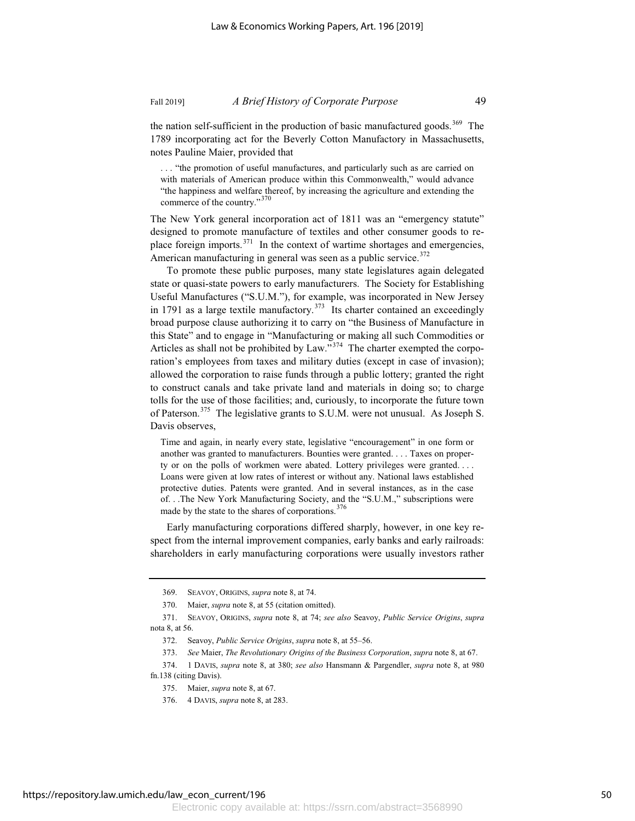the nation self-sufficient in the production of basic manufactured goods.<sup>369</sup> The 1789 incorporating act for the Beverly Cotton Manufactory in Massachusetts, notes Pauline Maier, provided that

. . . "the promotion of useful manufactures, and particularly such as are carried on with materials of American produce within this Commonwealth," would advance "the happiness and welfare thereof, by increasing the agriculture and extending the commerce of the country."<sup>370</sup>

The New York general incorporation act of 1811 was an "emergency statute" designed to promote manufacture of textiles and other consumer goods to replace foreign imports.<sup>371</sup> In the context of wartime shortages and emergencies, American manufacturing in general was seen as a public service.<sup>372</sup>

To promote these public purposes, many state legislatures again delegated state or quasi-state powers to early manufacturers. The Society for Establishing Useful Manufactures ("S.U.M."), for example, was incorporated in New Jersey in 1791 as a large textile manufactory.<sup>373</sup> Its charter contained an exceedingly broad purpose clause authorizing it to carry on "the Business of Manufacture in this State" and to engage in "Manufacturing or making all such Commodities or Articles as shall not be prohibited by Law."<sup>374</sup> The charter exempted the corporation's employees from taxes and military duties (except in case of invasion); allowed the corporation to raise funds through a public lottery; granted the right to construct canals and take private land and materials in doing so; to charge tolls for the use of those facilities; and, curiously, to incorporate the future town of Paterson.<sup>375</sup> The legislative grants to S.U.M. were not unusual. As Joseph S. Davis observes,

Time and again, in nearly every state, legislative "encouragement" in one form or another was granted to manufacturers. Bounties were granted. . . . Taxes on property or on the polls of workmen were abated. Lottery privileges were granted. . . . Loans were given at low rates of interest or without any. National laws established protective duties. Patents were granted. And in several instances, as in the case of. . .The New York Manufacturing Society, and the "S.U.M.," subscriptions were made by the state to the shares of corporations. $376$ 

Early manufacturing corporations differed sharply, however, in one key respect from the internal improvement companies, early banks and early railroads: shareholders in early manufacturing corporations were usually investors rather

<sup>369.</sup> SEAVOY, ORIGINS, *supra* note 8, at 74.

<sup>370.</sup> Maier, *supra* note 8, at 55 (citation omitted).

<sup>371.</sup> SEAVOY, ORIGINS, *supra* note 8, at 74; *see also* Seavoy, *Public Service Origins*, *supra* nota 8, at 56.

<sup>372.</sup> Seavoy, *Public Service Origins*, *supra* note 8, at 55–56.

<sup>373.</sup> *See* Maier, *The Revolutionary Origins of the Business Corporation*, *supra* note 8, at 67.

<sup>374. 1</sup> DAVIS, *supra* note 8, at 380; *see also* Hansmann & Pargendler, *supra* note 8, at 980 fn.138 (citing Davis).

<sup>375.</sup> Maier, *supra* note 8, at 67.

<sup>376. 4</sup> DAVIS, *supra* note 8, at 283.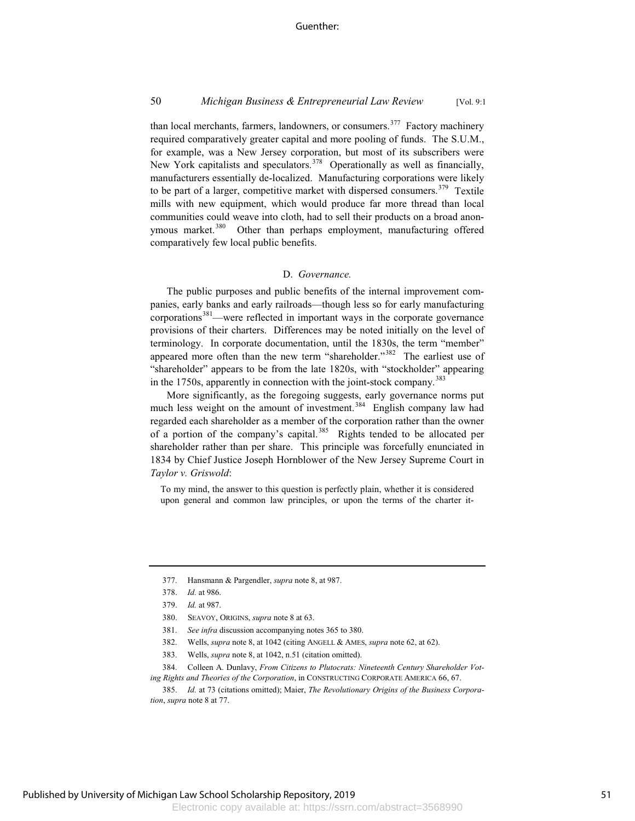### 50 *Michigan Business & Entrepreneurial Law Review* [Vol. 9:1

than local merchants, farmers, landowners, or consumers.<sup>377</sup> Factory machinery required comparatively greater capital and more pooling of funds. The S.U.M., for example, was a New Jersey corporation, but most of its subscribers were New York capitalists and speculators.<sup>378</sup> Operationally as well as financially, manufacturers essentially de-localized. Manufacturing corporations were likely to be part of a larger, competitive market with dispersed consumers.<sup>379</sup> Textile mills with new equipment, which would produce far more thread than local communities could weave into cloth, had to sell their products on a broad anonymous market.<sup>380</sup> Other than perhaps employment, manufacturing offered comparatively few local public benefits.

### D. *Governance.*

The public purposes and public benefits of the internal improvement companies, early banks and early railroads—though less so for early manufacturing corporations $381$ —were reflected in important ways in the corporate governance provisions of their charters. Differences may be noted initially on the level of terminology. In corporate documentation, until the 1830s, the term "member" appeared more often than the new term "shareholder."<sup>382</sup> The earliest use of "shareholder" appears to be from the late 1820s, with "stockholder" appearing in the 1750s, apparently in connection with the joint-stock company.<sup>383</sup>

More significantly, as the foregoing suggests, early governance norms put much less weight on the amount of investment.<sup>384</sup> English company law had regarded each shareholder as a member of the corporation rather than the owner of a portion of the company's capital.<sup>385</sup> Rights tended to be allocated per shareholder rather than per share. This principle was forcefully enunciated in 1834 by Chief Justice Joseph Hornblower of the New Jersey Supreme Court in *Taylor v. Griswold*:

To my mind, the answer to this question is perfectly plain, whether it is considered upon general and common law principles, or upon the terms of the charter it-

- 381. *See infra* discussion accompanying notes 365 to 380.
- 382. Wells, *supra* note 8, at 1042 (citing ANGELL & AMES, *supra* note 62, at 62).
- 383. Wells, *supra* note 8, at 1042, n.51 (citation omitted).

384. Colleen A. Dunlavy, *From Citizens to Plutocrats: Nineteenth Century Shareholder Voting Rights and Theories of the Corporation*, in CONSTRUCTING CORPORATE AMERICA 66, 67.

385. *Id.* at 73 (citations omitted); Maier, *The Revolutionary Origins of the Business Corporation*, *supra* note 8 at 77.

<sup>377.</sup> Hansmann & Pargendler, *supra* note 8, at 987.

<sup>378.</sup> *Id.* at 986.

<sup>379.</sup> *Id.* at 987.

<sup>380.</sup> SEAVOY, ORIGINS, *supra* note 8 at 63.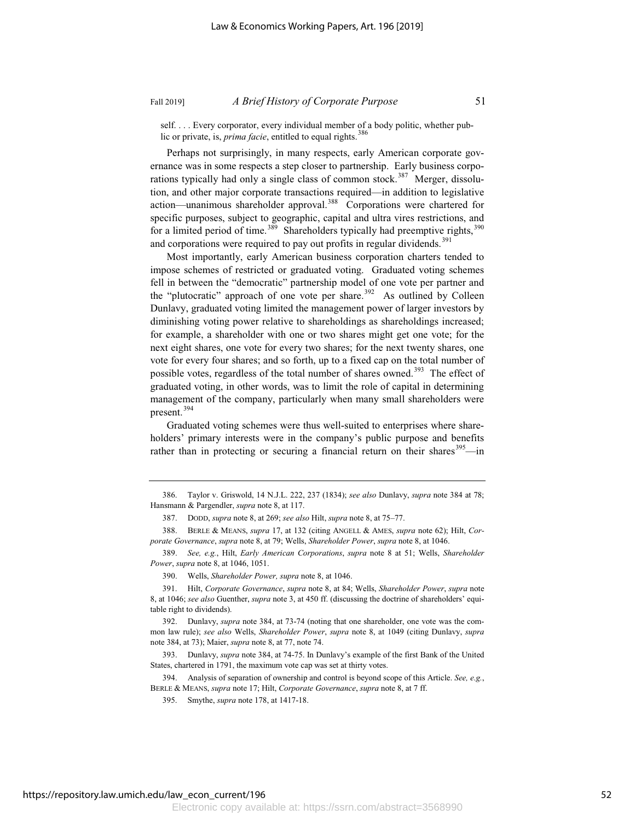self. . . . Every corporator, every individual member of a body politic, whether public or private, is, *prima facie*, entitled to equal rights.<sup>386</sup>

Perhaps not surprisingly, in many respects, early American corporate governance was in some respects a step closer to partnership. Early business corporations typically had only a single class of common stock.<sup>387</sup> Merger, dissolution, and other major corporate transactions required—in addition to legislative action—unanimous shareholder approval.<sup>388</sup> Corporations were chartered for specific purposes, subject to geographic, capital and ultra vires restrictions, and for a limited period of time.<sup>389</sup> Shareholders typically had preemptive rights,  $390$ and corporations were required to pay out profits in regular dividends.<sup>391</sup>

Most importantly, early American business corporation charters tended to impose schemes of restricted or graduated voting. Graduated voting schemes fell in between the "democratic" partnership model of one vote per partner and the "plutocratic" approach of one vote per share.<sup>392</sup> As outlined by Colleen Dunlavy, graduated voting limited the management power of larger investors by diminishing voting power relative to shareholdings as shareholdings increased; for example, a shareholder with one or two shares might get one vote; for the next eight shares, one vote for every two shares; for the next twenty shares, one vote for every four shares; and so forth, up to a fixed cap on the total number of possible votes, regardless of the total number of shares owned.<sup>393</sup> The effect of graduated voting, in other words, was to limit the role of capital in determining management of the company, particularly when many small shareholders were present.<sup>394</sup>

Graduated voting schemes were thus well-suited to enterprises where shareholders' primary interests were in the company's public purpose and benefits rather than in protecting or securing a financial return on their shares<sup>395</sup>—in

<sup>386.</sup> Taylor v. Griswold, 14 N.J.L. 222, 237 (1834); *see also* Dunlavy, *supra* note 384 at 78; Hansmann & Pargendler, *supra* note 8, at 117.

<sup>387.</sup> DODD, *supra* note 8, at 269; *see also* Hilt, *supra* note 8, at 75–77.

<sup>388.</sup> BERLE & MEANS, *supra* 17, at 132 (citing ANGELL & AMES, *supra* note 62); Hilt, *Corporate Governance*, *supra* note 8, at 79; Wells, *Shareholder Power*, *supra* note 8, at 1046.

<sup>389.</sup> *See, e.g.*, Hilt, *Early American Corporations*, *supra* note 8 at 51; Wells, *Shareholder Power*, *supra* note 8, at 1046, 1051.

<sup>390.</sup> Wells, *Shareholder Power, supra* note 8, at 1046.

<sup>391.</sup> Hilt, *Corporate Governance*, *supra* note 8, at 84; Wells, *Shareholder Power*, *supra* note 8, at 1046; *see also* Guenther, *supra* note 3, at 450 ff. (discussing the doctrine of shareholders' equitable right to dividends).

<sup>392.</sup> Dunlavy, *supra* note 384, at 73-74 (noting that one shareholder, one vote was the common law rule); *see also* Wells, *Shareholder Power*, *supra* note 8, at 1049 (citing Dunlavy, *supra* note 384, at 73); Maier, *supra* note 8, at 77, note 74.

<sup>393.</sup> Dunlavy, *supra* note 384, at 74-75. In Dunlavy's example of the first Bank of the United States, chartered in 1791, the maximum vote cap was set at thirty votes.

<sup>394.</sup> Analysis of separation of ownership and control is beyond scope of this Article. *See, e.g.*, BERLE & MEANS, *supra* note 17; Hilt, *Corporate Governance*, *supra* note 8, at 7 ff.

<sup>395.</sup> Smythe, *supra* note 178, at 1417-18.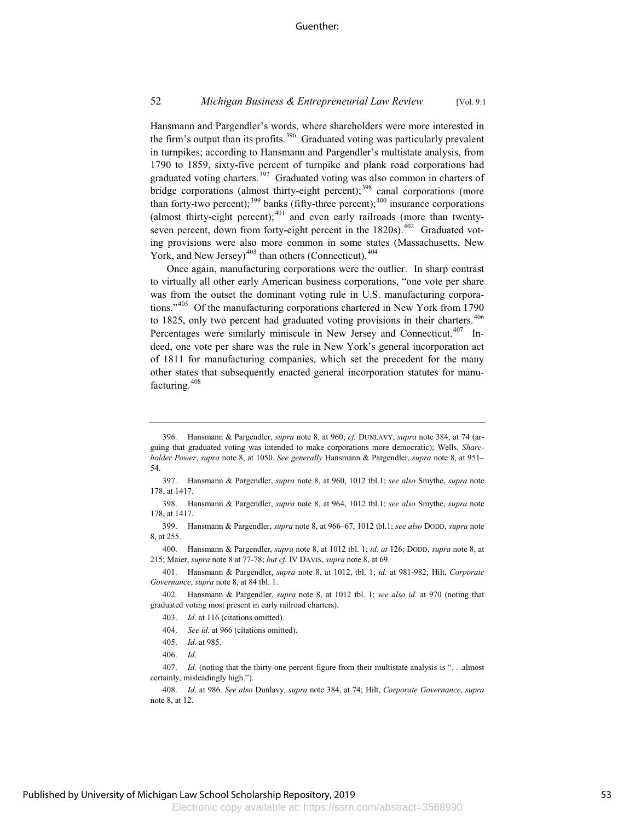Hansmann and Pargendler's words, where shareholders were more interested in the firm's output than its profits.<sup>396</sup> Graduated voting was particularly prevalent in turnpikes; according to Hansmann and Pargendler's multistate analysis, from 1790 to 1859, sixty-five percent of turnpike and plank road corporations had graduated voting charters.<sup>397</sup> Graduated voting was also common in charters of bridge corporations (almost thirty-eight percent);<sup>398</sup> canal corporations (more than forty-two percent); $399$  banks (fifty-three percent); $400$  insurance corporations (almost thirty-eight percent); $401$  and even early railroads (more than twentyseven percent, down from forty-eight percent in the 1820s).<sup>402</sup> Graduated voting provisions were also more common in some states (Massachusetts, New York, and New Jersey)<sup> $403$ </sup> than others (Connecticut). $404$ 

Once again, manufacturing corporations were the outlier. In sharp contrast to virtually all other early American business corporations, "one vote per share was from the outset the dominant voting rule in U.S. manufacturing corporations."<sup>405</sup> Of the manufacturing corporations chartered in New York from 1790 to 1825, only two percent had graduated voting provisions in their charters.  $406$ Percentages were similarly miniscule in New Jersey and Connecticut.<sup>407</sup> Indeed, one vote per share was the rule in New York's general incorporation act of 1811 for manufacturing companies, which set the precedent for the many other states that subsequently enacted general incorporation statutes for manufacturing.<sup>408</sup>

<sup>396.</sup> Hansmann & Pargendler, *supra* note 8, at 960; *cf.* DUNLAVY, *supra* note 384, at 74 (arguing that graduated voting was intended to make corporations more democratic); Wells, *Shareholder Power*, *supra* note 8, at 1050. *See generally* Hansmann & Pargendler, *supra* note 8, at 951– 54.

<sup>397.</sup> Hansmann & Pargendler, *supra* note 8, at 960, 1012 tbl.1; *see also* Smythe, *supra* note 178, at 1417.

<sup>398.</sup> Hansmann & Pargendler, *supra* note 8, at 964, 1012 tbl.1; *see also* Smythe, *supra* note 178, at 1417.

<sup>399.</sup> Hansmann & Pargendler, *supra* note 8, at 966–67, 1012 tbl.1; *see also* DODD, *supra* note 8, at 255.

<sup>400.</sup> Hansmann & Pargendler, *supra* note 8, at 1012 tbl. 1; *id. at* 126; DODD, *supra* note 8, at 215; Maier, *supra* note 8 at 77-78; *but cf.* IV DAVIS, *supra* note 8, at 69.

<sup>401.</sup> Hansmann & Pargendler, *supra* note 8, at 1012, tbl. 1; *id.* at 981-982; Hilt, *Corporate Governance*, *supra* note 8, at 84 tbl. 1.

<sup>402.</sup> Hansmann & Pargendler, *supra* note 8, at 1012 tbl. 1; *see also id.* at 970 (noting that graduated voting most present in early railroad charters).

<sup>403.</sup> *Id.* at 116 (citations omitted).

<sup>404.</sup> *See id.* at 966 (citations omitted).

<sup>405.</sup> *Id.* at 985.

<sup>406.</sup> *Id*.

<sup>407.</sup> *Id.* (noting that the thirty-one percent figure from their multistate analysis is "... almost certainly, misleadingly high.").

<sup>408.</sup> *Id.* at 986. *See also* Dunlavy, *supra* note 384, at 74; Hilt, *Corporate Governance*, *supra* note 8, at 12.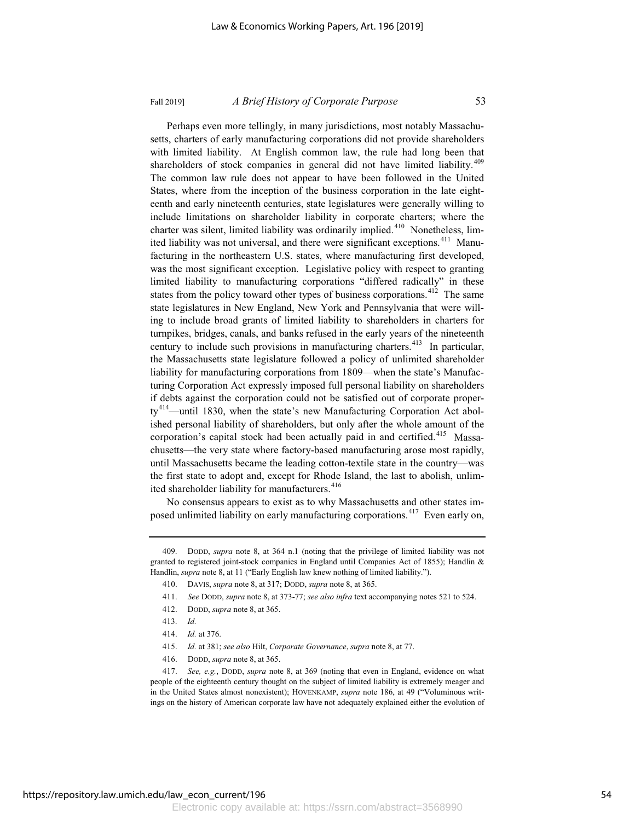Perhaps even more tellingly, in many jurisdictions, most notably Massachusetts, charters of early manufacturing corporations did not provide shareholders with limited liability. At English common law, the rule had long been that shareholders of stock companies in general did not have limited liability.<sup>409</sup> The common law rule does not appear to have been followed in the United States, where from the inception of the business corporation in the late eighteenth and early nineteenth centuries, state legislatures were generally willing to include limitations on shareholder liability in corporate charters; where the charter was silent, limited liability was ordinarily implied.<sup>410</sup> Nonetheless, limited liability was not universal, and there were significant exceptions.<sup>411</sup> Manufacturing in the northeastern U.S. states, where manufacturing first developed, was the most significant exception. Legislative policy with respect to granting limited liability to manufacturing corporations "differed radically" in these states from the policy toward other types of business corporations.<sup>412</sup> The same state legislatures in New England, New York and Pennsylvania that were willing to include broad grants of limited liability to shareholders in charters for turnpikes, bridges, canals, and banks refused in the early years of the nineteenth century to include such provisions in manufacturing charters.<sup>413</sup> In particular, the Massachusetts state legislature followed a policy of unlimited shareholder liability for manufacturing corporations from 1809—when the state's Manufacturing Corporation Act expressly imposed full personal liability on shareholders if debts against the corporation could not be satisfied out of corporate proper $ty^{414}$ —until 1830, when the state's new Manufacturing Corporation Act abolished personal liability of shareholders, but only after the whole amount of the corporation's capital stock had been actually paid in and certified.<sup>415</sup> Massachusetts—the very state where factory-based manufacturing arose most rapidly, until Massachusetts became the leading cotton-textile state in the country—was the first state to adopt and, except for Rhode Island, the last to abolish, unlimited shareholder liability for manufacturers.<sup>416</sup>

No consensus appears to exist as to why Massachusetts and other states imposed unlimited liability on early manufacturing corporations.<sup>417</sup> Even early on,

- 411. *See* DODD, *supra* note 8, at 373-77; *see also infra* text accompanying notes 521 to 524.
- 412. DODD, *supra* note 8, at 365.
- 413. *Id.*
- 414. *Id.* at 376.
- 415. *Id.* at 381; *see also* Hilt, *Corporate Governance*, *supra* note 8, at 77.
- 416. DODD, *supra* note 8, at 365.

<sup>409.</sup> DODD, *supra* note 8, at 364 n.1 (noting that the privilege of limited liability was not granted to registered joint-stock companies in England until Companies Act of 1855); Handlin & Handlin, *supra* note 8, at 11 ("Early English law knew nothing of limited liability.").

<sup>410.</sup> DAVIS, *supra* note 8, at 317; DODD, *supra* note 8, at 365.

<sup>417.</sup> *See, e.g.*, DODD, *supra* note 8, at 369 (noting that even in England, evidence on what people of the eighteenth century thought on the subject of limited liability is extremely meager and in the United States almost nonexistent); HOVENKAMP, *supra* note 186, at 49 ("Voluminous writings on the history of American corporate law have not adequately explained either the evolution of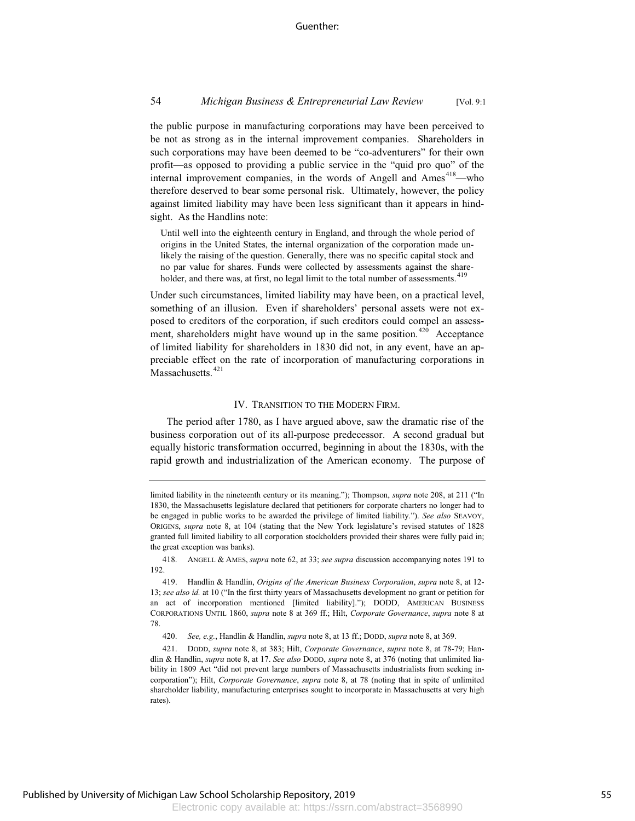the public purpose in manufacturing corporations may have been perceived to be not as strong as in the internal improvement companies. Shareholders in such corporations may have been deemed to be "co-adventurers" for their own profit—as opposed to providing a public service in the "quid pro quo" of the internal improvement companies, in the words of Angell and Ames<sup>418</sup>—who therefore deserved to bear some personal risk. Ultimately, however, the policy against limited liability may have been less significant than it appears in hindsight. As the Handlins note:

Until well into the eighteenth century in England, and through the whole period of origins in the United States, the internal organization of the corporation made unlikely the raising of the question. Generally, there was no specific capital stock and no par value for shares. Funds were collected by assessments against the shareholder, and there was, at first, no legal limit to the total number of assessments.<sup>419</sup>

Under such circumstances, limited liability may have been, on a practical level, something of an illusion. Even if shareholders' personal assets were not exposed to creditors of the corporation, if such creditors could compel an assessment, shareholders might have wound up in the same position.<sup>420</sup> Acceptance of limited liability for shareholders in 1830 did not, in any event, have an appreciable effect on the rate of incorporation of manufacturing corporations in Massachusetts.<sup>421</sup>

### IV. TRANSITION TO THE MODERN FIRM.

The period after 1780, as I have argued above, saw the dramatic rise of the business corporation out of its all-purpose predecessor. A second gradual but equally historic transformation occurred, beginning in about the 1830s, with the rapid growth and industrialization of the American economy. The purpose of

limited liability in the nineteenth century or its meaning."); Thompson, *supra* note 208, at 211 ("In 1830, the Massachusetts legislature declared that petitioners for corporate charters no longer had to be engaged in public works to be awarded the privilege of limited liability."). *See also* SEAVOY, ORIGINS, *supra* note 8, at 104 (stating that the New York legislature's revised statutes of 1828 granted full limited liability to all corporation stockholders provided their shares were fully paid in; the great exception was banks).

<sup>418.</sup> ANGELL & AMES, *supra* note 62, at 33; *see supra* discussion accompanying notes 191 to 192.

<sup>419.</sup> Handlin & Handlin, *Origins of the American Business Corporation*, *supra* note 8, at 12- 13; *see also id.* at 10 ("In the first thirty years of Massachusetts development no grant or petition for an act of incorporation mentioned [limited liability]."); DODD, AMERICAN BUSINESS CORPORATIONS UNTIL 1860, *supra* note 8 at 369 ff.; Hilt, *Corporate Governance*, *supra* note 8 at 78.

<sup>420.</sup> *See, e.g.*, Handlin & Handlin, *supra* note 8, at 13 ff.; DODD, *supra* note 8, at 369.

<sup>421.</sup> DODD, *supra* note 8, at 383; Hilt, *Corporate Governance*, *supra* note 8, at 78-79; Handlin & Handlin, *supra* note 8, at 17. *See also* DODD, *supra* note 8, at 376 (noting that unlimited liability in 1809 Act "did not prevent large numbers of Massachusetts industrialists from seeking incorporation"); Hilt, *Corporate Governance*, *supra* note 8, at 78 (noting that in spite of unlimited shareholder liability, manufacturing enterprises sought to incorporate in Massachusetts at very high rates).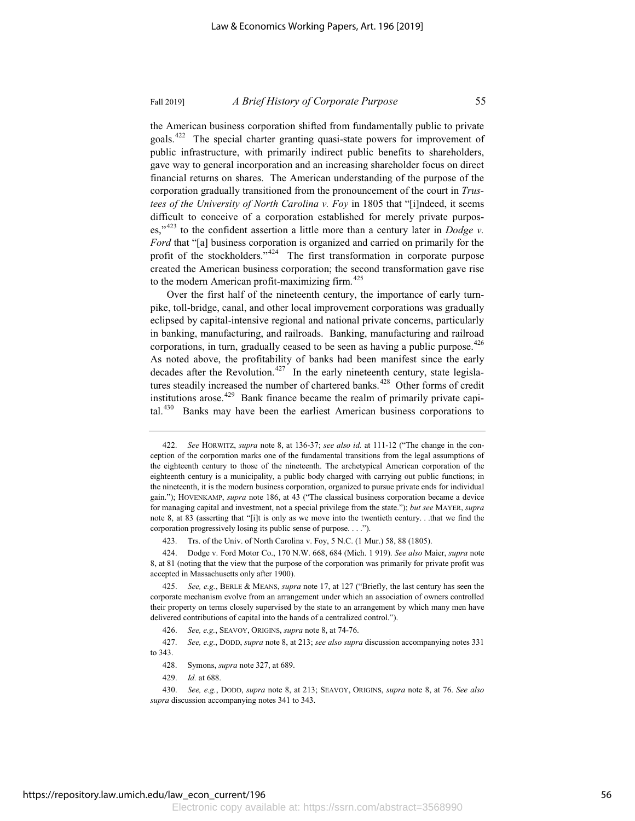the American business corporation shifted from fundamentally public to private goals.422 The special charter granting quasi-state powers for improvement of public infrastructure, with primarily indirect public benefits to shareholders, gave way to general incorporation and an increasing shareholder focus on direct financial returns on shares. The American understanding of the purpose of the corporation gradually transitioned from the pronouncement of the court in *Trustees of the University of North Carolina v. Foy* in 1805 that "[i]ndeed, it seems difficult to conceive of a corporation established for merely private purposes,"<sup>423</sup> to the confident assertion a little more than a century later in *Dodge v. Ford* that "[a] business corporation is organized and carried on primarily for the profit of the stockholders." $424$  The first transformation in corporate purpose created the American business corporation; the second transformation gave rise to the modern American profit-maximizing firm. $425$ 

Over the first half of the nineteenth century, the importance of early turnpike, toll-bridge, canal, and other local improvement corporations was gradually eclipsed by capital-intensive regional and national private concerns, particularly in banking, manufacturing, and railroads. Banking, manufacturing and railroad corporations, in turn, gradually ceased to be seen as having a public purpose.  $426$ As noted above, the profitability of banks had been manifest since the early decades after the Revolution.<sup>427</sup> In the early nineteenth century, state legislatures steadily increased the number of chartered banks.<sup>428</sup> Other forms of credit institutions arose.<sup>429</sup> Bank finance became the realm of primarily private capital.<sup>430</sup> Banks may have been the earliest American business corporations to

<sup>422.</sup> *See* HORWITZ, *supra* note 8, at 136-37; *see also id.* at 111-12 ("The change in the conception of the corporation marks one of the fundamental transitions from the legal assumptions of the eighteenth century to those of the nineteenth. The archetypical American corporation of the eighteenth century is a municipality, a public body charged with carrying out public functions; in the nineteenth, it is the modern business corporation, organized to pursue private ends for individual gain."); HOVENKAMP, *supra* note 186, at 43 ("The classical business corporation became a device for managing capital and investment, not a special privilege from the state."); *but see* MAYER, *supra* note 8, at 83 (asserting that "[i]t is only as we move into the twentieth century. . .that we find the corporation progressively losing its public sense of purpose. . . .").

<sup>423.</sup> Trs. of the Univ. of North Carolina v. Foy, 5 N.C. (1 Mur.) 58, 88 (1805).

<sup>424.</sup> Dodge v. Ford Motor Co., 170 N.W. 668, 684 (Mich. 1 919). *See also* Maier, *supra* note 8, at 81 (noting that the view that the purpose of the corporation was primarily for private profit was accepted in Massachusetts only after 1900).

<sup>425.</sup> *See, e.g.*, BERLE & MEANS, *supra* note 17, at 127 ("Briefly, the last century has seen the corporate mechanism evolve from an arrangement under which an association of owners controlled their property on terms closely supervised by the state to an arrangement by which many men have delivered contributions of capital into the hands of a centralized control.").

<sup>426.</sup> *See, e.g.*, SEAVOY, ORIGINS, *supra* note 8, at 74-76.

<sup>427.</sup> *See, e.g.*, DODD, *supra* note 8, at 213; *see also supra* discussion accompanying notes 331 to 343.

<sup>428.</sup> Symons, *supra* note 327, at 689.

<sup>429.</sup> *Id.* at 688.

<sup>430.</sup> *See, e.g.*, DODD, *supra* note 8, at 213; SEAVOY, ORIGINS, *supra* note 8, at 76. *See also supra* discussion accompanying notes 341 to 343.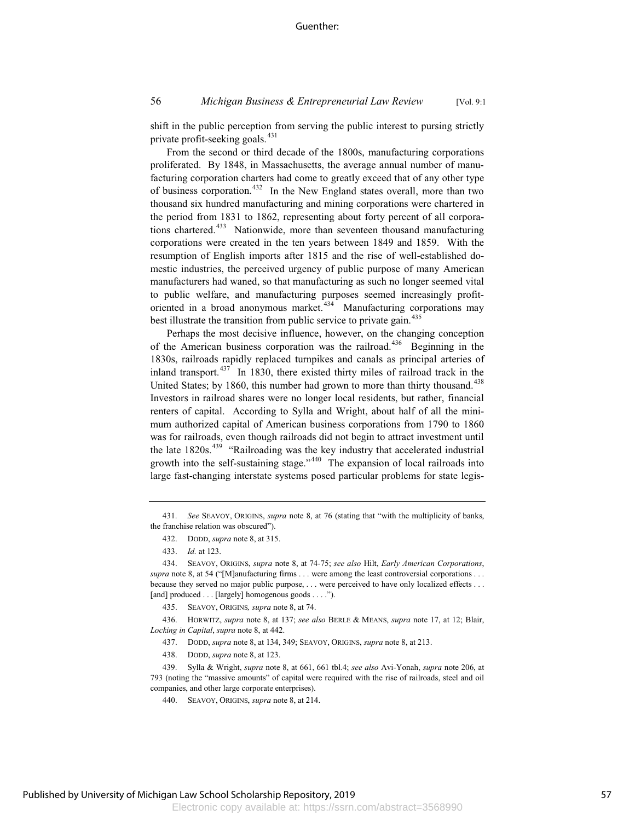shift in the public perception from serving the public interest to pursing strictly private profit-seeking goals.<sup>431</sup>

From the second or third decade of the 1800s, manufacturing corporations proliferated. By 1848, in Massachusetts, the average annual number of manufacturing corporation charters had come to greatly exceed that of any other type of business corporation.<sup>432</sup> In the New England states overall, more than two thousand six hundred manufacturing and mining corporations were chartered in the period from 1831 to 1862, representing about forty percent of all corporations chartered.<sup>433</sup> Nationwide, more than seventeen thousand manufacturing corporations were created in the ten years between 1849 and 1859. With the resumption of English imports after 1815 and the rise of well-established domestic industries, the perceived urgency of public purpose of many American manufacturers had waned, so that manufacturing as such no longer seemed vital to public welfare, and manufacturing purposes seemed increasingly profitoriented in a broad anonymous market.<sup>434</sup> Manufacturing corporations may best illustrate the transition from public service to private gain.<sup>435</sup>

Perhaps the most decisive influence, however, on the changing conception of the American business corporation was the railroad.<sup>436</sup> Beginning in the 1830s, railroads rapidly replaced turnpikes and canals as principal arteries of inland transport.<sup>437</sup> In 1830, there existed thirty miles of railroad track in the United States; by 1860, this number had grown to more than thirty thousand.<sup>438</sup> Investors in railroad shares were no longer local residents, but rather, financial renters of capital. According to Sylla and Wright, about half of all the minimum authorized capital of American business corporations from 1790 to 1860 was for railroads, even though railroads did not begin to attract investment until the late  $1820s^{439}$  "Railroading was the key industry that accelerated industrial growth into the self-sustaining stage."<sup>440</sup> The expansion of local railroads into large fast-changing interstate systems posed particular problems for state legis-

<sup>431.</sup> *See* SEAVOY, ORIGINS, *supra* note 8, at 76 (stating that "with the multiplicity of banks, the franchise relation was obscured").

<sup>432.</sup> DODD, *supra* note 8, at 315.

<sup>433.</sup> *Id.* at 123.

<sup>434.</sup> SEAVOY, ORIGINS, *supra* note 8, at 74-75; *see also* Hilt, *Early American Corporations*, *supra* note 8, at 54 ("[M]anufacturing firms . . . were among the least controversial corporations . . . because they served no major public purpose, . . . were perceived to have only localized effects . . . [and] produced . . . [largely] homogenous goods . . . .").

<sup>435.</sup> SEAVOY, ORIGINS*, supra* note 8, at 74.

<sup>436.</sup> HORWITZ, *supra* note 8, at 137; *see also* BERLE & MEANS, *supra* note 17, at 12; Blair, *Locking in Capital*, *supra* note 8, at 442.

<sup>437.</sup> DODD, *supra* note 8, at 134, 349; SEAVOY, ORIGINS, *supra* note 8, at 213.

<sup>438.</sup> DODD, *supra* note 8, at 123.

<sup>439.</sup> Sylla & Wright, *supra* note 8, at 661, 661 tbl.4; *see also* Avi-Yonah, *supra* note 206, at 793 (noting the "massive amounts" of capital were required with the rise of railroads, steel and oil companies, and other large corporate enterprises).

<sup>440.</sup> SEAVOY, ORIGINS, *supra* note 8, at 214.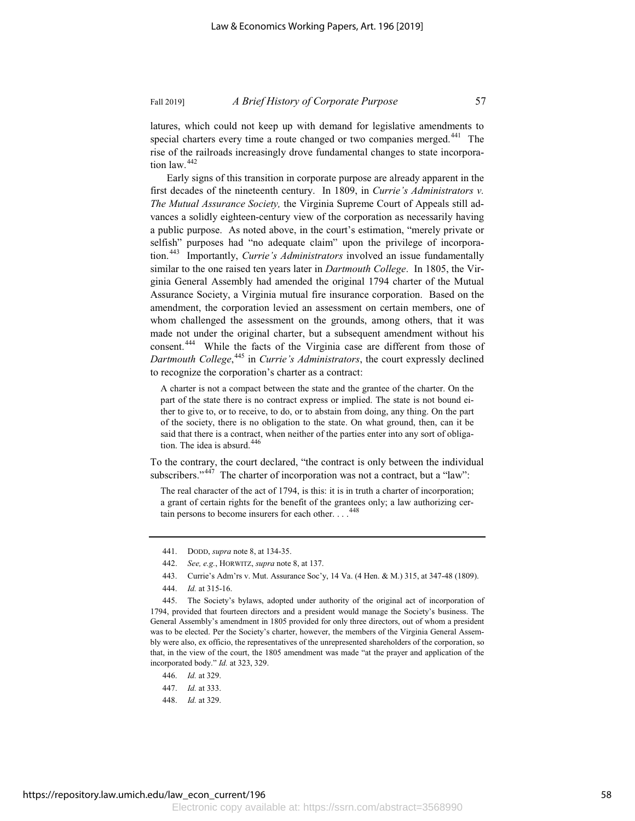latures, which could not keep up with demand for legislative amendments to special charters every time a route changed or two companies merged.<sup>441</sup> The rise of the railroads increasingly drove fundamental changes to state incorporation law.<sup>442</sup>

Early signs of this transition in corporate purpose are already apparent in the first decades of the nineteenth century. In 1809, in *Currie's Administrators v. The Mutual Assurance Society,* the Virginia Supreme Court of Appeals still advances a solidly eighteen-century view of the corporation as necessarily having a public purpose. As noted above, in the court's estimation, "merely private or selfish" purposes had "no adequate claim" upon the privilege of incorporation.<sup>443</sup> Importantly, *Currie's Administrators* involved an issue fundamentally similar to the one raised ten years later in *Dartmouth College*. In 1805, the Virginia General Assembly had amended the original 1794 charter of the Mutual Assurance Society, a Virginia mutual fire insurance corporation. Based on the amendment, the corporation levied an assessment on certain members, one of whom challenged the assessment on the grounds, among others, that it was made not under the original charter, but a subsequent amendment without his consent.<sup>444</sup> While the facts of the Virginia case are different from those of *Dartmouth College*, <sup>445</sup> in *Currie's Administrators*, the court expressly declined to recognize the corporation's charter as a contract:

A charter is not a compact between the state and the grantee of the charter. On the part of the state there is no contract express or implied. The state is not bound either to give to, or to receive, to do, or to abstain from doing, any thing. On the part of the society, there is no obligation to the state. On what ground, then, can it be said that there is a contract, when neither of the parties enter into any sort of obligation. The idea is absurd.<sup>446</sup>

To the contrary, the court declared, "the contract is only between the individual subscribers."<sup>447</sup> The charter of incorporation was not a contract, but a "law":

The real character of the act of 1794, is this: it is in truth a charter of incorporation; a grant of certain rights for the benefit of the grantees only; a law authorizing certain persons to become insurers for each other. . . . <sup>448</sup>

- 442. *See, e.g.*, HORWITZ, *supra* note 8, at 137.
- 443. Currie's Adm'rs v. Mut. Assurance Soc'y, 14 Va. (4 Hen. & M.) 315, at 347-48 (1809).
- 444. *Id.* at 315-16.

445. The Society's bylaws, adopted under authority of the original act of incorporation of 1794, provided that fourteen directors and a president would manage the Society's business. The General Assembly's amendment in 1805 provided for only three directors, out of whom a president was to be elected. Per the Society's charter, however, the members of the Virginia General Assembly were also, ex officio, the representatives of the unrepresented shareholders of the corporation, so that, in the view of the court, the 1805 amendment was made "at the prayer and application of the incorporated body." *Id.* at 323, 329.

- 446. *Id.* at 329.
- 447. *Id.* at 333.
- 448. *Id.* at 329.

<sup>441.</sup> DODD, *supra* note 8, at 134-35.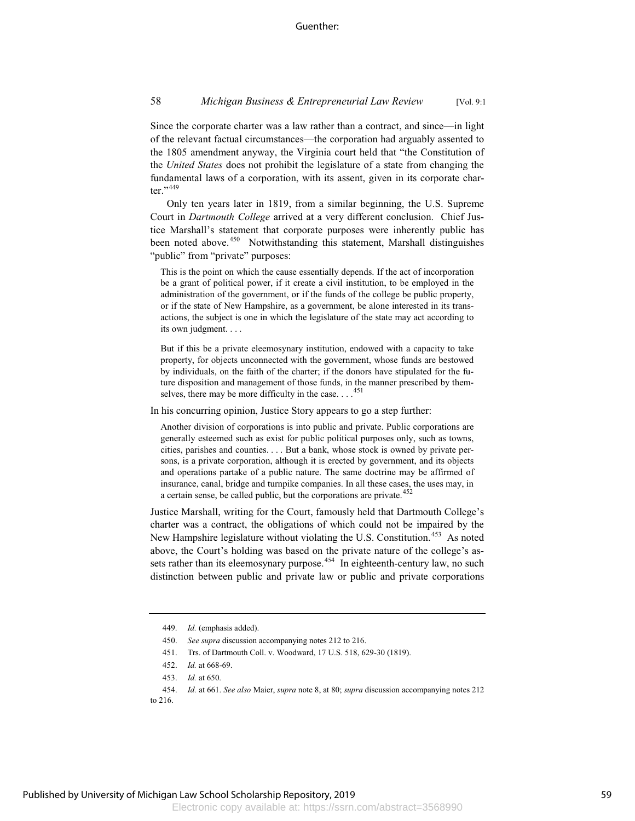Since the corporate charter was a law rather than a contract, and since—in light of the relevant factual circumstances—the corporation had arguably assented to the 1805 amendment anyway, the Virginia court held that "the Constitution of the *United States* does not prohibit the legislature of a state from changing the fundamental laws of a corporation, with its assent, given in its corporate charter."<sup>449</sup>

Only ten years later in 1819, from a similar beginning, the U.S. Supreme Court in *Dartmouth College* arrived at a very different conclusion. Chief Justice Marshall's statement that corporate purposes were inherently public has been noted above.<sup>450</sup> Notwithstanding this statement, Marshall distinguishes "public" from "private" purposes:

This is the point on which the cause essentially depends. If the act of incorporation be a grant of political power, if it create a civil institution, to be employed in the administration of the government, or if the funds of the college be public property, or if the state of New Hampshire, as a government, be alone interested in its transactions, the subject is one in which the legislature of the state may act according to its own judgment. . . .

But if this be a private eleemosynary institution, endowed with a capacity to take property, for objects unconnected with the government, whose funds are bestowed by individuals, on the faith of the charter; if the donors have stipulated for the future disposition and management of those funds, in the manner prescribed by themselves, there may be more difficulty in the case...<sup>451</sup>

In his concurring opinion, Justice Story appears to go a step further:

Another division of corporations is into public and private. Public corporations are generally esteemed such as exist for public political purposes only, such as towns, cities, parishes and counties. . . . But a bank, whose stock is owned by private persons, is a private corporation, although it is erected by government, and its objects and operations partake of a public nature. The same doctrine may be affirmed of insurance, canal, bridge and turnpike companies. In all these cases, the uses may, in a certain sense, be called public, but the corporations are private.<sup>452</sup>

Justice Marshall, writing for the Court, famously held that Dartmouth College's charter was a contract, the obligations of which could not be impaired by the New Hampshire legislature without violating the U.S. Constitution.<sup>453</sup> As noted above, the Court's holding was based on the private nature of the college's assets rather than its eleemosynary purpose.<sup> $454$ </sup> In eighteenth-century law, no such distinction between public and private law or public and private corporations

<sup>449.</sup> *Id.* (emphasis added).

<sup>450.</sup> *See supra* discussion accompanying notes 212 to 216.

<sup>451.</sup> Trs. of Dartmouth Coll. v. Woodward, 17 U.S. 518, 629-30 (1819).

<sup>452.</sup> *Id.* at 668-69.

<sup>453.</sup> *Id.* at 650.

<sup>454.</sup> *Id.* at 661. *See also* Maier, *supra* note 8, at 80; *supra* discussion accompanying notes 212 to 216.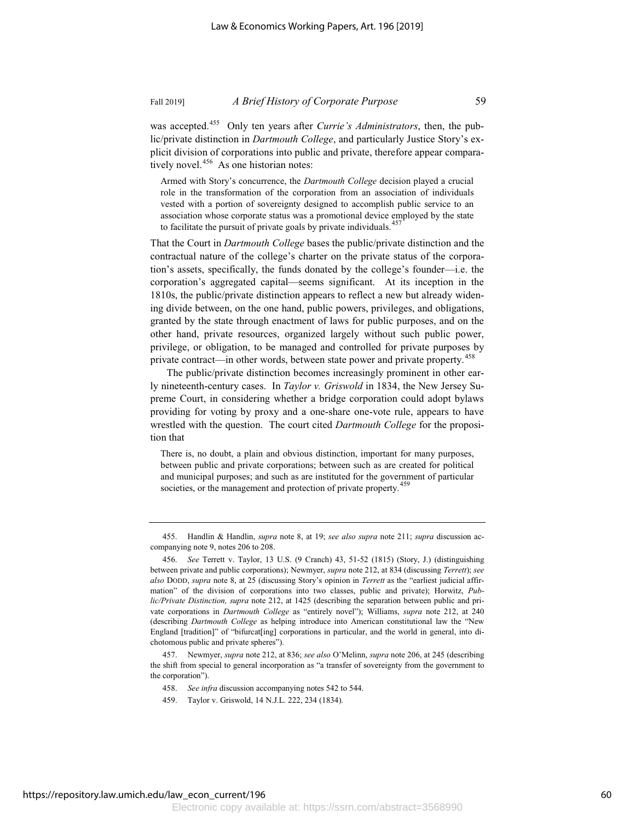was accepted.455 Only ten years after *Currie's Administrators*, then, the public/private distinction in *Dartmouth College*, and particularly Justice Story's explicit division of corporations into public and private, therefore appear compara-

tively novel. $456$  As one historian notes:

Armed with Story's concurrence, the *Dartmouth College* decision played a crucial role in the transformation of the corporation from an association of individuals vested with a portion of sovereignty designed to accomplish public service to an association whose corporate status was a promotional device employed by the state to facilitate the pursuit of private goals by private individuals. $457$ 

That the Court in *Dartmouth College* bases the public/private distinction and the contractual nature of the college's charter on the private status of the corporation's assets, specifically, the funds donated by the college's founder—i.e. the corporation's aggregated capital—seems significant. At its inception in the 1810s, the public/private distinction appears to reflect a new but already widening divide between, on the one hand, public powers, privileges, and obligations, granted by the state through enactment of laws for public purposes, and on the other hand, private resources, organized largely without such public power, privilege, or obligation, to be managed and controlled for private purposes by private contract—in other words, between state power and private property.<sup>458</sup>

The public/private distinction becomes increasingly prominent in other early nineteenth-century cases. In *Taylor v. Griswold* in 1834, the New Jersey Supreme Court, in considering whether a bridge corporation could adopt bylaws providing for voting by proxy and a one-share one-vote rule, appears to have wrestled with the question. The court cited *Dartmouth College* for the proposition that

There is, no doubt, a plain and obvious distinction, important for many purposes, between public and private corporations; between such as are created for political and municipal purposes; and such as are instituted for the government of particular societies, or the management and protection of private property.<sup>459</sup>

<sup>455.</sup> Handlin & Handlin, *supra* note 8, at 19; *see also supra* note 211; *supra* discussion accompanying note 9, notes 206 to 208.

<sup>456.</sup> *See* Terrett v. Taylor, 13 U.S. (9 Cranch) 43, 51-52 (1815) (Story, J.) (distinguishing between private and public corporations); Newmyer, *supra* note 212, at 834 (discussing *Terrett*); *see also* DODD, *supra* note 8, at 25 (discussing Story's opinion in *Terrett* as the "earliest judicial affirmation" of the division of corporations into two classes, public and private); Horwitz, *Public/Private Distinction, supra* note 212, at 1425 (describing the separation between public and private corporations in *Dartmouth College* as "entirely novel"); Williams, *supra* note 212, at 240 (describing *Dartmouth College* as helping introduce into American constitutional law the "New England [tradition]" of "bifurcat[ing] corporations in particular, and the world in general, into dichotomous public and private spheres").

<sup>457.</sup> Newmyer, *supra* note 212, at 836; *see also* O'Melinn, *supra* note 206, at 245 (describing the shift from special to general incorporation as "a transfer of sovereignty from the government to the corporation").

<sup>458.</sup> *See infra* discussion accompanying notes 542 to 544.

<sup>459.</sup> Taylor v. Griswold, 14 N.J.L. 222, 234 (1834).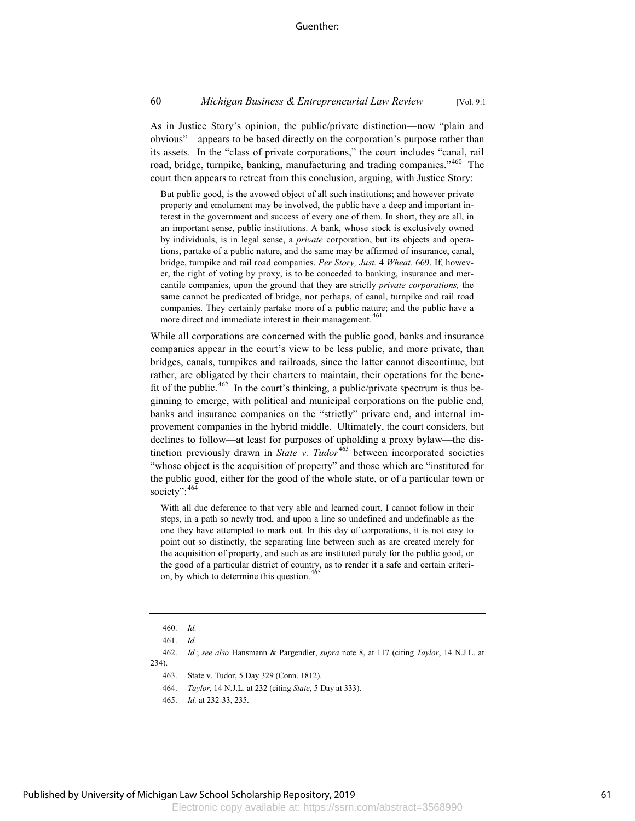As in Justice Story's opinion, the public/private distinction—now "plain and obvious"—appears to be based directly on the corporation's purpose rather than its assets. In the "class of private corporations," the court includes "canal, rail road, bridge, turnpike, banking, manufacturing and trading companies."<sup>460</sup> The court then appears to retreat from this conclusion, arguing, with Justice Story:

But public good, is the avowed object of all such institutions; and however private property and emolument may be involved, the public have a deep and important interest in the government and success of every one of them. In short, they are all, in an important sense, public institutions. A bank, whose stock is exclusively owned by individuals, is in legal sense, a *private* corporation, but its objects and operations, partake of a public nature, and the same may be affirmed of insurance, canal, bridge, turnpike and rail road companies. *Per Story, Just.* 4 *Wheat.* 669. If, however, the right of voting by proxy, is to be conceded to banking, insurance and mercantile companies, upon the ground that they are strictly *private corporations,* the same cannot be predicated of bridge, nor perhaps, of canal, turnpike and rail road companies. They certainly partake more of a public nature; and the public have a more direct and immediate interest in their management.<sup>461</sup>

While all corporations are concerned with the public good, banks and insurance companies appear in the court's view to be less public, and more private, than bridges, canals, turnpikes and railroads, since the latter cannot discontinue, but rather, are obligated by their charters to maintain, their operations for the benefit of the public.<sup>462</sup> In the court's thinking, a public/private spectrum is thus beginning to emerge, with political and municipal corporations on the public end, banks and insurance companies on the "strictly" private end, and internal improvement companies in the hybrid middle. Ultimately, the court considers, but declines to follow—at least for purposes of upholding a proxy bylaw—the distinction previously drawn in *State v. Tudor*<sup>463</sup> between incorporated societies "whose object is the acquisition of property" and those which are "instituted for the public good, either for the good of the whole state, or of a particular town or society": 464

With all due deference to that very able and learned court, I cannot follow in their steps, in a path so newly trod, and upon a line so undefined and undefinable as the one they have attempted to mark out. In this day of corporations, it is not easy to point out so distinctly, the separating line between such as are created merely for the acquisition of property, and such as are instituted purely for the public good, or the good of a particular district of country, as to render it a safe and certain criterion, by which to determine this question.<sup>4</sup>

462. *Id.*; *see also* Hansmann & Pargendler, *supra* note 8, at 117 (citing *Taylor*, 14 N.J.L. at 234).

- 463. State v. Tudor, 5 Day 329 (Conn. 1812).
- 464. *Taylor*, 14 N.J.L. at 232 (citing *State*, 5 Day at 333).
- 465. *Id.* at 232-33, 235.

<sup>460.</sup> *Id.*

<sup>461.</sup> *Id.*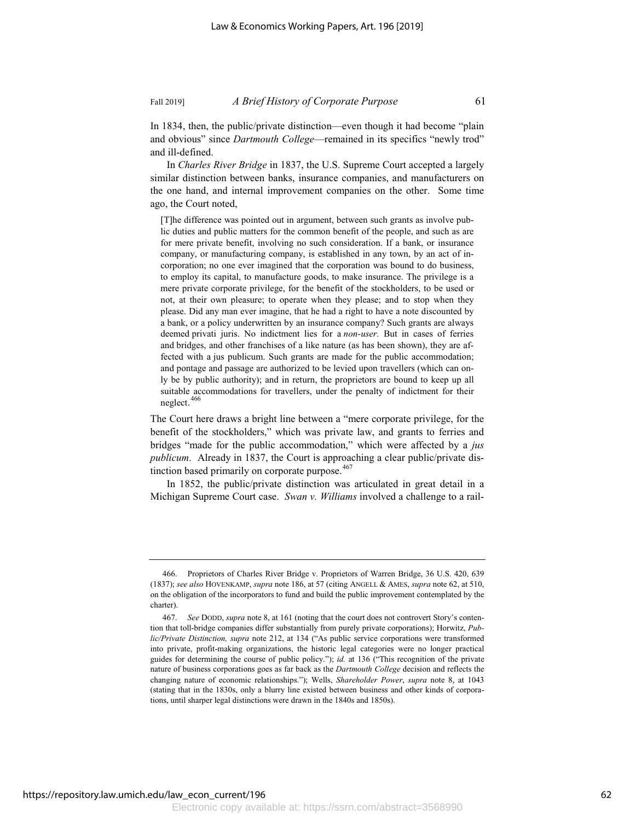In 1834, then, the public/private distinction—even though it had become "plain and obvious" since *Dartmouth College*—remained in its specifics "newly trod" and ill-defined.

In *Charles River Bridge* in 1837, the U.S. Supreme Court accepted a largely similar distinction between banks, insurance companies, and manufacturers on the one hand, and internal improvement companies on the other. Some time ago, the Court noted,

[T]he difference was pointed out in argument, between such grants as involve public duties and public matters for the common benefit of the people, and such as are for mere private benefit, involving no such consideration. If a bank, or insurance company, or manufacturing company, is established in any town, by an act of incorporation; no one ever imagined that the corporation was bound to do business, to employ its capital, to manufacture goods, to make insurance. The privilege is a mere private corporate privilege, for the benefit of the stockholders, to be used or not, at their own pleasure; to operate when they please; and to stop when they please. Did any man ever imagine, that he had a right to have a note discounted by a bank, or a policy underwritten by an insurance company? Such grants are always deemed privati juris. No indictment lies for a *non-user.* But in cases of ferries and bridges, and other franchises of a like nature (as has been shown), they are affected with a jus publicum. Such grants are made for the public accommodation; and pontage and passage are authorized to be levied upon travellers (which can only be by public authority); and in return, the proprietors are bound to keep up all suitable accommodations for travellers, under the penalty of indictment for their neglect. 466

The Court here draws a bright line between a "mere corporate privilege, for the benefit of the stockholders," which was private law, and grants to ferries and bridges "made for the public accommodation," which were affected by a *jus publicum*. Already in 1837, the Court is approaching a clear public/private distinction based primarily on corporate purpose. $467$ 

In 1852, the public/private distinction was articulated in great detail in a Michigan Supreme Court case. *Swan v. Williams* involved a challenge to a rail-

<sup>466.</sup> Proprietors of Charles River Bridge v. Proprietors of Warren Bridge, 36 U.S. 420, 639 (1837); *see also* HOVENKAMP, *supra* note 186, at 57 (citing ANGELL & AMES, *supra* note 62, at 510, on the obligation of the incorporators to fund and build the public improvement contemplated by the charter).

<sup>467.</sup> *See* DODD, *supra* note 8, at 161 (noting that the court does not controvert Story's contention that toll-bridge companies differ substantially from purely private corporations); Horwitz, *Public/Private Distinction, supra* note 212, at 134 ("As public service corporations were transformed into private, profit-making organizations, the historic legal categories were no longer practical guides for determining the course of public policy."); *id.* at 136 ("This recognition of the private nature of business corporations goes as far back as the *Dartmouth College* decision and reflects the changing nature of economic relationships."); Wells, *Shareholder Power*, *supra* note 8, at 1043 (stating that in the 1830s, only a blurry line existed between business and other kinds of corporations, until sharper legal distinctions were drawn in the 1840s and 1850s).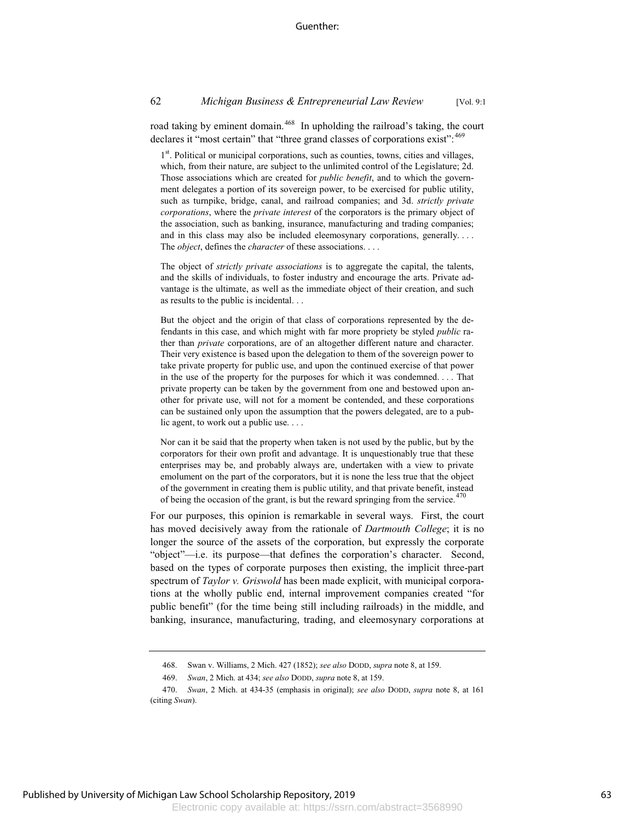# 62 *Michigan Business & Entrepreneurial Law Review* [Vol. 9:1

road taking by eminent domain.<sup>468</sup> In upholding the railroad's taking, the court declares it "most certain" that "three grand classes of corporations exist": <sup>469</sup>

1<sup>st</sup>. Political or municipal corporations, such as counties, towns, cities and villages, which, from their nature, are subject to the unlimited control of the Legislature; 2d. Those associations which are created for *public benefit*, and to which the government delegates a portion of its sovereign power, to be exercised for public utility, such as turnpike, bridge, canal, and railroad companies; and 3d. *strictly private corporations*, where the *private interest* of the corporators is the primary object of the association, such as banking, insurance, manufacturing and trading companies; and in this class may also be included eleemosynary corporations, generally. . . . The *object*, defines the *character* of these associations. . . .

The object of *strictly private associations* is to aggregate the capital, the talents, and the skills of individuals, to foster industry and encourage the arts. Private advantage is the ultimate, as well as the immediate object of their creation, and such as results to the public is incidental. . .

But the object and the origin of that class of corporations represented by the defendants in this case, and which might with far more propriety be styled *public* rather than *private* corporations, are of an altogether different nature and character. Their very existence is based upon the delegation to them of the sovereign power to take private property for public use, and upon the continued exercise of that power in the use of the property for the purposes for which it was condemned. . . . That private property can be taken by the government from one and bestowed upon another for private use, will not for a moment be contended, and these corporations can be sustained only upon the assumption that the powers delegated, are to a public agent, to work out a public use. . . .

Nor can it be said that the property when taken is not used by the public, but by the corporators for their own profit and advantage. It is unquestionably true that these enterprises may be, and probably always are, undertaken with a view to private emolument on the part of the corporators, but it is none the less true that the object of the government in creating them is public utility, and that private benefit, instead of being the occasion of the grant, is but the reward springing from the service.<sup>47</sup>

For our purposes, this opinion is remarkable in several ways. First, the court has moved decisively away from the rationale of *Dartmouth College*; it is no longer the source of the assets of the corporation, but expressly the corporate "object"—i.e. its purpose—that defines the corporation's character. Second, based on the types of corporate purposes then existing, the implicit three-part spectrum of *Taylor v. Griswold* has been made explicit, with municipal corporations at the wholly public end, internal improvement companies created "for public benefit" (for the time being still including railroads) in the middle, and banking, insurance, manufacturing, trading, and eleemosynary corporations at

<sup>468.</sup> Swan v. Williams, 2 Mich. 427 (1852); *see also* DODD, *supra* note 8, at 159.

<sup>469.</sup> *Swan*, 2 Mich. at 434; *see also* DODD, *supra* note 8, at 159.

<sup>470.</sup> *Swan*, 2 Mich. at 434-35 (emphasis in original); *see also* DODD, *supra* note 8, at 161 (citing *Swan*).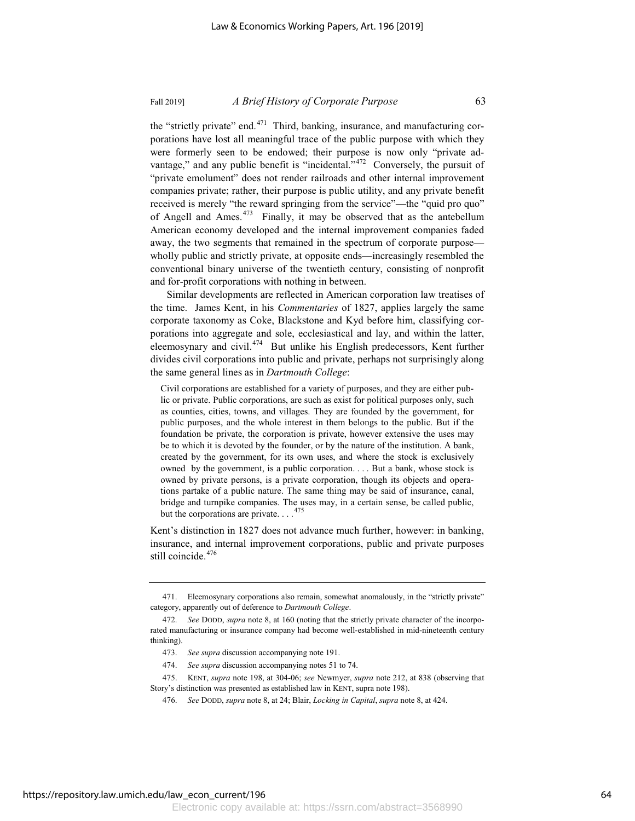the "strictly private" end.<sup>471</sup> Third, banking, insurance, and manufacturing corporations have lost all meaningful trace of the public purpose with which they were formerly seen to be endowed; their purpose is now only "private advantage," and any public benefit is "incidental." $472$  Conversely, the pursuit of "private emolument" does not render railroads and other internal improvement companies private; rather, their purpose is public utility, and any private benefit received is merely "the reward springing from the service"—the "quid pro quo" of Angell and Ames. $473$  Finally, it may be observed that as the antebellum American economy developed and the internal improvement companies faded away, the two segments that remained in the spectrum of corporate purpose wholly public and strictly private, at opposite ends—increasingly resembled the conventional binary universe of the twentieth century, consisting of nonprofit and for-profit corporations with nothing in between.

Similar developments are reflected in American corporation law treatises of the time. James Kent, in his *Commentaries* of 1827, applies largely the same corporate taxonomy as Coke, Blackstone and Kyd before him, classifying corporations into aggregate and sole, ecclesiastical and lay, and within the latter, eleemosynary and civil.<sup>474</sup> But unlike his English predecessors, Kent further divides civil corporations into public and private, perhaps not surprisingly along the same general lines as in *Dartmouth College*:

Civil corporations are established for a variety of purposes, and they are either public or private. Public corporations, are such as exist for political purposes only, such as counties, cities, towns, and villages. They are founded by the government, for public purposes, and the whole interest in them belongs to the public. But if the foundation be private, the corporation is private, however extensive the uses may be to which it is devoted by the founder, or by the nature of the institution. A bank, created by the government, for its own uses, and where the stock is exclusively owned by the government, is a public corporation. . . . But a bank, whose stock is owned by private persons, is a private corporation, though its objects and operations partake of a public nature. The same thing may be said of insurance, canal, bridge and turnpike companies. The uses may, in a certain sense, be called public, but the corporations are private.  $\ldots$ .<sup>475</sup>

Kent's distinction in 1827 does not advance much further, however: in banking, insurance, and internal improvement corporations, public and private purposes still coincide.<sup>476</sup>

<sup>471.</sup> Eleemosynary corporations also remain, somewhat anomalously, in the "strictly private" category, apparently out of deference to *Dartmouth College*.

<sup>472.</sup> *See* DODD, *supra* note 8, at 160 (noting that the strictly private character of the incorporated manufacturing or insurance company had become well-established in mid-nineteenth century thinking).

<sup>473.</sup> *See supra* discussion accompanying note 191.

<sup>474.</sup> *See supra* discussion accompanying notes 51 to 74.

<sup>475.</sup> KENT, *supra* note 198, at 304-06; *see* Newmyer, *supra* note 212, at 838 (observing that Story's distinction was presented as established law in KENT, supra note 198).

<sup>476.</sup> *See* DODD, *supra* note 8, at 24; Blair, *Locking in Capital*, *supra* note 8, at 424.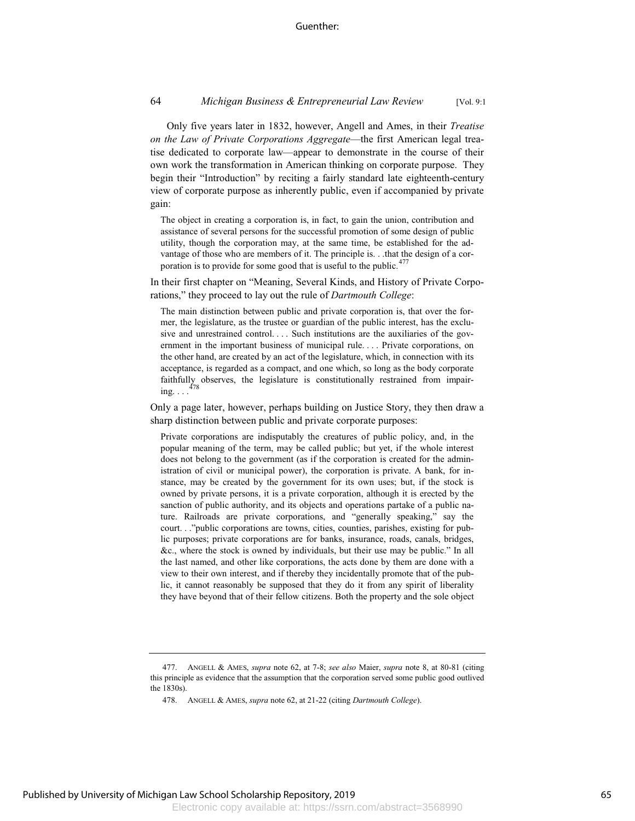### 64 *Michigan Business & Entrepreneurial Law Review* [Vol. 9:1

Only five years later in 1832, however, Angell and Ames, in their *Treatise on the Law of Private Corporations Aggregate*—the first American legal treatise dedicated to corporate law—appear to demonstrate in the course of their own work the transformation in American thinking on corporate purpose. They begin their "Introduction" by reciting a fairly standard late eighteenth-century view of corporate purpose as inherently public, even if accompanied by private gain:

The object in creating a corporation is, in fact, to gain the union, contribution and assistance of several persons for the successful promotion of some design of public utility, though the corporation may, at the same time, be established for the advantage of those who are members of it. The principle is. . .that the design of a corporation is to provide for some good that is useful to the public.<sup> $477$ </sup>

In their first chapter on "Meaning, Several Kinds, and History of Private Corporations," they proceed to lay out the rule of *Dartmouth College*:

The main distinction between public and private corporation is, that over the former, the legislature, as the trustee or guardian of the public interest, has the exclusive and unrestrained control. . . . Such institutions are the auxiliaries of the government in the important business of municipal rule. . . . Private corporations, on the other hand, are created by an act of the legislature, which, in connection with its acceptance, is regarded as a compact, and one which, so long as the body corporate faithfully observes, the legislature is constitutionally restrained from impairing.  $\ldots$ <sup>478</sup>

Only a page later, however, perhaps building on Justice Story, they then draw a sharp distinction between public and private corporate purposes:

Private corporations are indisputably the creatures of public policy, and, in the popular meaning of the term, may be called public; but yet, if the whole interest does not belong to the government (as if the corporation is created for the administration of civil or municipal power), the corporation is private. A bank, for instance, may be created by the government for its own uses; but, if the stock is owned by private persons, it is a private corporation, although it is erected by the sanction of public authority, and its objects and operations partake of a public nature. Railroads are private corporations, and "generally speaking," say the court. . ."public corporations are towns, cities, counties, parishes, existing for public purposes; private corporations are for banks, insurance, roads, canals, bridges, &c., where the stock is owned by individuals, but their use may be public." In all the last named, and other like corporations, the acts done by them are done with a view to their own interest, and if thereby they incidentally promote that of the public, it cannot reasonably be supposed that they do it from any spirit of liberality they have beyond that of their fellow citizens. Both the property and the sole object

<sup>477.</sup> ANGELL & AMES, *supra* note 62, at 7-8; *see also* Maier, *supra* note 8, at 80-81 (citing this principle as evidence that the assumption that the corporation served some public good outlived the 1830s).

<sup>478.</sup> ANGELL & AMES, *supra* note 62, at 21-22 (citing *Dartmouth College*).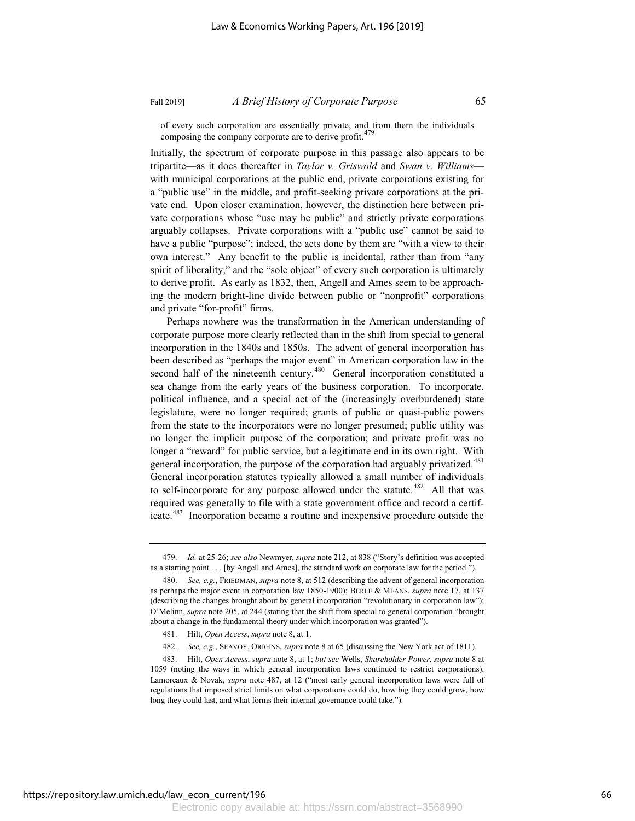of every such corporation are essentially private, and from them the individuals composing the company corporate are to derive profit.<sup>479</sup>

Initially, the spectrum of corporate purpose in this passage also appears to be tripartite—as it does thereafter in *Taylor v. Griswold* and *Swan v. Williams* with municipal corporations at the public end, private corporations existing for a "public use" in the middle, and profit-seeking private corporations at the private end. Upon closer examination, however, the distinction here between private corporations whose "use may be public" and strictly private corporations arguably collapses. Private corporations with a "public use" cannot be said to have a public "purpose"; indeed, the acts done by them are "with a view to their own interest." Any benefit to the public is incidental, rather than from "any spirit of liberality," and the "sole object" of every such corporation is ultimately to derive profit. As early as 1832, then, Angell and Ames seem to be approaching the modern bright-line divide between public or "nonprofit" corporations and private "for-profit" firms.

Perhaps nowhere was the transformation in the American understanding of corporate purpose more clearly reflected than in the shift from special to general incorporation in the 1840s and 1850s. The advent of general incorporation has been described as "perhaps the major event" in American corporation law in the second half of the nineteenth century.<sup>480</sup> General incorporation constituted a sea change from the early years of the business corporation. To incorporate, political influence, and a special act of the (increasingly overburdened) state legislature, were no longer required; grants of public or quasi-public powers from the state to the incorporators were no longer presumed; public utility was no longer the implicit purpose of the corporation; and private profit was no longer a "reward" for public service, but a legitimate end in its own right. With general incorporation, the purpose of the corporation had arguably privatized.<sup>481</sup> General incorporation statutes typically allowed a small number of individuals to self-incorporate for any purpose allowed under the statute.<sup> $482$ </sup> All that was required was generally to file with a state government office and record a certificate.<sup>483</sup> Incorporation became a routine and inexpensive procedure outside the

<sup>479.</sup> *Id.* at 25-26; *see also* Newmyer, *supra* note 212, at 838 ("Story's definition was accepted as a starting point . . . [by Angell and Ames], the standard work on corporate law for the period.").

<sup>480.</sup> *See, e.g.*, FRIEDMAN, *supra* note 8, at 512 (describing the advent of general incorporation as perhaps the major event in corporation law 1850-1900); BERLE & MEANS, *supra* note 17, at 137 (describing the changes brought about by general incorporation "revolutionary in corporation law"); O'Melinn, *supra* note 205, at 244 (stating that the shift from special to general corporation "brought about a change in the fundamental theory under which incorporation was granted").

<sup>481.</sup> Hilt, *Open Access*, *supra* note 8, at 1.

<sup>482.</sup> *See, e.g.*, SEAVOY, ORIGINS, *supra* note 8 at 65 (discussing the New York act of 1811).

<sup>483.</sup> Hilt, *Open Access*, *supra* note 8, at 1; *but see* Wells, *Shareholder Power*, *supra* note 8 at 1059 (noting the ways in which general incorporation laws continued to restrict corporations); Lamoreaux & Novak, *supra* note 487, at 12 ("most early general incorporation laws were full of regulations that imposed strict limits on what corporations could do, how big they could grow, how long they could last, and what forms their internal governance could take.").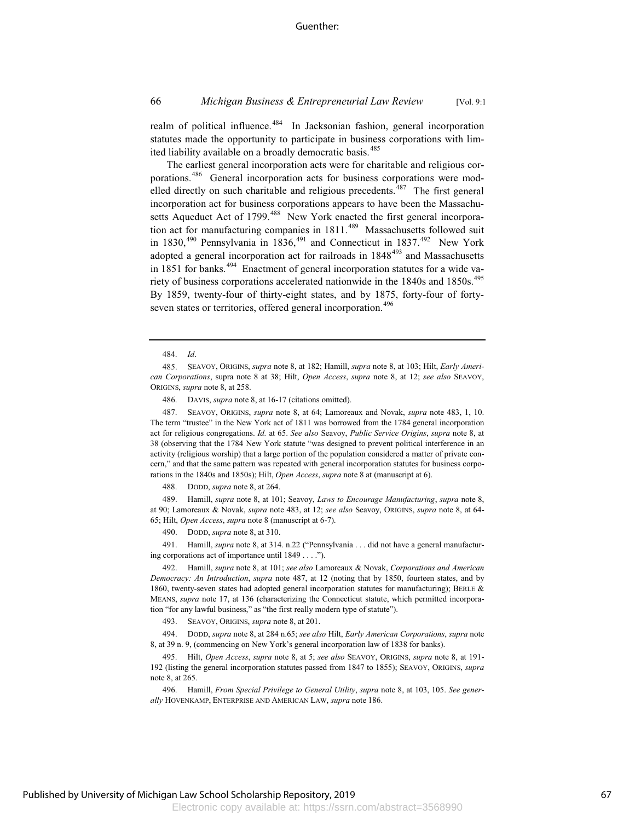realm of political influence.<sup>484</sup> In Jacksonian fashion, general incorporation statutes made the opportunity to participate in business corporations with limited liability available on a broadly democratic basis.<sup>485</sup>

The earliest general incorporation acts were for charitable and religious corporations.<sup>486</sup> General incorporation acts for business corporations were modelled directly on such charitable and religious precedents.<sup>487</sup> The first general incorporation act for business corporations appears to have been the Massachusetts Aqueduct Act of 1799.<sup>488</sup> New York enacted the first general incorporation act for manufacturing companies in 1811.<sup>489</sup> Massachusetts followed suit in 1830,<sup>490</sup> Pennsylvania in 1836,<sup>491</sup> and Connecticut in 1837.<sup>492</sup> New York adopted a general incorporation act for railroads in  $1848^{493}$  and Massachusetts in 1851 for banks. $494$  Enactment of general incorporation statutes for a wide variety of business corporations accelerated nationwide in the 1840s and 1850s.<sup>495</sup> By 1859, twenty-four of thirty-eight states, and by 1875, forty-four of fortyseven states or territories, offered general incorporation.<sup>496</sup>

486. DAVIS, *supra* note 8, at 16-17 (citations omitted).

487. SEAVOY, ORIGINS, *supra* note 8, at 64; Lamoreaux and Novak, *supra* note 483, 1, 10. The term "trustee" in the New York act of 1811 was borrowed from the 1784 general incorporation act for religious congregations. *Id.* at 65. *See also* Seavoy, *Public Service Origins*, *supra* note 8, at 38 (observing that the 1784 New York statute "was designed to prevent political interference in an activity (religious worship) that a large portion of the population considered a matter of private concern," and that the same pattern was repeated with general incorporation statutes for business corporations in the 1840s and 1850s); Hilt, *Open Access*, *supra* note 8 at (manuscript at 6).

488. DODD, *supra* note 8, at 264.

489. Hamill, *supra* note 8, at 101; Seavoy, *Laws to Encourage Manufacturing*, *supra* note 8, at 90; Lamoreaux & Novak, *supra* note 483, at 12; *see also* Seavoy, ORIGINS, *supra* note 8, at 64- 65; Hilt, *Open Access*, *supra* note 8 (manuscript at 6-7).

490. DODD, *supra* note 8, at 310.

491. Hamill, *supra* note 8, at 314. n.22 ("Pennsylvania . . . did not have a general manufacturing corporations act of importance until 1849 . . . .").

492. Hamill, *supra* note 8, at 101; *see also* Lamoreaux & Novak, *Corporations and American Democracy: An Introduction*, *supra* note 487, at 12 (noting that by 1850, fourteen states, and by 1860, twenty-seven states had adopted general incorporation statutes for manufacturing); BERLE & MEANS, *supra* note 17, at 136 (characterizing the Connecticut statute, which permitted incorporation "for any lawful business," as "the first really modern type of statute").

493. SEAVOY, ORIGINS, *supra* note 8, at 201.

494. DODD, *supra* note 8, at 284 n.65; *see also* Hilt, *Early American Corporations*, *supra* note 8, at 39 n. 9, (commencing on New York's general incorporation law of 1838 for banks).

495. Hilt, *Open Access*, *supra* note 8, at 5; *see also* SEAVOY, ORIGINS, *supra* note 8, at 191- 192 (listing the general incorporation statutes passed from 1847 to 1855); SEAVOY, ORIGINS, *supra* note 8, at 265.

496. Hamill, *From Special Privilege to General Utility*, *supra* note 8, at 103, 105. *See generally* HOVENKAMP, ENTERPRISE AND AMERICAN LAW, *supra* note 186.

<sup>484.</sup> *Id*.

<sup>485.</sup> SEAVOY, ORIGINS, *supra* note 8, at 182; Hamill, *supra* note 8, at 103; Hilt, *Early American Corporations*, supra note 8 at 38; Hilt, *Open Access*, *supra* note 8, at 12; *see also* SEAVOY, ORIGINS, *supra* note 8, at 258.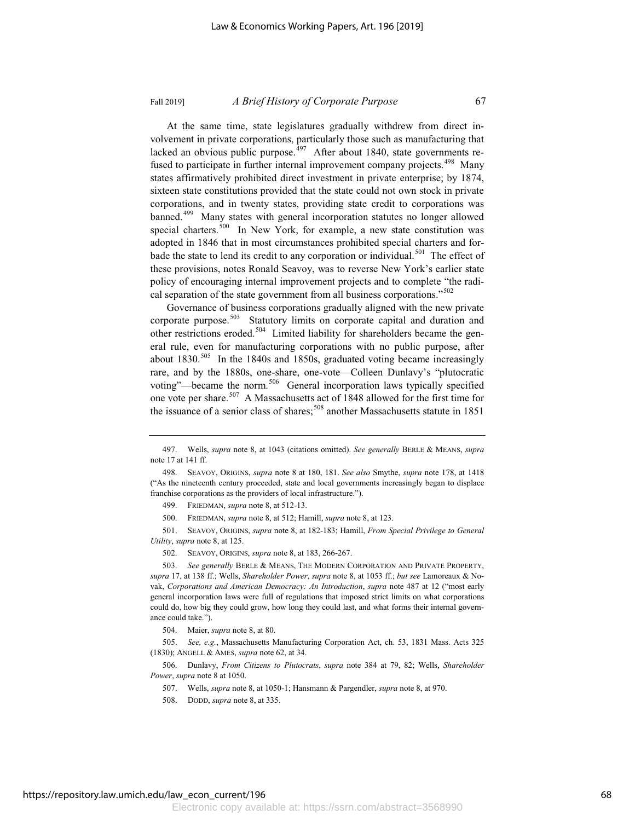At the same time, state legislatures gradually withdrew from direct involvement in private corporations, particularly those such as manufacturing that lacked an obvious public purpose.<sup>497</sup> After about 1840, state governments refused to participate in further internal improvement company projects.<sup>498</sup> Many states affirmatively prohibited direct investment in private enterprise; by 1874, sixteen state constitutions provided that the state could not own stock in private corporations, and in twenty states, providing state credit to corporations was banned.<sup>499</sup> Many states with general incorporation statutes no longer allowed special charters. $500$  In New York, for example, a new state constitution was adopted in 1846 that in most circumstances prohibited special charters and forbade the state to lend its credit to any corporation or individual.<sup>501</sup> The effect of these provisions, notes Ronald Seavoy, was to reverse New York's earlier state policy of encouraging internal improvement projects and to complete "the radical separation of the state government from all business corporations."<sup>502</sup>

Governance of business corporations gradually aligned with the new private corporate purpose.<sup>503</sup> Statutory limits on corporate capital and duration and other restrictions eroded.<sup>504</sup> Limited liability for shareholders became the general rule, even for manufacturing corporations with no public purpose, after about 1830.<sup>505</sup> In the 1840s and 1850s, graduated voting became increasingly rare, and by the 1880s, one-share, one-vote—Colleen Dunlavy's "plutocratic voting"—became the norm.<sup>506</sup> General incorporation laws typically specified one vote per share.<sup>507</sup> A Massachusetts act of 1848 allowed for the first time for the issuance of a senior class of shares; $508$  another Massachusetts statute in 1851

500. FRIEDMAN, *supra* note 8, at 512; Hamill, *supra* note 8, at 123.

501. SEAVOY, ORIGINS, *supra* note 8, at 182-183; Hamill, *From Special Privilege to General Utility*, *supra* note 8, at 125.

502. SEAVOY, ORIGINS, *supra* note 8, at 183, 266-267.

503. *See generally* BERLE & MEANS, THE MODERN CORPORATION AND PRIVATE PROPERTY, *supra* 17, at 138 ff.; Wells, *Shareholder Power*, *supra* note 8, at 1053 ff.; *but see* Lamoreaux & Novak, *Corporations and American Democracy: An Introduction*, *supra* note 487 at 12 ("most early general incorporation laws were full of regulations that imposed strict limits on what corporations could do, how big they could grow, how long they could last, and what forms their internal governance could take.").

504. Maier, *supra* note 8, at 80.

505. *See, e.g.*, Massachusetts Manufacturing Corporation Act, ch. 53, 1831 Mass. Acts 325 (1830); ANGELL & AMES, *supra* note 62, at 34.

506. Dunlavy, *From Citizens to Plutocrats*, *supra* note 384 at 79, 82; Wells, *Shareholder Power*, *supra* note 8 at 1050.

507. Wells, *supra* note 8, at 1050-1; Hansmann & Pargendler, *supra* note 8, at 970.

<sup>497.</sup> Wells, *supra* note 8, at 1043 (citations omitted). *See generally* BERLE & MEANS, *supra* note 17 at 141 ff.

<sup>498.</sup> SEAVOY, ORIGINS, *supra* note 8 at 180, 181. *See also* Smythe, *supra* note 178, at 1418 ("As the nineteenth century proceeded, state and local governments increasingly began to displace franchise corporations as the providers of local infrastructure.").

<sup>499.</sup> FRIEDMAN, *supra* note 8, at 512-13.

<sup>508.</sup> DODD, *supra* note 8, at 335.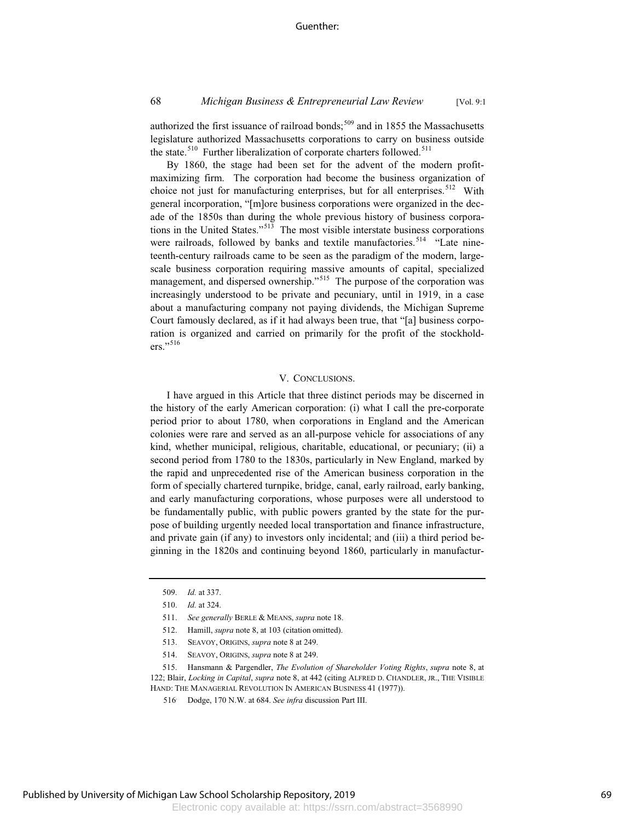# 68 *Michigan Business & Entrepreneurial Law Review* [Vol. 9:1

authorized the first issuance of railroad bonds; $509$  and in 1855 the Massachusetts legislature authorized Massachusetts corporations to carry on business outside the state.<sup>510</sup> Further liberalization of corporate charters followed.<sup>511</sup>

By 1860, the stage had been set for the advent of the modern profitmaximizing firm. The corporation had become the business organization of choice not just for manufacturing enterprises, but for all enterprises.<sup>512</sup> With general incorporation, "[m]ore business corporations were organized in the decade of the 1850s than during the whole previous history of business corporations in the United States."<sup>513</sup> The most visible interstate business corporations were railroads, followed by banks and textile manufactories.<sup>514</sup> "Late nineteenth-century railroads came to be seen as the paradigm of the modern, largescale business corporation requiring massive amounts of capital, specialized management, and dispersed ownership."<sup>515</sup> The purpose of the corporation was increasingly understood to be private and pecuniary, until in 1919, in a case about a manufacturing company not paying dividends, the Michigan Supreme Court famously declared, as if it had always been true, that "[a] business corporation is organized and carried on primarily for the profit of the stockholders."<sup>516</sup>

#### V. CONCLUSIONS.

I have argued in this Article that three distinct periods may be discerned in the history of the early American corporation: (i) what I call the pre-corporate period prior to about 1780, when corporations in England and the American colonies were rare and served as an all-purpose vehicle for associations of any kind, whether municipal, religious, charitable, educational, or pecuniary; (ii) a second period from 1780 to the 1830s, particularly in New England, marked by the rapid and unprecedented rise of the American business corporation in the form of specially chartered turnpike, bridge, canal, early railroad, early banking, and early manufacturing corporations, whose purposes were all understood to be fundamentally public, with public powers granted by the state for the purpose of building urgently needed local transportation and finance infrastructure, and private gain (if any) to investors only incidental; and (iii) a third period beginning in the 1820s and continuing beyond 1860, particularly in manufactur-

<sup>509.</sup> *Id.* at 337.

<sup>510.</sup> *Id.* at 324.

<sup>511.</sup> *See generally* BERLE & MEANS, *supra* note 18.

<sup>512.</sup> Hamill, *supra* note 8, at 103 (citation omitted).

<sup>513.</sup> SEAVOY, ORIGINS, *supra* note 8 at 249.

<sup>514.</sup> SEAVOY, ORIGINS, *supra* note 8 at 249.

<sup>515.</sup> Hansmann & Pargendler, *The Evolution of Shareholder Voting Rights*, *supra* note 8, at 122; Blair, *Locking in Capital*, *supra* note 8, at 442 (citing ALFRED D. CHANDLER, JR., THE VISIBLE HAND: THE MANAGERIAL REVOLUTION IN AMERICAN BUSINESS 41 (1977)).

<sup>516</sup>. Dodge, 170 N.W. at 684. *See infra* discussion Part III.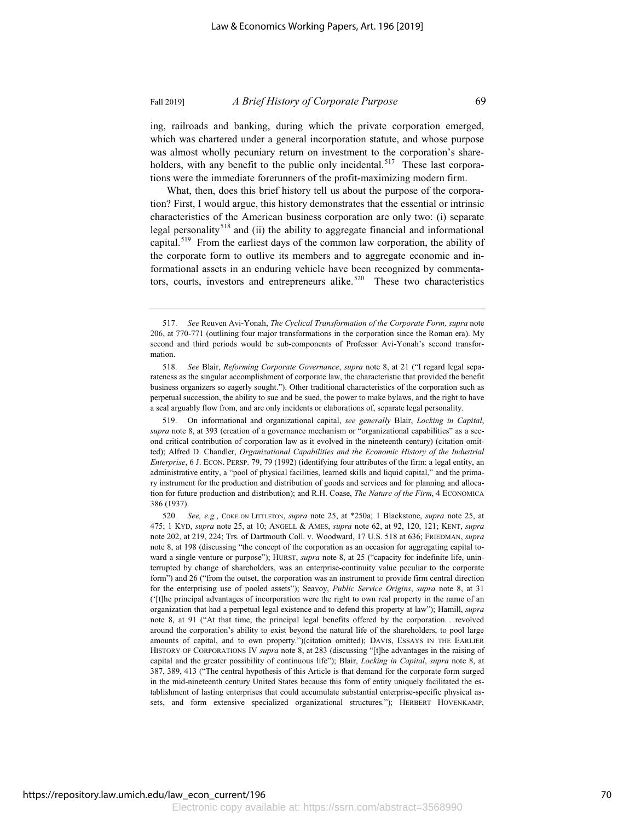ing, railroads and banking, during which the private corporation emerged,

which was chartered under a general incorporation statute, and whose purpose was almost wholly pecuniary return on investment to the corporation's shareholders, with any benefit to the public only incidental.<sup>517</sup> These last corporations were the immediate forerunners of the profit-maximizing modern firm.

What, then, does this brief history tell us about the purpose of the corporation? First, I would argue, this history demonstrates that the essential or intrinsic characteristics of the American business corporation are only two: (i) separate legal personality<sup>518</sup> and (ii) the ability to aggregate financial and informational capital.<sup>519</sup> From the earliest days of the common law corporation, the ability of the corporate form to outlive its members and to aggregate economic and informational assets in an enduring vehicle have been recognized by commentators, courts, investors and entrepreneurs alike.<sup>520</sup> These two characteristics

519. On informational and organizational capital, *see generally* Blair, *Locking in Capital*, *supra* note 8, at 393 (creation of a governance mechanism or "organizational capabilities" as a second critical contribution of corporation law as it evolved in the nineteenth century) (citation omitted); Alfred D. Chandler, *Organizational Capabilities and the Economic History of the Industrial Enterprise*, 6 J. ECON. PERSP. 79, 79 (1992) (identifying four attributes of the firm: a legal entity, an administrative entity, a "pool of physical facilities, learned skills and liquid capital," and the primary instrument for the production and distribution of goods and services and for planning and allocation for future production and distribution); and R.H. Coase, *The Nature of the Firm*, 4 ECONOMICA 386 (1937).

520. *See, e.g.*, COKE ON LITTLETON, *supra* note 25, at \*250a; 1 Blackstone, *supra* note 25, at 475; 1 KYD, *supra* note 25, at 10; ANGELL & AMES, *supra* note 62, at 92, 120, 121; KENT, *supra* note 202, at 219, 224; Trs. of Dartmouth Coll. v. Woodward, 17 U.S. 518 at 636; FRIEDMAN, *supra* note 8, at 198 (discussing "the concept of the corporation as an occasion for aggregating capital toward a single venture or purpose"); HURST, *supra* note 8, at 25 ("capacity for indefinite life, uninterrupted by change of shareholders, was an enterprise-continuity value peculiar to the corporate form") and 26 ("from the outset, the corporation was an instrument to provide firm central direction for the enterprising use of pooled assets"); Seavoy, *Public Service Origins*, *supra* note 8, at 31 ('[t]he principal advantages of incorporation were the right to own real property in the name of an organization that had a perpetual legal existence and to defend this property at law"); Hamill, *supra* note 8, at 91 ("At that time, the principal legal benefits offered by the corporation. . .revolved around the corporation's ability to exist beyond the natural life of the shareholders, to pool large amounts of capital, and to own property.")(citation omitted); DAVIS, ESSAYS IN THE EARLIER HISTORY OF CORPORATIONS IV *supra* note 8, at 283 (discussing "[t]he advantages in the raising of capital and the greater possibility of continuous life"); Blair, *Locking in Capital*, *supra* note 8, at 387, 389, 413 ("The central hypothesis of this Article is that demand for the corporate form surged in the mid-nineteenth century United States because this form of entity uniquely facilitated the establishment of lasting enterprises that could accumulate substantial enterprise-specific physical assets, and form extensive specialized organizational structures."); HERBERT HOVENKAMP,

<sup>517.</sup> *See* Reuven Avi-Yonah, *The Cyclical Transformation of the Corporate Form, supra* note 206, at 770-771 (outlining four major transformations in the corporation since the Roman era). My second and third periods would be sub-components of Professor Avi-Yonah's second transformation.

<sup>518.</sup> *See* Blair, *Reforming Corporate Governance*, *supra* note 8, at 21 ("I regard legal separateness as the singular accomplishment of corporate law, the characteristic that provided the benefit business organizers so eagerly sought."). Other traditional characteristics of the corporation such as perpetual succession, the ability to sue and be sued, the power to make bylaws, and the right to have a seal arguably flow from, and are only incidents or elaborations of, separate legal personality.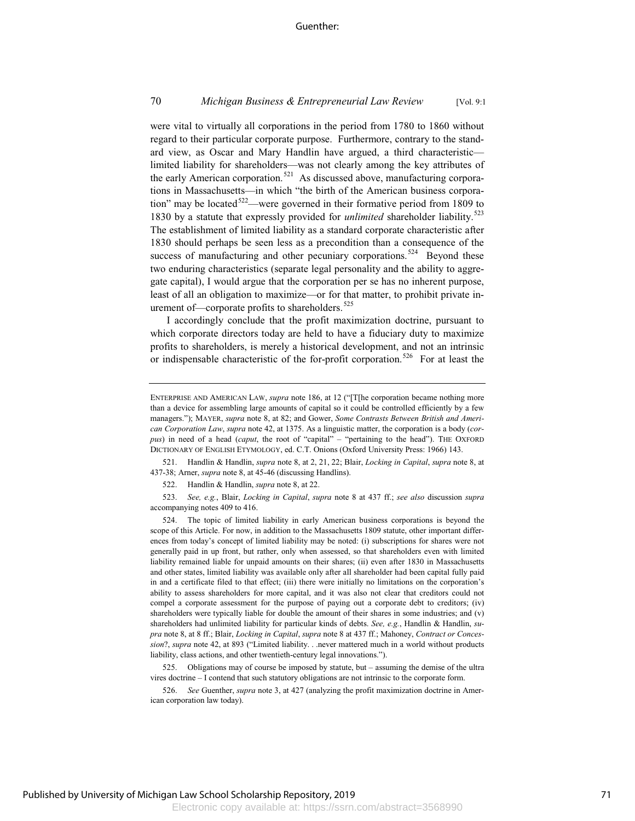### 70 *Michigan Business & Entrepreneurial Law Review* [Vol. 9:1

were vital to virtually all corporations in the period from 1780 to 1860 without regard to their particular corporate purpose. Furthermore, contrary to the standard view, as Oscar and Mary Handlin have argued, a third characteristic limited liability for shareholders—was not clearly among the key attributes of the early American corporation.<sup>521</sup> As discussed above, manufacturing corporations in Massachusetts—in which "the birth of the American business corporation" may be located<sup>522</sup>—were governed in their formative period from 1809 to 1830 by a statute that expressly provided for *unlimited* shareholder liability.<sup>523</sup> The establishment of limited liability as a standard corporate characteristic after 1830 should perhaps be seen less as a precondition than a consequence of the success of manufacturing and other pecuniary corporations.<sup>524</sup> Beyond these two enduring characteristics (separate legal personality and the ability to aggregate capital), I would argue that the corporation per se has no inherent purpose, least of all an obligation to maximize—or for that matter, to prohibit private inurement of—corporate profits to shareholders.<sup>525</sup>

I accordingly conclude that the profit maximization doctrine, pursuant to which corporate directors today are held to have a fiduciary duty to maximize profits to shareholders, is merely a historical development, and not an intrinsic or indispensable characteristic of the for-profit corporation.<sup>526</sup> For at least the

521. Handlin & Handlin, *supra* note 8, at 2, 21, 22; Blair, *Locking in Capital*, *supra* note 8, at 437-38; Arner, *supra* note 8, at 45-46 (discussing Handlins).

522. Handlin & Handlin, *supra* note 8, at 22.

523. *See, e.g.*, Blair, *Locking in Capital*, *supra* note 8 at 437 ff.; *see also* discussion *supra* accompanying notes 409 to 416.

524. The topic of limited liability in early American business corporations is beyond the scope of this Article. For now, in addition to the Massachusetts 1809 statute, other important differences from today's concept of limited liability may be noted: (i) subscriptions for shares were not generally paid in up front, but rather, only when assessed, so that shareholders even with limited liability remained liable for unpaid amounts on their shares; (ii) even after 1830 in Massachusetts and other states, limited liability was available only after all shareholder had been capital fully paid in and a certificate filed to that effect; (iii) there were initially no limitations on the corporation's ability to assess shareholders for more capital, and it was also not clear that creditors could not compel a corporate assessment for the purpose of paying out a corporate debt to creditors; (iv) shareholders were typically liable for double the amount of their shares in some industries; and (v) shareholders had unlimited liability for particular kinds of debts. *See, e.g.*, Handlin & Handlin, *supra* note 8, at 8 ff.; Blair, *Locking in Capital*, *supra* note 8 at 437 ff.; Mahoney, *Contract or Concession*?, *supra* note 42, at 893 ("Limited liability. . .never mattered much in a world without products liability, class actions, and other twentieth-century legal innovations.").

525. Obligations may of course be imposed by statute, but – assuming the demise of the ultra vires doctrine – I contend that such statutory obligations are not intrinsic to the corporate form.

526. *See* Guenther, *supra* note 3, at 427 (analyzing the profit maximization doctrine in American corporation law today).

ENTERPRISE AND AMERICAN LAW, *supra* note 186, at 12 ("[T[he corporation became nothing more than a device for assembling large amounts of capital so it could be controlled efficiently by a few managers."); MAYER, *supra* note 8, at 82; and Gower, *Some Contrasts Between British and American Corporation Law*, *supra* note 42, at 1375. As a linguistic matter, the corporation is a body (*corpus*) in need of a head (*caput*, the root of "capital" – "pertaining to the head"). THE OXFORD DICTIONARY OF ENGLISH ETYMOLOGY, ed. C.T. Onions (Oxford University Press: 1966) 143.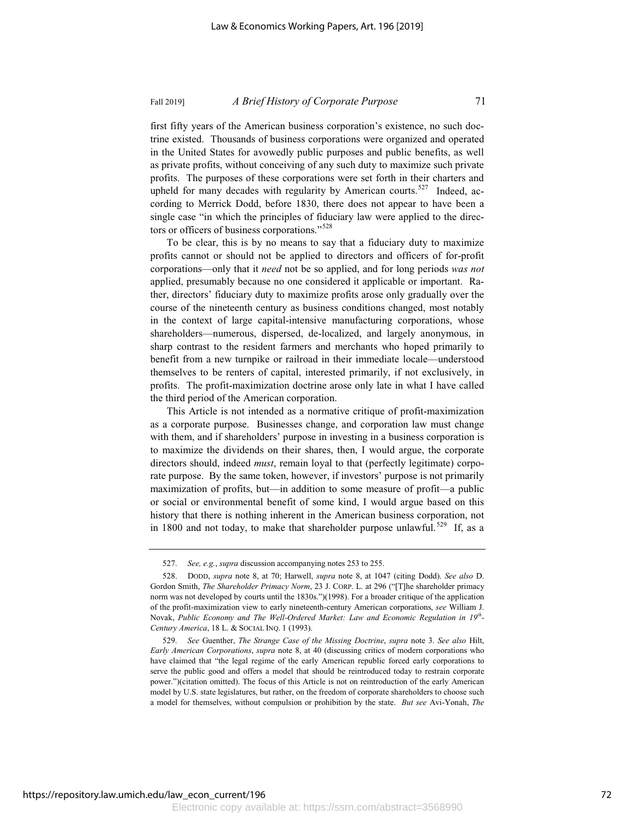#### Fall 2019] *A Brief History of Corporate Purpose* 71

first fifty years of the American business corporation's existence, no such doctrine existed. Thousands of business corporations were organized and operated in the United States for avowedly public purposes and public benefits, as well as private profits, without conceiving of any such duty to maximize such private profits. The purposes of these corporations were set forth in their charters and upheld for many decades with regularity by American courts.<sup>527</sup> Indeed, according to Merrick Dodd, before 1830, there does not appear to have been a single case "in which the principles of fiduciary law were applied to the directors or officers of business corporations."<sup>528</sup>

To be clear, this is by no means to say that a fiduciary duty to maximize profits cannot or should not be applied to directors and officers of for-profit corporations—only that it *need* not be so applied, and for long periods *was not* applied, presumably because no one considered it applicable or important. Rather, directors' fiduciary duty to maximize profits arose only gradually over the course of the nineteenth century as business conditions changed, most notably in the context of large capital-intensive manufacturing corporations, whose shareholders—numerous, dispersed, de-localized, and largely anonymous, in sharp contrast to the resident farmers and merchants who hoped primarily to benefit from a new turnpike or railroad in their immediate locale—understood themselves to be renters of capital, interested primarily, if not exclusively, in profits. The profit-maximization doctrine arose only late in what I have called the third period of the American corporation.

This Article is not intended as a normative critique of profit-maximization as a corporate purpose. Businesses change, and corporation law must change with them, and if shareholders' purpose in investing in a business corporation is to maximize the dividends on their shares, then, I would argue, the corporate directors should, indeed *must*, remain loyal to that (perfectly legitimate) corporate purpose. By the same token, however, if investors' purpose is not primarily maximization of profits, but—in addition to some measure of profit—a public or social or environmental benefit of some kind, I would argue based on this history that there is nothing inherent in the American business corporation, not in 1800 and not today, to make that shareholder purpose unlawful.<sup>529</sup> If, as a

<sup>527.</sup> *See, e.g.*, *supra* discussion accompanying notes 253 to 255.

<sup>528.</sup> DODD, *supra* note 8, at 70; Harwell, *supra* note 8, at 1047 (citing Dodd). *See also* D. Gordon Smith, *The Shareholder Primacy Norm*, 23 J. CORP. L. at 296 ("[T]he shareholder primacy norm was not developed by courts until the 1830s.")(1998). For a broader critique of the application of the profit-maximization view to early nineteenth-century American corporations, *see* William J. Novak, *Public Economy and The Well-Ordered Market: Law and Economic Regulation in 19th-Century America*, 18 L. & SOCIAL INQ. 1 (1993).

<sup>529.</sup> *See* Guenther, *The Strange Case of the Missing Doctrine*, *supra* note 3. *See also* Hilt, *Early American Corporations*, *supra* note 8, at 40 (discussing critics of modern corporations who have claimed that "the legal regime of the early American republic forced early corporations to serve the public good and offers a model that should be reintroduced today to restrain corporate power.")(citation omitted). The focus of this Article is not on reintroduction of the early American model by U.S. state legislatures, but rather, on the freedom of corporate shareholders to choose such a model for themselves, without compulsion or prohibition by the state. *But see* Avi-Yonah, *The*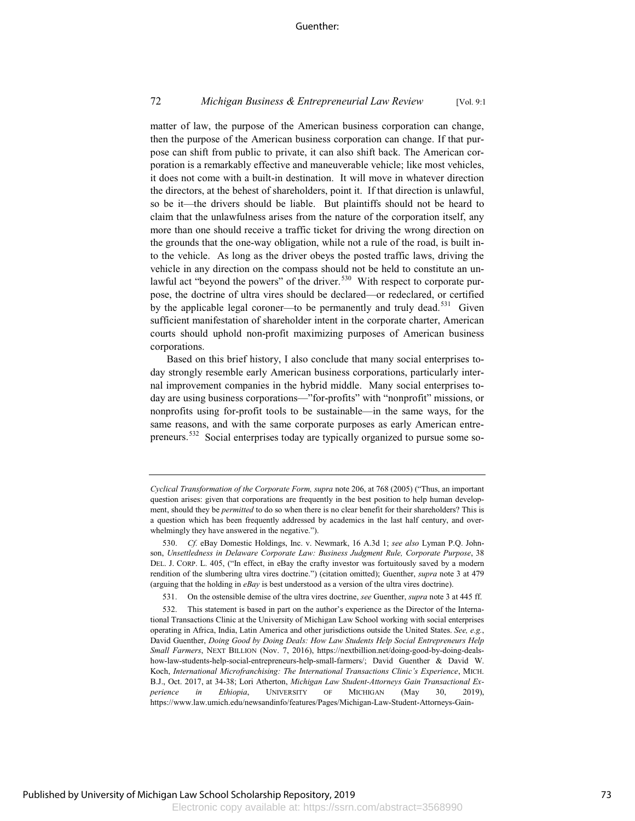#### Guenther:

# 72 *Michigan Business & Entrepreneurial Law Review* [Vol. 9:1

matter of law, the purpose of the American business corporation can change, then the purpose of the American business corporation can change. If that purpose can shift from public to private, it can also shift back. The American corporation is a remarkably effective and maneuverable vehicle; like most vehicles, it does not come with a built-in destination. It will move in whatever direction the directors, at the behest of shareholders, point it. If that direction is unlawful, so be it—the drivers should be liable. But plaintiffs should not be heard to claim that the unlawfulness arises from the nature of the corporation itself, any more than one should receive a traffic ticket for driving the wrong direction on the grounds that the one-way obligation, while not a rule of the road, is built into the vehicle. As long as the driver obeys the posted traffic laws, driving the vehicle in any direction on the compass should not be held to constitute an unlawful act "beyond the powers" of the driver.<sup>530</sup> With respect to corporate purpose, the doctrine of ultra vires should be declared—or redeclared, or certified by the applicable legal coroner—to be permanently and truly dead.<sup>531</sup> Given sufficient manifestation of shareholder intent in the corporate charter, American courts should uphold non-profit maximizing purposes of American business corporations.

Based on this brief history, I also conclude that many social enterprises today strongly resemble early American business corporations, particularly internal improvement companies in the hybrid middle. Many social enterprises today are using business corporations—"for-profits" with "nonprofit" missions, or nonprofits using for-profit tools to be sustainable—in the same ways, for the same reasons, and with the same corporate purposes as early American entrepreneurs.<sup>532</sup> Social enterprises today are typically organized to pursue some so-

*Cyclical Transformation of the Corporate Form, supra* note 206, at 768 (2005) ("Thus, an important question arises: given that corporations are frequently in the best position to help human development, should they be *permitted* to do so when there is no clear benefit for their shareholders? This is a question which has been frequently addressed by academics in the last half century, and overwhelmingly they have answered in the negative.").

<sup>530.</sup> *Cf.* eBay Domestic Holdings, Inc. v. Newmark, 16 A.3d 1; *see also* Lyman P.Q. Johnson, *Unsettledness in Delaware Corporate Law: Business Judgment Rule, Corporate Purpose*, 38 DEL. J. CORP. L. 405, ("In effect, in eBay the crafty investor was fortuitously saved by a modern rendition of the slumbering ultra vires doctrine.") (citation omitted); Guenther, *supra* note 3 at 479 (arguing that the holding in *eBay* is best understood as a version of the ultra vires doctrine).

<sup>531.</sup> On the ostensible demise of the ultra vires doctrine, *see* Guenther, *supra* note 3 at 445 ff.

<sup>532.</sup> This statement is based in part on the author's experience as the Director of the International Transactions Clinic at the University of Michigan Law School working with social enterprises operating in Africa, India, Latin America and other jurisdictions outside the United States. *See, e.g.*, David Guenther, *Doing Good by Doing Deals: How Law Students Help Social Entrepreneurs Help Small Farmers*, NEXT BILLION (Nov. 7, 2016), https://nextbillion.net/doing-good-by-doing-dealshow-law-students-help-social-entrepreneurs-help-small-farmers/; David Guenther & David W. Koch, *International Microfranchising: The International Transactions Clinic's Experience*, MICH. B.J., Oct. 2017, at 34-38; Lori Atherton, *Michigan Law Student-Attorneys Gain Transactional Experience in Ethiopia*, UNIVERSITY OF MICHIGAN (May 30, 2019), https://www.law.umich.edu/newsandinfo/features/Pages/Michigan-Law-Student-Attorneys-Gain-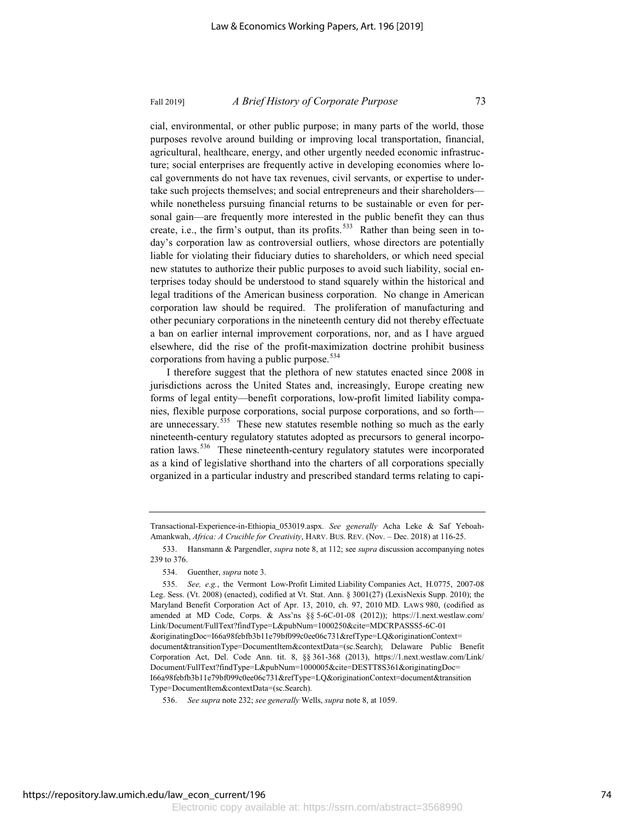# Fall 2019] *A Brief History of Corporate Purpose* 73

cial, environmental, or other public purpose; in many parts of the world, those purposes revolve around building or improving local transportation, financial, agricultural, healthcare, energy, and other urgently needed economic infrastructure; social enterprises are frequently active in developing economies where local governments do not have tax revenues, civil servants, or expertise to undertake such projects themselves; and social entrepreneurs and their shareholders while nonetheless pursuing financial returns to be sustainable or even for personal gain—are frequently more interested in the public benefit they can thus create, i.e., the firm's output, than its profits.<sup>533</sup> Rather than being seen in today's corporation law as controversial outliers, whose directors are potentially liable for violating their fiduciary duties to shareholders, or which need special new statutes to authorize their public purposes to avoid such liability, social enterprises today should be understood to stand squarely within the historical and legal traditions of the American business corporation. No change in American corporation law should be required. The proliferation of manufacturing and other pecuniary corporations in the nineteenth century did not thereby effectuate a ban on earlier internal improvement corporations, nor, and as I have argued elsewhere, did the rise of the profit-maximization doctrine prohibit business corporations from having a public purpose.<sup>534</sup>

I therefore suggest that the plethora of new statutes enacted since 2008 in jurisdictions across the United States and, increasingly, Europe creating new forms of legal entity—benefit corporations, low-profit limited liability companies, flexible purpose corporations, social purpose corporations, and so forth are unnecessary. $535$  These new statutes resemble nothing so much as the early nineteenth-century regulatory statutes adopted as precursors to general incorporation laws.<sup>536</sup> These nineteenth-century regulatory statutes were incorporated as a kind of legislative shorthand into the charters of all corporations specially organized in a particular industry and prescribed standard terms relating to capi-

Transactional-Experience-in-Ethiopia\_053019.aspx. *See generally* Acha Leke & Saf Yeboah-Amankwah, *Africa: A Crucible for Creativity*, HARV. BUS. REV. (Nov. – Dec. 2018) at 116-25.

<sup>533.</sup> Hansmann & Pargendler, *supra* note 8, at 112; see *supra* discussion accompanying notes 239 to 376.

<sup>534.</sup> Guenther, *supra* note 3.

<sup>535.</sup> *See, e.g.*, the Vermont Low-Profit Limited Liability Companies Act, H.0775, 2007-08 Leg. Sess. (Vt. 2008) (enacted), codified at Vt. Stat. Ann. § 3001(27) (LexisNexis Supp. 2010); the Maryland Benefit Corporation Act of Apr. 13, 2010, ch. 97, 2010 MD. LAWS 980, (codified as amended at MD Code, Corps. & Ass'ns §§ 5-6C-01-08 (2012)); https://1.next.westlaw.com/ Link/Document/FullText?findType=L&pubNum=1000250&cite=MDCRPASSS5-6C-01 &originatingDoc=I66a98febfb3b11e79bf099c0ee06c731&refType=LQ&originationContext= document&transitionType=DocumentItem&contextData=(sc.Search); Delaware Public Benefit Corporation Act, Del. Code Ann. tit. 8, §§ 361-368 (2013), https://1.next.westlaw.com/Link/ Document/FullText?findType=L&pubNum=1000005&cite=DESTT8S361&originatingDoc= I66a98febfb3b11e79bf099c0ee06c731&refType=LQ&originationContext=document&transition Type=DocumentItem&contextData=(sc.Search).

<sup>536.</sup> *See supra* note 232; *see generally* Wells, *supra* note 8, at 1059.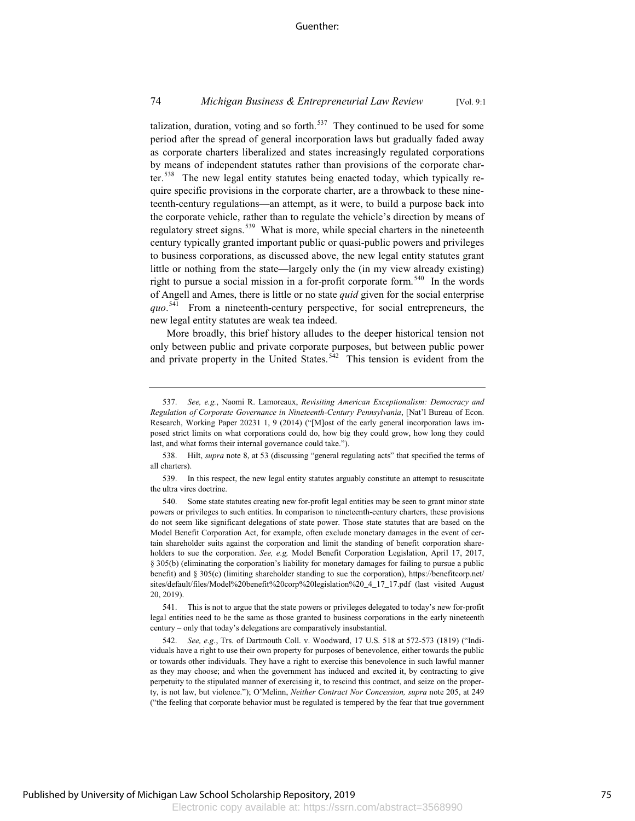# 74 *Michigan Business & Entrepreneurial Law Review* [Vol. 9:1

talization, duration, voting and so forth.<sup>537</sup> They continued to be used for some period after the spread of general incorporation laws but gradually faded away as corporate charters liberalized and states increasingly regulated corporations by means of independent statutes rather than provisions of the corporate charter.<sup>538</sup> The new legal entity statutes being enacted today, which typically require specific provisions in the corporate charter, are a throwback to these nineteenth-century regulations—an attempt, as it were, to build a purpose back into the corporate vehicle, rather than to regulate the vehicle's direction by means of regulatory street signs.<sup>539</sup> What is more, while special charters in the nineteenth century typically granted important public or quasi-public powers and privileges to business corporations, as discussed above, the new legal entity statutes grant little or nothing from the state—largely only the (in my view already existing) right to pursue a social mission in a for-profit corporate form.<sup>540</sup> In the words of Angell and Ames, there is little or no state *quid* given for the social enterprise *quo*. <sup>541</sup> From a nineteenth-century perspective, for social entrepreneurs, the new legal entity statutes are weak tea indeed.

More broadly, this brief history alludes to the deeper historical tension not only between public and private corporate purposes, but between public power and private property in the United States.<sup>542</sup> This tension is evident from the

<sup>537.</sup> *See, e.g.*, Naomi R. Lamoreaux, *Revisiting American Exceptionalism: Democracy and Regulation of Corporate Governance in Nineteenth-Century Pennsylvania*, [Nat'l Bureau of Econ. Research, Working Paper 20231 1, 9 (2014) ("[M]ost of the early general incorporation laws imposed strict limits on what corporations could do, how big they could grow, how long they could last, and what forms their internal governance could take.").

<sup>538.</sup> Hilt, *supra* note 8, at 53 (discussing "general regulating acts" that specified the terms of all charters).

<sup>539.</sup> In this respect, the new legal entity statutes arguably constitute an attempt to resuscitate the ultra vires doctrine.

<sup>540.</sup> Some state statutes creating new for-profit legal entities may be seen to grant minor state powers or privileges to such entities. In comparison to nineteenth-century charters, these provisions do not seem like significant delegations of state power. Those state statutes that are based on the Model Benefit Corporation Act, for example, often exclude monetary damages in the event of certain shareholder suits against the corporation and limit the standing of benefit corporation shareholders to sue the corporation. *See, e.g,* Model Benefit Corporation Legislation, April 17, 2017, § 305(b) (eliminating the corporation's liability for monetary damages for failing to pursue a public benefit) and § 305(c) (limiting shareholder standing to sue the corporation), https://benefitcorp.net/ sites/default/files/Model%20benefit%20corp%20legislation%20\_4\_17\_17.pdf (last visited August 20, 2019).

<sup>541.</sup> This is not to argue that the state powers or privileges delegated to today's new for-profit legal entities need to be the same as those granted to business corporations in the early nineteenth century – only that today's delegations are comparatively insubstantial.

<sup>542.</sup> *See, e.g.*, Trs. of Dartmouth Coll. v. Woodward, 17 U.S. 518 at 572-573 (1819) ("Individuals have a right to use their own property for purposes of benevolence, either towards the public or towards other individuals. They have a right to exercise this benevolence in such lawful manner as they may choose; and when the government has induced and excited it, by contracting to give perpetuity to the stipulated manner of exercising it, to rescind this contract, and seize on the property, is not law, but violence."); O'Melinn, *Neither Contract Nor Concession, supra* note 205, at 249 ("the feeling that corporate behavior must be regulated is tempered by the fear that true government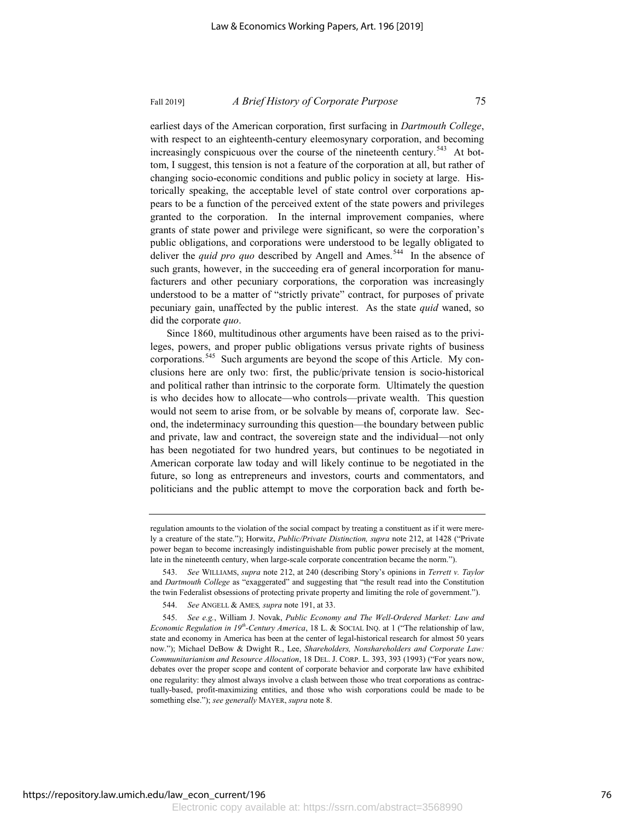# Fall 2019] *A Brief History of Corporate Purpose* 75

earliest days of the American corporation, first surfacing in *Dartmouth College*, with respect to an eighteenth-century eleemosynary corporation, and becoming increasingly conspicuous over the course of the nineteenth century.<sup>543</sup> At bottom, I suggest, this tension is not a feature of the corporation at all, but rather of changing socio-economic conditions and public policy in society at large. Historically speaking, the acceptable level of state control over corporations appears to be a function of the perceived extent of the state powers and privileges granted to the corporation. In the internal improvement companies, where grants of state power and privilege were significant, so were the corporation's public obligations, and corporations were understood to be legally obligated to deliver the *quid pro quo* described by Angell and Ames.<sup>544</sup> In the absence of such grants, however, in the succeeding era of general incorporation for manufacturers and other pecuniary corporations, the corporation was increasingly understood to be a matter of "strictly private" contract, for purposes of private pecuniary gain, unaffected by the public interest. As the state *quid* waned, so did the corporate *quo*.

Since 1860, multitudinous other arguments have been raised as to the privileges, powers, and proper public obligations versus private rights of business corporations.<sup>545</sup> Such arguments are beyond the scope of this Article. My conclusions here are only two: first, the public/private tension is socio-historical and political rather than intrinsic to the corporate form. Ultimately the question is who decides how to allocate—who controls—private wealth. This question would not seem to arise from, or be solvable by means of, corporate law. Second, the indeterminacy surrounding this question—the boundary between public and private, law and contract, the sovereign state and the individual—not only has been negotiated for two hundred years, but continues to be negotiated in American corporate law today and will likely continue to be negotiated in the future, so long as entrepreneurs and investors, courts and commentators, and politicians and the public attempt to move the corporation back and forth be-

regulation amounts to the violation of the social compact by treating a constituent as if it were merely a creature of the state."); Horwitz, *Public/Private Distinction, supra* note 212, at 1428 ("Private power began to become increasingly indistinguishable from public power precisely at the moment, late in the nineteenth century, when large-scale corporate concentration became the norm.").

<sup>543.</sup> *See* WILLIAMS, *supra* note 212, at 240 (describing Story's opinions in *Terrett v. Taylor* and *Dartmouth College* as "exaggerated" and suggesting that "the result read into the Constitution the twin Federalist obsessions of protecting private property and limiting the role of government.").

<sup>544.</sup> *See* ANGELL & AMES*, supra* note 191, at 33.

<sup>545.</sup> *See e.g.*, William J. Novak, *Public Economy and The Well-Ordered Market: Law and Economic Regulation in 19th-Century America*, 18 L. & SOCIAL INQ. at 1 ("The relationship of law, state and economy in America has been at the center of legal-historical research for almost 50 years now."); Michael DeBow & Dwight R., Lee, *Shareholders, Nonshareholders and Corporate Law: Communitarianism and Resource Allocation*, 18 DEL. J. CORP. L. 393, 393 (1993) ("For years now, debates over the proper scope and content of corporate behavior and corporate law have exhibited one regularity: they almost always involve a clash between those who treat corporations as contractually-based, profit-maximizing entities, and those who wish corporations could be made to be something else."); *see generally* MAYER, *supra* note 8.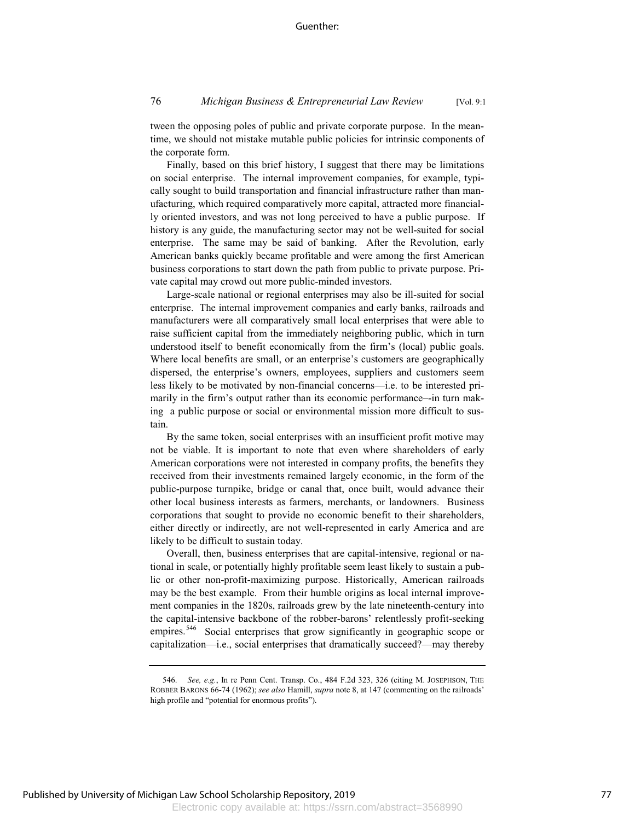tween the opposing poles of public and private corporate purpose. In the meantime, we should not mistake mutable public policies for intrinsic components of the corporate form.

Finally, based on this brief history, I suggest that there may be limitations on social enterprise. The internal improvement companies, for example, typically sought to build transportation and financial infrastructure rather than manufacturing, which required comparatively more capital, attracted more financially oriented investors, and was not long perceived to have a public purpose. If history is any guide, the manufacturing sector may not be well-suited for social enterprise. The same may be said of banking. After the Revolution, early American banks quickly became profitable and were among the first American business corporations to start down the path from public to private purpose. Private capital may crowd out more public-minded investors.

Large-scale national or regional enterprises may also be ill-suited for social enterprise. The internal improvement companies and early banks, railroads and manufacturers were all comparatively small local enterprises that were able to raise sufficient capital from the immediately neighboring public, which in turn understood itself to benefit economically from the firm's (local) public goals. Where local benefits are small, or an enterprise's customers are geographically dispersed, the enterprise's owners, employees, suppliers and customers seem less likely to be motivated by non-financial concerns—i.e. to be interested primarily in the firm's output rather than its economic performance–-in turn making a public purpose or social or environmental mission more difficult to sustain.

By the same token, social enterprises with an insufficient profit motive may not be viable. It is important to note that even where shareholders of early American corporations were not interested in company profits, the benefits they received from their investments remained largely economic, in the form of the public-purpose turnpike, bridge or canal that, once built, would advance their other local business interests as farmers, merchants, or landowners. Business corporations that sought to provide no economic benefit to their shareholders, either directly or indirectly, are not well-represented in early America and are likely to be difficult to sustain today.

Overall, then, business enterprises that are capital-intensive, regional or national in scale, or potentially highly profitable seem least likely to sustain a public or other non-profit-maximizing purpose. Historically, American railroads may be the best example. From their humble origins as local internal improvement companies in the 1820s, railroads grew by the late nineteenth-century into the capital-intensive backbone of the robber-barons' relentlessly profit-seeking empires.<sup>546</sup> Social enterprises that grow significantly in geographic scope or capitalization—i.e., social enterprises that dramatically succeed?—may thereby

<sup>546.</sup> *See, e.g.*, In re Penn Cent. Transp. Co., 484 F.2d 323, 326 (citing M. JOSEPHSON, THE ROBBER BARONS 66-74 (1962); *see also* Hamill, *supra* note 8, at 147 (commenting on the railroads' high profile and "potential for enormous profits").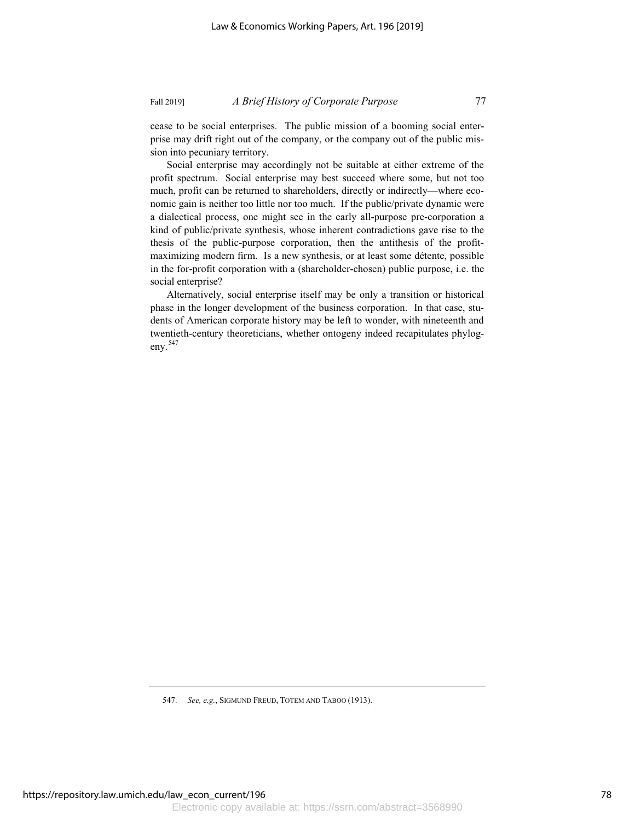cease to be social enterprises. The public mission of a booming social enterprise may drift right out of the company, or the company out of the public mis-

sion into pecuniary territory. Social enterprise may accordingly not be suitable at either extreme of the profit spectrum. Social enterprise may best succeed where some, but not too much, profit can be returned to shareholders, directly or indirectly—where economic gain is neither too little nor too much. If the public/private dynamic were a dialectical process, one might see in the early all-purpose pre-corporation a kind of public/private synthesis, whose inherent contradictions gave rise to the thesis of the public-purpose corporation, then the antithesis of the profitmaximizing modern firm. Is a new synthesis, or at least some détente, possible in the for-profit corporation with a (shareholder-chosen) public purpose, i.e. the social enterprise?

Alternatively, social enterprise itself may be only a transition or historical phase in the longer development of the business corporation. In that case, students of American corporate history may be left to wonder, with nineteenth and twentieth-century theoreticians, whether ontogeny indeed recapitulates phylogeny. $547$ 

<sup>547.</sup> *See, e.g.*, SIGMUND FREUD, TOTEM AND TABOO (1913).